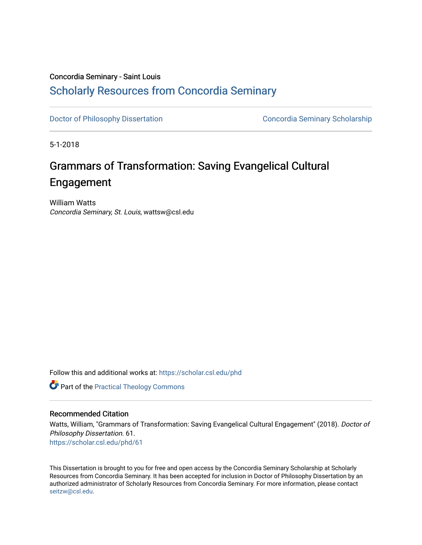# Concordia Seminary - Saint Louis [Scholarly Resources from Concordia Seminary](https://scholar.csl.edu/)

[Doctor of Philosophy Dissertation](https://scholar.csl.edu/phd) Concordia Seminary Scholarship

5-1-2018

# Grammars of Transformation: Saving Evangelical Cultural Engagement

William Watts Concordia Seminary, St. Louis, wattsw@csl.edu

Follow this and additional works at: [https://scholar.csl.edu/phd](https://scholar.csl.edu/phd?utm_source=scholar.csl.edu%2Fphd%2F61&utm_medium=PDF&utm_campaign=PDFCoverPages) 

**Part of the [Practical Theology Commons](http://network.bepress.com/hgg/discipline/1186?utm_source=scholar.csl.edu%2Fphd%2F61&utm_medium=PDF&utm_campaign=PDFCoverPages)** 

## Recommended Citation

Watts, William, "Grammars of Transformation: Saving Evangelical Cultural Engagement" (2018). Doctor of Philosophy Dissertation. 61. [https://scholar.csl.edu/phd/61](https://scholar.csl.edu/phd/61?utm_source=scholar.csl.edu%2Fphd%2F61&utm_medium=PDF&utm_campaign=PDFCoverPages)

This Dissertation is brought to you for free and open access by the Concordia Seminary Scholarship at Scholarly Resources from Concordia Seminary. It has been accepted for inclusion in Doctor of Philosophy Dissertation by an authorized administrator of Scholarly Resources from Concordia Seminary. For more information, please contact [seitzw@csl.edu.](mailto:seitzw@csl.edu)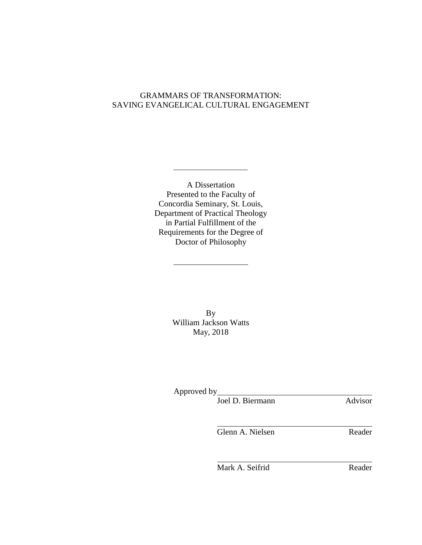# GRAMMARS OF TRANSFORMATION: SAVING EVANGELICAL CULTURAL ENGAGEMENT

A Dissertation Presented to the Faculty of Concordia Seminary, St. Louis, Department of Practical Theology in Partial Fulfillment of the Requirements for the Degree of Doctor of Philosophy

> By William Jackson Watts May, 2018

Approved by

Joel D. Biermann Advisor

Glenn A. Nielsen Reader

Mark A. Seifrid Reader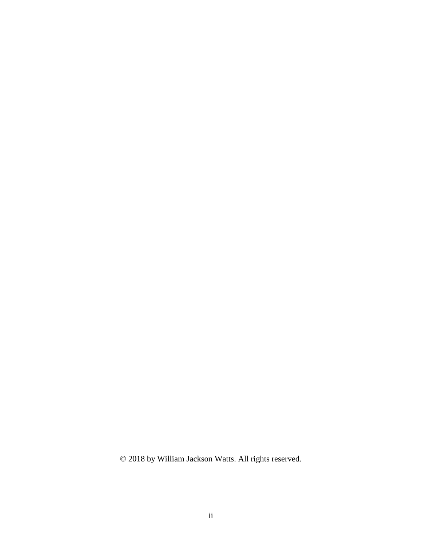© 2018 by William Jackson Watts. All rights reserved.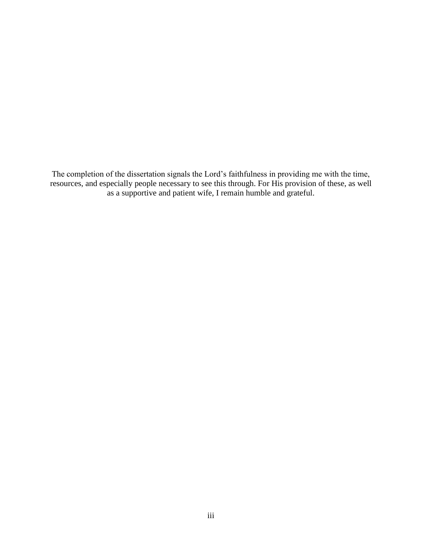The completion of the dissertation signals the Lord's faithfulness in providing me with the time, resources, and especially people necessary to see this through. For His provision of these, as well as a supportive and patient wife, I remain humble and grateful.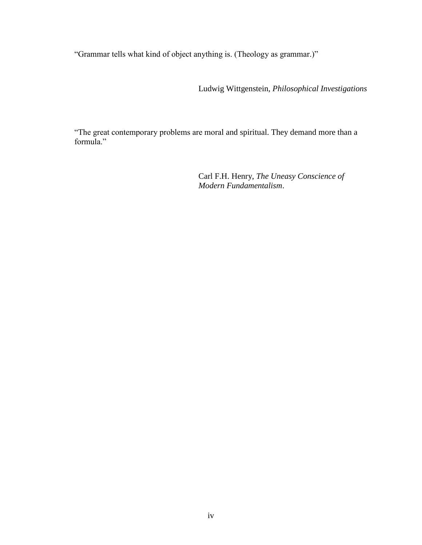"Grammar tells what kind of object anything is. (Theology as grammar.)"

Ludwig Wittgenstein, *Philosophical Investigations*

"The great contemporary problems are moral and spiritual. They demand more than a formula."

> Carl F.H. Henry, *The Uneasy Conscience of Modern Fundamentalism*.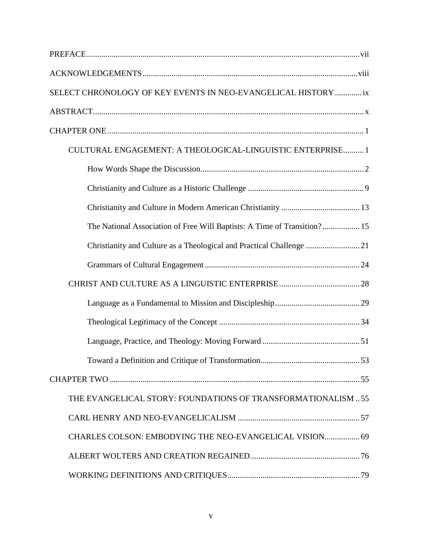| SELECT CHRONOLOGY OF KEY EVENTS IN NEO-EVANGELICAL HISTORY ix            |
|--------------------------------------------------------------------------|
|                                                                          |
|                                                                          |
| CULTURAL ENGAGEMENT: A THEOLOGICAL-LINGUISTIC ENTERPRISE 1               |
|                                                                          |
|                                                                          |
|                                                                          |
| The National Association of Free Will Baptists: A Time of Transition? 15 |
|                                                                          |
|                                                                          |
|                                                                          |
|                                                                          |
|                                                                          |
|                                                                          |
|                                                                          |
|                                                                          |
| THE EVANGELICAL STORY: FOUNDATIONS OF TRANSFORMATIONALISM55              |
|                                                                          |
| CHARLES COLSON: EMBODYING THE NEO-EVANGELICAL VISION 69                  |
|                                                                          |
|                                                                          |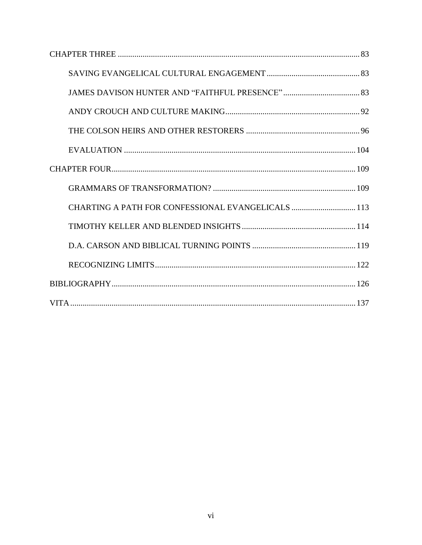| CHARTING A PATH FOR CONFESSIONAL EVANGELICALS  113 |  |
|----------------------------------------------------|--|
|                                                    |  |
|                                                    |  |
|                                                    |  |
|                                                    |  |
|                                                    |  |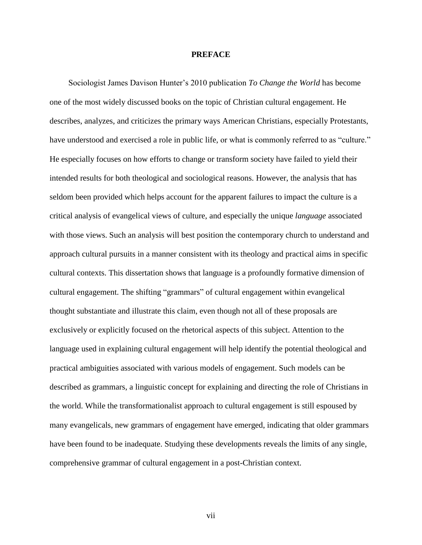#### **PREFACE**

Sociologist James Davison Hunter's 2010 publication *To Change the World* has become one of the most widely discussed books on the topic of Christian cultural engagement. He describes, analyzes, and criticizes the primary ways American Christians, especially Protestants, have understood and exercised a role in public life, or what is commonly referred to as "culture." He especially focuses on how efforts to change or transform society have failed to yield their intended results for both theological and sociological reasons. However, the analysis that has seldom been provided which helps account for the apparent failures to impact the culture is a critical analysis of evangelical views of culture, and especially the unique *language* associated with those views. Such an analysis will best position the contemporary church to understand and approach cultural pursuits in a manner consistent with its theology and practical aims in specific cultural contexts. This dissertation shows that language is a profoundly formative dimension of cultural engagement. The shifting "grammars" of cultural engagement within evangelical thought substantiate and illustrate this claim, even though not all of these proposals are exclusively or explicitly focused on the rhetorical aspects of this subject. Attention to the language used in explaining cultural engagement will help identify the potential theological and practical ambiguities associated with various models of engagement. Such models can be described as grammars, a linguistic concept for explaining and directing the role of Christians in the world. While the transformationalist approach to cultural engagement is still espoused by many evangelicals, new grammars of engagement have emerged, indicating that older grammars have been found to be inadequate. Studying these developments reveals the limits of any single, comprehensive grammar of cultural engagement in a post-Christian context.

vii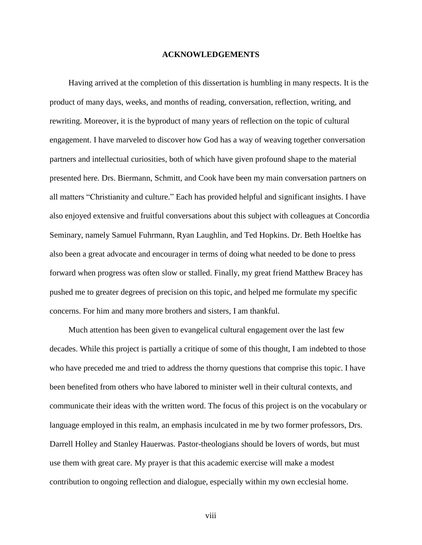#### **ACKNOWLEDGEMENTS**

Having arrived at the completion of this dissertation is humbling in many respects. It is the product of many days, weeks, and months of reading, conversation, reflection, writing, and rewriting. Moreover, it is the byproduct of many years of reflection on the topic of cultural engagement. I have marveled to discover how God has a way of weaving together conversation partners and intellectual curiosities, both of which have given profound shape to the material presented here. Drs. Biermann, Schmitt, and Cook have been my main conversation partners on all matters "Christianity and culture." Each has provided helpful and significant insights. I have also enjoyed extensive and fruitful conversations about this subject with colleagues at Concordia Seminary, namely Samuel Fuhrmann, Ryan Laughlin, and Ted Hopkins. Dr. Beth Hoeltke has also been a great advocate and encourager in terms of doing what needed to be done to press forward when progress was often slow or stalled. Finally, my great friend Matthew Bracey has pushed me to greater degrees of precision on this topic, and helped me formulate my specific concerns. For him and many more brothers and sisters, I am thankful.

Much attention has been given to evangelical cultural engagement over the last few decades. While this project is partially a critique of some of this thought, I am indebted to those who have preceded me and tried to address the thorny questions that comprise this topic. I have been benefited from others who have labored to minister well in their cultural contexts, and communicate their ideas with the written word. The focus of this project is on the vocabulary or language employed in this realm, an emphasis inculcated in me by two former professors, Drs. Darrell Holley and Stanley Hauerwas. Pastor-theologians should be lovers of words, but must use them with great care. My prayer is that this academic exercise will make a modest contribution to ongoing reflection and dialogue, especially within my own ecclesial home.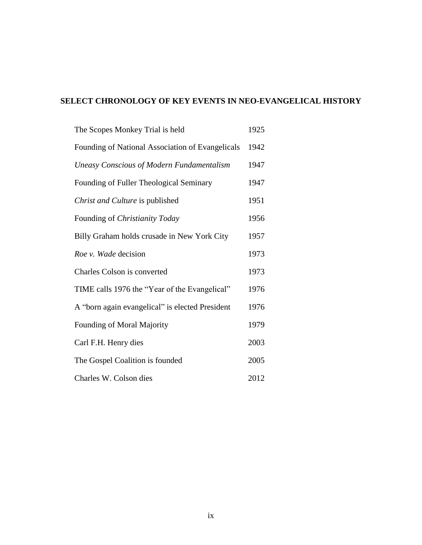# **SELECT CHRONOLOGY OF KEY EVENTS IN NEO-EVANGELICAL HISTORY**

| The Scopes Monkey Trial is held                  | 1925 |
|--------------------------------------------------|------|
| Founding of National Association of Evangelicals | 1942 |
| <b>Uneasy Conscious of Modern Fundamentalism</b> | 1947 |
| Founding of Fuller Theological Seminary          | 1947 |
| Christ and Culture is published                  | 1951 |
| Founding of Christianity Today                   | 1956 |
| Billy Graham holds crusade in New York City      | 1957 |
| Roe v. Wade decision                             | 1973 |
| Charles Colson is converted                      | 1973 |
| TIME calls 1976 the "Year of the Evangelical"    | 1976 |
| A "born again evangelical" is elected President  | 1976 |
| Founding of Moral Majority                       | 1979 |
| Carl F.H. Henry dies                             | 2003 |
| The Gospel Coalition is founded                  | 2005 |
| Charles W. Colson dies                           | 2012 |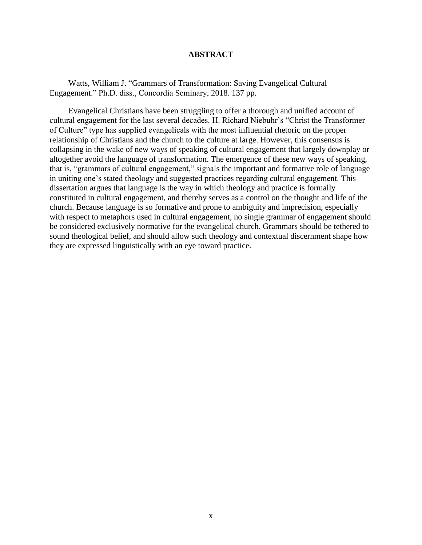## **ABSTRACT**

Watts, William J. "Grammars of Transformation: Saving Evangelical Cultural Engagement." Ph.D. diss., Concordia Seminary, 2018. 137 pp.

Evangelical Christians have been struggling to offer a thorough and unified account of cultural engagement for the last several decades. H. Richard Niebuhr's "Christ the Transformer of Culture" type has supplied evangelicals with the most influential rhetoric on the proper relationship of Christians and the church to the culture at large. However, this consensus is collapsing in the wake of new ways of speaking of cultural engagement that largely downplay or altogether avoid the language of transformation. The emergence of these new ways of speaking, that is, "grammars of cultural engagement," signals the important and formative role of language in uniting one's stated theology and suggested practices regarding cultural engagement. This dissertation argues that language is the way in which theology and practice is formally constituted in cultural engagement, and thereby serves as a control on the thought and life of the church. Because language is so formative and prone to ambiguity and imprecision, especially with respect to metaphors used in cultural engagement, no single grammar of engagement should be considered exclusively normative for the evangelical church. Grammars should be tethered to sound theological belief, and should allow such theology and contextual discernment shape how they are expressed linguistically with an eye toward practice.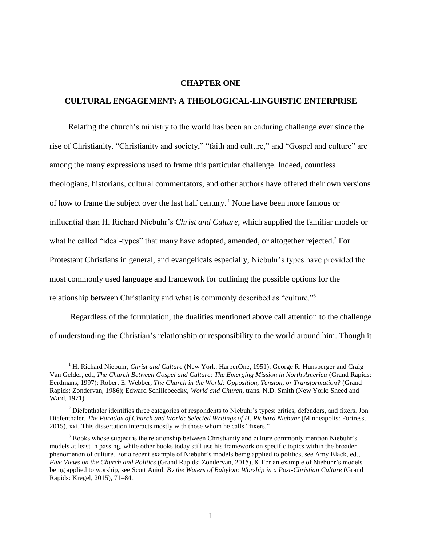#### **CHAPTER ONE**

### **CULTURAL ENGAGEMENT: A THEOLOGICAL-LINGUISTIC ENTERPRISE**

Relating the church's ministry to the world has been an enduring challenge ever since the rise of Christianity. "Christianity and society," "faith and culture," and "Gospel and culture" are among the many expressions used to frame this particular challenge. Indeed, countless theologians, historians, cultural commentators, and other authors have offered their own versions of how to frame the subject over the last half century. <sup>1</sup> None have been more famous or influential than H. Richard Niebuhr's *Christ and Culture*, which supplied the familiar models or what he called "ideal-types" that many have adopted, amended, or altogether rejected.<sup>2</sup> For Protestant Christians in general, and evangelicals especially, Niebuhr's types have provided the most commonly used language and framework for outlining the possible options for the relationship between Christianity and what is commonly described as "culture."<sup>3</sup>

Regardless of the formulation, the dualities mentioned above call attention to the challenge of understanding the Christian's relationship or responsibility to the world around him. Though it

<sup>&</sup>lt;sup>1</sup> H. Richard Niebuhr, *Christ and Culture* (New York: HarperOne, 1951); George R. Hunsberger and Craig Van Gelder, ed., *The Church Between Gospel and Culture: The Emerging Mission in North America* (Grand Rapids: Eerdmans, 1997); Robert E. Webber, *The Church in the World: Opposition, Tension, or Transformation?* (Grand Rapids: Zondervan, 1986); Edward Schillebeeckx, *World and Church,* trans. N.D. Smith (New York: Sheed and Ward, 1971).

<sup>&</sup>lt;sup>2</sup> Diefenthaler identifies three categories of respondents to Niebuhr's types: critics, defenders, and fixers. Jon Diefenthaler, *The Paradox of Church and World: Selected Writings of H. Richard Niebuhr* (Minneapolis: Fortress, 2015), xxi. This dissertation interacts mostly with those whom he calls "fixers."

<sup>&</sup>lt;sup>3</sup> Books whose subject is the relationship between Christianity and culture commonly mention Niebuhr's models at least in passing, while other books today still use his framework on specific topics within the broader phenomenon of culture. For a recent example of Niebuhr's models being applied to politics, see Amy Black, ed., *Five Views on the Church and Politics* (Grand Rapids: Zondervan, 2015), 8. For an example of Niebuhr's models being applied to worship, see Scott Aniol, *By the Waters of Babylon: Worship in a Post-Christian Culture* (Grand Rapids: Kregel, 2015), 71–84.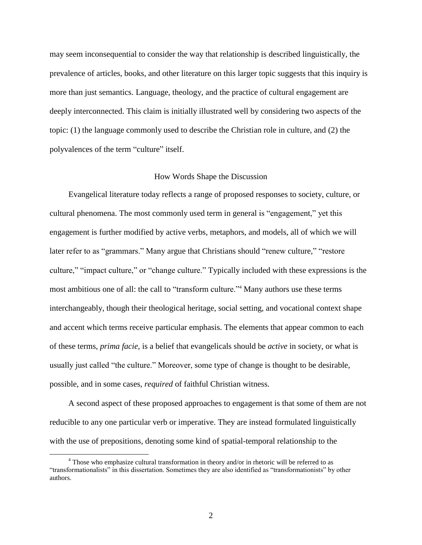may seem inconsequential to consider the way that relationship is described linguistically, the prevalence of articles, books, and other literature on this larger topic suggests that this inquiry is more than just semantics. Language, theology, and the practice of cultural engagement are deeply interconnected. This claim is initially illustrated well by considering two aspects of the topic: (1) the language commonly used to describe the Christian role in culture, and (2) the polyvalences of the term "culture" itself.

### How Words Shape the Discussion

Evangelical literature today reflects a range of proposed responses to society, culture, or cultural phenomena. The most commonly used term in general is "engagement," yet this engagement is further modified by active verbs, metaphors, and models, all of which we will later refer to as "grammars." Many argue that Christians should "renew culture," "restore culture," "impact culture," or "change culture." Typically included with these expressions is the most ambitious one of all: the call to "transform culture."<sup>4</sup> Many authors use these terms interchangeably, though their theological heritage, social setting, and vocational context shape and accent which terms receive particular emphasis. The elements that appear common to each of these terms, *prima facie*, is a belief that evangelicals should be *active* in society, or what is usually just called "the culture." Moreover, some type of change is thought to be desirable, possible, and in some cases, *required* of faithful Christian witness.

A second aspect of these proposed approaches to engagement is that some of them are not reducible to any one particular verb or imperative. They are instead formulated linguistically with the use of prepositions, denoting some kind of spatial-temporal relationship to the

<sup>&</sup>lt;sup>4</sup> Those who emphasize cultural transformation in theory and/or in rhetoric will be referred to as "transformationalists" in this dissertation. Sometimes they are also identified as "transformationists" by other authors.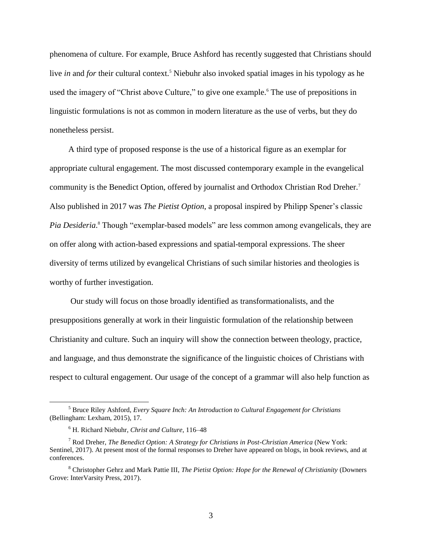phenomena of culture. For example, Bruce Ashford has recently suggested that Christians should live *in* and *for* their cultural context.<sup>5</sup> Niebuhr also invoked spatial images in his typology as he used the imagery of "Christ above Culture," to give one example.<sup>6</sup> The use of prepositions in linguistic formulations is not as common in modern literature as the use of verbs, but they do nonetheless persist.

A third type of proposed response is the use of a historical figure as an exemplar for appropriate cultural engagement. The most discussed contemporary example in the evangelical community is the Benedict Option, offered by journalist and Orthodox Christian Rod Dreher.<sup>7</sup> Also published in 2017 was *The Pietist Option*, a proposal inspired by Philipp Spener's classic Pia Desideria.<sup>8</sup> Though "exemplar-based models" are less common among evangelicals, they are on offer along with action-based expressions and spatial-temporal expressions. The sheer diversity of terms utilized by evangelical Christians of such similar histories and theologies is worthy of further investigation.

Our study will focus on those broadly identified as transformationalists, and the presuppositions generally at work in their linguistic formulation of the relationship between Christianity and culture. Such an inquiry will show the connection between theology, practice, and language, and thus demonstrate the significance of the linguistic choices of Christians with respect to cultural engagement. Our usage of the concept of a grammar will also help function as

<sup>5</sup> Bruce Riley Ashford, *Every Square Inch: An Introduction to Cultural Engagement for Christians* (Bellingham: Lexham, 2015), 17.

<sup>6</sup> H. Richard Niebuhr, *Christ and Culture*, 116–48

<sup>7</sup> Rod Dreher, *The Benedict Option: A Strategy for Christians in Post-Christian America* (New York: Sentinel, 2017). At present most of the formal responses to Dreher have appeared on blogs, in book reviews, and at conferences.

<sup>8</sup> Christopher Gehrz and Mark Pattie III, *The Pietist Option: Hope for the Renewal of Christianity* (Downers Grove: InterVarsity Press, 2017).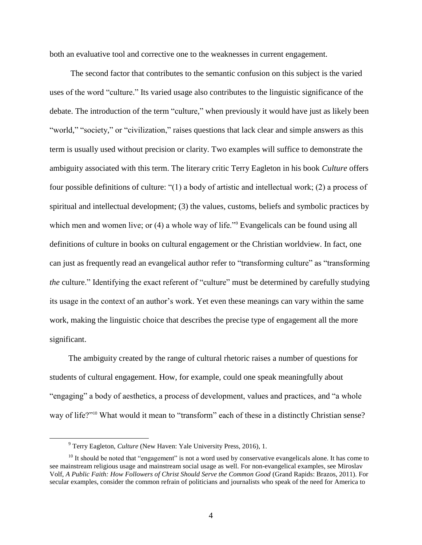both an evaluative tool and corrective one to the weaknesses in current engagement.

The second factor that contributes to the semantic confusion on this subject is the varied uses of the word "culture." Its varied usage also contributes to the linguistic significance of the debate. The introduction of the term "culture," when previously it would have just as likely been "world," "society," or "civilization," raises questions that lack clear and simple answers as this term is usually used without precision or clarity. Two examples will suffice to demonstrate the ambiguity associated with this term. The literary critic Terry Eagleton in his book *Culture* offers four possible definitions of culture: "(1) a body of artistic and intellectual work; (2) a process of spiritual and intellectual development; (3) the values, customs, beliefs and symbolic practices by which men and women live; or (4) a whole way of life."<sup>9</sup> Evangelicals can be found using all definitions of culture in books on cultural engagement or the Christian worldview. In fact, one can just as frequently read an evangelical author refer to "transforming culture" as "transforming *the* culture." Identifying the exact referent of "culture" must be determined by carefully studying its usage in the context of an author's work. Yet even these meanings can vary within the same work, making the linguistic choice that describes the precise type of engagement all the more significant.

The ambiguity created by the range of cultural rhetoric raises a number of questions for students of cultural engagement. How, for example, could one speak meaningfully about "engaging" a body of aesthetics, a process of development, values and practices, and "a whole way of life?"<sup>10</sup> What would it mean to "transform" each of these in a distinctly Christian sense?

<sup>9</sup> Terry Eagleton, *Culture* (New Haven: Yale University Press, 2016), 1.

 $10$  It should be noted that "engagement" is not a word used by conservative evangelicals alone. It has come to see mainstream religious usage and mainstream social usage as well. For non-evangelical examples, see Miroslav Volf, *A Public Faith: How Followers of Christ Should Serve the Common Good* (Grand Rapids: Brazos, 2011). For secular examples, consider the common refrain of politicians and journalists who speak of the need for America to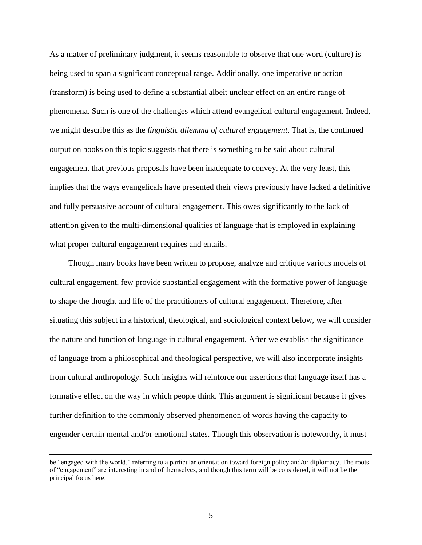As a matter of preliminary judgment, it seems reasonable to observe that one word (culture) is being used to span a significant conceptual range. Additionally, one imperative or action (transform) is being used to define a substantial albeit unclear effect on an entire range of phenomena. Such is one of the challenges which attend evangelical cultural engagement. Indeed, we might describe this as the *linguistic dilemma of cultural engagement*. That is, the continued output on books on this topic suggests that there is something to be said about cultural engagement that previous proposals have been inadequate to convey. At the very least, this implies that the ways evangelicals have presented their views previously have lacked a definitive and fully persuasive account of cultural engagement. This owes significantly to the lack of attention given to the multi-dimensional qualities of language that is employed in explaining what proper cultural engagement requires and entails.

Though many books have been written to propose, analyze and critique various models of cultural engagement, few provide substantial engagement with the formative power of language to shape the thought and life of the practitioners of cultural engagement. Therefore, after situating this subject in a historical, theological, and sociological context below, we will consider the nature and function of language in cultural engagement. After we establish the significance of language from a philosophical and theological perspective, we will also incorporate insights from cultural anthropology. Such insights will reinforce our assertions that language itself has a formative effect on the way in which people think. This argument is significant because it gives further definition to the commonly observed phenomenon of words having the capacity to engender certain mental and/or emotional states. Though this observation is noteworthy, it must

be "engaged with the world," referring to a particular orientation toward foreign policy and/or diplomacy. The roots of "engagement" are interesting in and of themselves, and though this term will be considered, it will not be the principal focus here.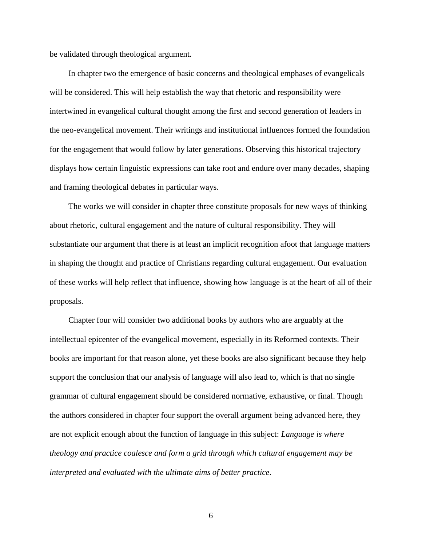be validated through theological argument.

In chapter two the emergence of basic concerns and theological emphases of evangelicals will be considered. This will help establish the way that rhetoric and responsibility were intertwined in evangelical cultural thought among the first and second generation of leaders in the neo-evangelical movement. Their writings and institutional influences formed the foundation for the engagement that would follow by later generations. Observing this historical trajectory displays how certain linguistic expressions can take root and endure over many decades, shaping and framing theological debates in particular ways.

The works we will consider in chapter three constitute proposals for new ways of thinking about rhetoric, cultural engagement and the nature of cultural responsibility. They will substantiate our argument that there is at least an implicit recognition afoot that language matters in shaping the thought and practice of Christians regarding cultural engagement. Our evaluation of these works will help reflect that influence, showing how language is at the heart of all of their proposals.

Chapter four will consider two additional books by authors who are arguably at the intellectual epicenter of the evangelical movement, especially in its Reformed contexts. Their books are important for that reason alone, yet these books are also significant because they help support the conclusion that our analysis of language will also lead to, which is that no single grammar of cultural engagement should be considered normative, exhaustive, or final. Though the authors considered in chapter four support the overall argument being advanced here, they are not explicit enough about the function of language in this subject: *Language is where theology and practice coalesce and form a grid through which cultural engagement may be interpreted and evaluated with the ultimate aims of better practice*.

6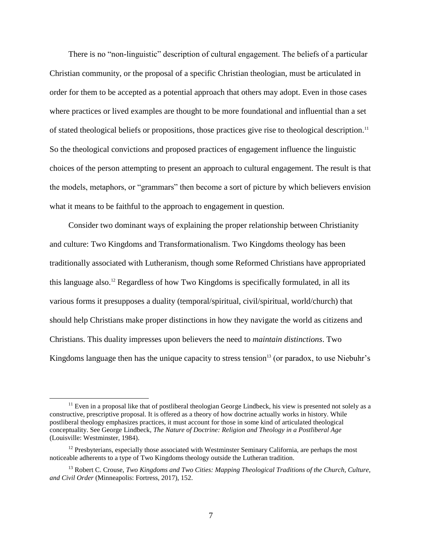There is no "non-linguistic" description of cultural engagement. The beliefs of a particular Christian community, or the proposal of a specific Christian theologian, must be articulated in order for them to be accepted as a potential approach that others may adopt. Even in those cases where practices or lived examples are thought to be more foundational and influential than a set of stated theological beliefs or propositions, those practices give rise to theological description. 11 So the theological convictions and proposed practices of engagement influence the linguistic choices of the person attempting to present an approach to cultural engagement. The result is that the models, metaphors, or "grammars" then become a sort of picture by which believers envision what it means to be faithful to the approach to engagement in question.

Consider two dominant ways of explaining the proper relationship between Christianity and culture: Two Kingdoms and Transformationalism. Two Kingdoms theology has been traditionally associated with Lutheranism, though some Reformed Christians have appropriated this language also.<sup>12</sup> Regardless of how Two Kingdoms is specifically formulated, in all its various forms it presupposes a duality (temporal/spiritual, civil/spiritual, world/church) that should help Christians make proper distinctions in how they navigate the world as citizens and Christians. This duality impresses upon believers the need to *maintain distinctions*. Two Kingdoms language then has the unique capacity to stress tension<sup>13</sup> (or paradox, to use Niebuhr's

 $11$  Even in a proposal like that of postliberal theologian George Lindbeck, his view is presented not solely as a constructive, prescriptive proposal. It is offered as a theory of how doctrine actually works in history. While postliberal theology emphasizes practices, it must account for those in some kind of articulated theological conceptuality. See George Lindbeck, *The Nature of Doctrine: Religion and Theology in a Postliberal Age* (Louisville: Westminster, 1984).

 $12$  Presbyterians, especially those associated with Westminster Seminary California, are perhaps the most noticeable adherents to a type of Two Kingdoms theology outside the Lutheran tradition.

<sup>13</sup> Robert C. Crouse, *Two Kingdoms and Two Cities: Mapping Theological Traditions of the Church, Culture, and Civil Order* (Minneapolis: Fortress, 2017), 152.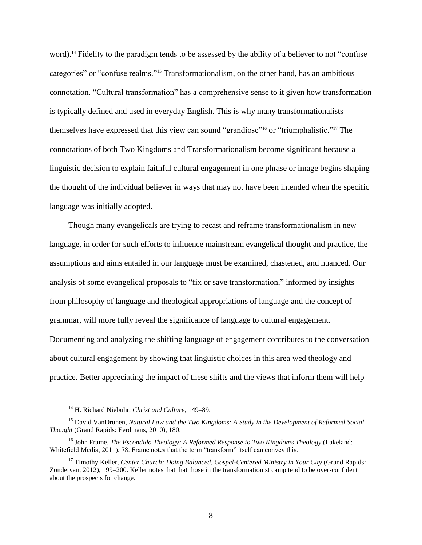word).<sup>14</sup> Fidelity to the paradigm tends to be assessed by the ability of a believer to not "confuse" categories" or "confuse realms."<sup>15</sup> Transformationalism, on the other hand, has an ambitious connotation. "Cultural transformation" has a comprehensive sense to it given how transformation is typically defined and used in everyday English. This is why many transformationalists themselves have expressed that this view can sound "grandiose" <sup>16</sup> or "triumphalistic."<sup>17</sup> The connotations of both Two Kingdoms and Transformationalism become significant because a linguistic decision to explain faithful cultural engagement in one phrase or image begins shaping the thought of the individual believer in ways that may not have been intended when the specific language was initially adopted.

Though many evangelicals are trying to recast and reframe transformationalism in new language, in order for such efforts to influence mainstream evangelical thought and practice, the assumptions and aims entailed in our language must be examined, chastened, and nuanced. Our analysis of some evangelical proposals to "fix or save transformation," informed by insights from philosophy of language and theological appropriations of language and the concept of grammar, will more fully reveal the significance of language to cultural engagement. Documenting and analyzing the shifting language of engagement contributes to the conversation about cultural engagement by showing that linguistic choices in this area wed theology and practice. Better appreciating the impact of these shifts and the views that inform them will help

<sup>14</sup> H. Richard Niebuhr, *Christ and Culture*, 149–89.

<sup>15</sup> David VanDrunen, *Natural Law and the Two Kingdoms: A Study in the Development of Reformed Social Thought* (Grand Rapids: Eerdmans, 2010), 180.

<sup>&</sup>lt;sup>16</sup> John Frame, *The Escondido Theology: A Reformed Response to Two Kingdoms Theology* (Lakeland: Whitefield Media, 2011), 78. Frame notes that the term "transform" itself can convey this.

<sup>&</sup>lt;sup>17</sup> Timothy Keller, *Center Church: Doing Balanced, Gospel-Centered Ministry in Your City* (Grand Rapids: Zondervan, 2012), 199–200. Keller notes that that those in the transformationist camp tend to be over-confident about the prospects for change.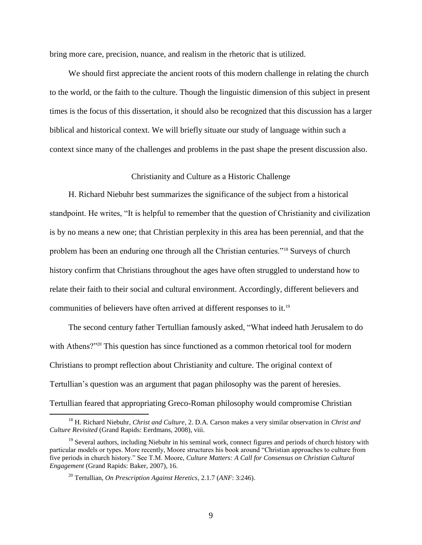bring more care, precision, nuance, and realism in the rhetoric that is utilized.

We should first appreciate the ancient roots of this modern challenge in relating the church to the world, or the faith to the culture. Though the linguistic dimension of this subject in present times is the focus of this dissertation, it should also be recognized that this discussion has a larger biblical and historical context. We will briefly situate our study of language within such a context since many of the challenges and problems in the past shape the present discussion also.

## Christianity and Culture as a Historic Challenge

H. Richard Niebuhr best summarizes the significance of the subject from a historical standpoint. He writes, "It is helpful to remember that the question of Christianity and civilization is by no means a new one; that Christian perplexity in this area has been perennial, and that the problem has been an enduring one through all the Christian centuries."<sup>18</sup> Surveys of church history confirm that Christians throughout the ages have often struggled to understand how to relate their faith to their social and cultural environment. Accordingly, different believers and communities of believers have often arrived at different responses to it.<sup>19</sup>

The second century father Tertullian famously asked, "What indeed hath Jerusalem to do with Athens?"<sup>20</sup> This question has since functioned as a common rhetorical tool for modern Christians to prompt reflection about Christianity and culture. The original context of Tertullian's question was an argument that pagan philosophy was the parent of heresies. Tertullian feared that appropriating Greco-Roman philosophy would compromise Christian

<sup>18</sup> H. Richard Niebuhr, *Christ and Culture*, 2. D.A. Carson makes a very similar observation in *Christ and Culture Revisited* (Grand Rapids: Eerdmans, 2008), viii.

<sup>&</sup>lt;sup>19</sup> Several authors, including Niebuhr in his seminal work, connect figures and periods of church history with particular models or types. More recently, Moore structures his book around "Christian approaches to culture from five periods in church history." See T.M. Moore, *Culture Matters: A Call for Consensus on Christian Cultural Engagement* (Grand Rapids: Baker, 2007), 16.

<sup>20</sup> Tertullian, *On Prescription Against Heretics*, 2.1.7 (*ANF*: 3:246).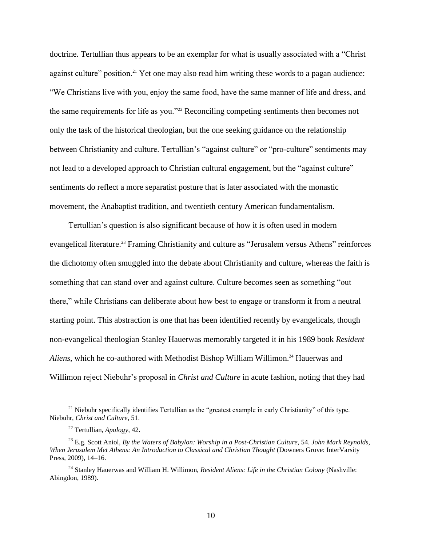doctrine. Tertullian thus appears to be an exemplar for what is usually associated with a "Christ against culture" position.<sup>21</sup> Yet one may also read him writing these words to a pagan audience: "We Christians live with you, enjoy the same food, have the same manner of life and dress, and the same requirements for life as you."<sup>22</sup> Reconciling competing sentiments then becomes not only the task of the historical theologian, but the one seeking guidance on the relationship between Christianity and culture. Tertullian's "against culture" or "pro-culture" sentiments may not lead to a developed approach to Christian cultural engagement, but the "against culture" sentiments do reflect a more separatist posture that is later associated with the monastic movement, the Anabaptist tradition, and twentieth century American fundamentalism.

Tertullian's question is also significant because of how it is often used in modern evangelical literature.<sup>23</sup> Framing Christianity and culture as "Jerusalem versus Athens" reinforces the dichotomy often smuggled into the debate about Christianity and culture, whereas the faith is something that can stand over and against culture. Culture becomes seen as something "out there," while Christians can deliberate about how best to engage or transform it from a neutral starting point. This abstraction is one that has been identified recently by evangelicals, though non-evangelical theologian Stanley Hauerwas memorably targeted it in his 1989 book *Resident*  Aliens, which he co-authored with Methodist Bishop William Willimon.<sup>24</sup> Hauerwas and Willimon reject Niebuhr's proposal in *Christ and Culture* in acute fashion, noting that they had

 $21$  Niebuhr specifically identifies Tertullian as the "greatest example in early Christianity" of this type. Niebuhr, *Christ and Culture*, 51.

<sup>22</sup> Tertullian, *Apology*, 42**.**

<sup>23</sup> E.g. Scott Aniol, *By the Waters of Babylon: Worship in a Post-Christian Culture*, 54. *John Mark Reynolds, When Jerusalem Met Athens: An Introduction to Classical and Christian Thought* (Downers Grove: InterVarsity Press, 2009), 14–16.

<sup>24</sup> Stanley Hauerwas and William H. Willimon, *Resident Aliens: Life in the Christian Colony* (Nashville: Abingdon, 1989).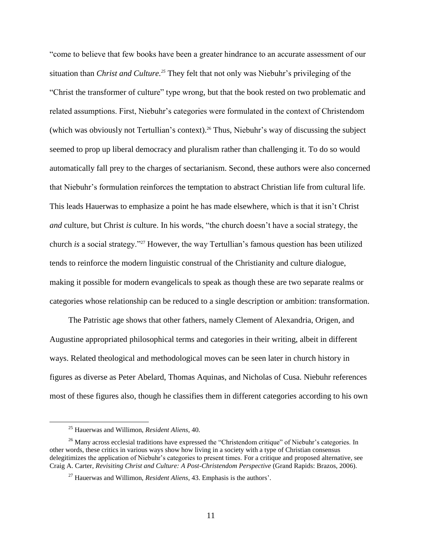"come to believe that few books have been a greater hindrance to an accurate assessment of our situation than *Christ and Culture.<sup>25</sup>* They felt that not only was Niebuhr's privileging of the "Christ the transformer of culture" type wrong, but that the book rested on two problematic and related assumptions. First, Niebuhr's categories were formulated in the context of Christendom (which was obviously not Tertullian's context).<sup>26</sup> Thus, Niebuhr's way of discussing the subject seemed to prop up liberal democracy and pluralism rather than challenging it. To do so would automatically fall prey to the charges of sectarianism. Second, these authors were also concerned that Niebuhr's formulation reinforces the temptation to abstract Christian life from cultural life. This leads Hauerwas to emphasize a point he has made elsewhere, which is that it isn't Christ *and* culture, but Christ *is* culture. In his words, "the church doesn't have a social strategy, the church *is* a social strategy."<sup>27</sup> However, the way Tertullian's famous question has been utilized tends to reinforce the modern linguistic construal of the Christianity and culture dialogue, making it possible for modern evangelicals to speak as though these are two separate realms or categories whose relationship can be reduced to a single description or ambition: transformation.

The Patristic age shows that other fathers, namely Clement of Alexandria, Origen, and Augustine appropriated philosophical terms and categories in their writing, albeit in different ways. Related theological and methodological moves can be seen later in church history in figures as diverse as Peter Abelard, Thomas Aquinas, and Nicholas of Cusa. Niebuhr references most of these figures also, though he classifies them in different categories according to his own

<sup>25</sup> Hauerwas and Willimon, *Resident Aliens*, 40.

<sup>&</sup>lt;sup>26</sup> Many across ecclesial traditions have expressed the "Christendom critique" of Niebuhr's categories. In other words, these critics in various ways show how living in a society with a type of Christian consensus delegitimizes the application of Niebuhr's categories to present times. For a critique and proposed alternative, see Craig A. Carter, *Revisiting Christ and Culture: A Post-Christendom Perspective* (Grand Rapids: Brazos, 2006).

<sup>27</sup> Hauerwas and Willimon, *Resident Aliens*, 43. Emphasis is the authors'.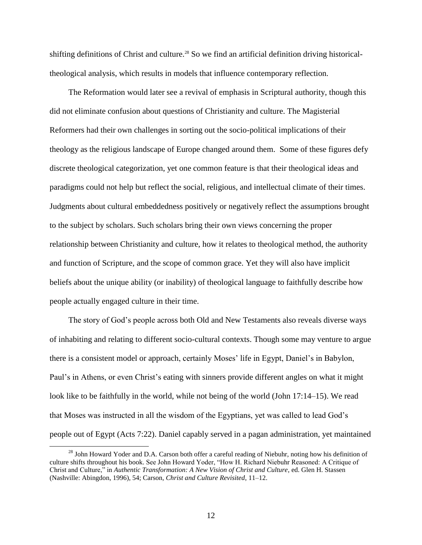shifting definitions of Christ and culture.<sup>28</sup> So we find an artificial definition driving historicaltheological analysis, which results in models that influence contemporary reflection.

The Reformation would later see a revival of emphasis in Scriptural authority, though this did not eliminate confusion about questions of Christianity and culture. The Magisterial Reformers had their own challenges in sorting out the socio-political implications of their theology as the religious landscape of Europe changed around them. Some of these figures defy discrete theological categorization, yet one common feature is that their theological ideas and paradigms could not help but reflect the social, religious, and intellectual climate of their times. Judgments about cultural embeddedness positively or negatively reflect the assumptions brought to the subject by scholars. Such scholars bring their own views concerning the proper relationship between Christianity and culture, how it relates to theological method, the authority and function of Scripture, and the scope of common grace. Yet they will also have implicit beliefs about the unique ability (or inability) of theological language to faithfully describe how people actually engaged culture in their time.

The story of God's people across both Old and New Testaments also reveals diverse ways of inhabiting and relating to different socio-cultural contexts. Though some may venture to argue there is a consistent model or approach, certainly Moses' life in Egypt, Daniel's in Babylon, Paul's in Athens, or even Christ's eating with sinners provide different angles on what it might look like to be faithfully in the world, while not being of the world (John 17:14–15). We read that Moses was instructed in all the wisdom of the Egyptians, yet was called to lead God's people out of Egypt (Acts 7:22). Daniel capably served in a pagan administration, yet maintained

<sup>&</sup>lt;sup>28</sup> John Howard Yoder and D.A. Carson both offer a careful reading of Niebuhr, noting how his definition of culture shifts throughout his book. See John Howard Yoder, "How H. Richard Niebuhr Reasoned: A Critique of Christ and Culture," in *Authentic Transformation: A New Vision of Christ and Culture*, ed. Glen H. Stassen (Nashville: Abingdon, 1996), 54; Carson, *Christ and Culture Revisited*, 11–12.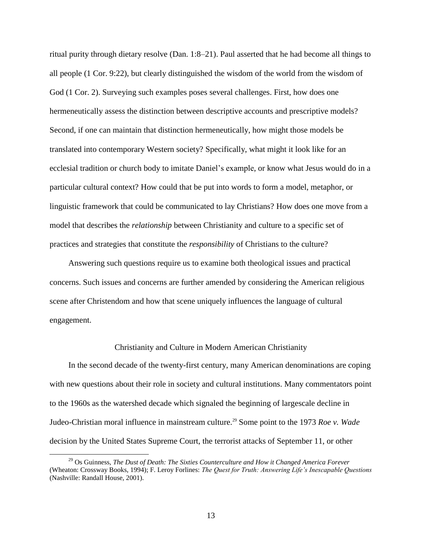ritual purity through dietary resolve (Dan. 1:8–21). Paul asserted that he had become all things to all people (1 Cor. 9:22), but clearly distinguished the wisdom of the world from the wisdom of God (1 Cor. 2). Surveying such examples poses several challenges. First, how does one hermeneutically assess the distinction between descriptive accounts and prescriptive models? Second, if one can maintain that distinction hermeneutically, how might those models be translated into contemporary Western society? Specifically, what might it look like for an ecclesial tradition or church body to imitate Daniel's example, or know what Jesus would do in a particular cultural context? How could that be put into words to form a model, metaphor, or linguistic framework that could be communicated to lay Christians? How does one move from a model that describes the *relationship* between Christianity and culture to a specific set of practices and strategies that constitute the *responsibility* of Christians to the culture?

Answering such questions require us to examine both theological issues and practical concerns. Such issues and concerns are further amended by considering the American religious scene after Christendom and how that scene uniquely influences the language of cultural engagement.

#### Christianity and Culture in Modern American Christianity

In the second decade of the twenty-first century, many American denominations are coping with new questions about their role in society and cultural institutions. Many commentators point to the 1960s as the watershed decade which signaled the beginning of largescale decline in Judeo-Christian moral influence in mainstream culture.<sup>29</sup> Some point to the 1973 *Roe v. Wade* decision by the United States Supreme Court, the terrorist attacks of September 11, or other

<sup>29</sup> Os Guinness, *The Dust of Death: The Sixties Counterculture and How it Changed America Forever* (Wheaton: Crossway Books, 1994); F. Leroy Forlines: *The Quest for Truth: Answering Life's Inescapable Questions*  (Nashville: Randall House, 2001).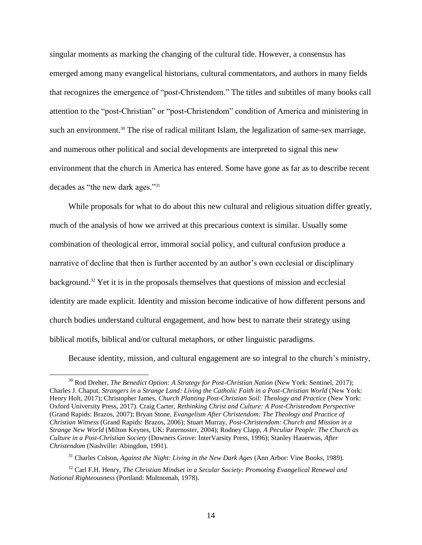singular moments as marking the changing of the cultural tide. However, a consensus has emerged among many evangelical historians, cultural commentators, and authors in many fields that recognizes the emergence of "post-Christendom." The titles and subtitles of many books call attention to the "post-Christian" or "post-Christendom" condition of America and ministering in such an environment.<sup>30</sup> The rise of radical militant Islam, the legalization of same-sex marriage, and numerous other political and social developments are interpreted to signal this new environment that the church in America has entered. Some have gone as far as to describe recent decades as "the new dark ages."<sup>31</sup>

While proposals for what to do about this new cultural and religious situation differ greatly, much of the analysis of how we arrived at this precarious context is similar. Usually some combination of theological error, immoral social policy, and cultural confusion produce a narrative of decline that then is further accented by an author's own ecclesial or disciplinary background.<sup>32</sup> Yet it is in the proposals themselves that questions of mission and ecclesial identity are made explicit. Identity and mission become indicative of how different persons and church bodies understand cultural engagement, and how best to narrate their strategy using biblical motifs, biblical and/or cultural metaphors, or other linguistic paradigms.

Because identity, mission, and cultural engagement are so integral to the church's ministry,

<sup>30</sup> Rod Dreher, *The Benedict Option: A Strategy for Post-Christian Nation* (New York: Sentinel, 2017); Charles J. Chaput, *Strangers in a Strange Land: Living the Catholic Faith in a Post-Christian World* (New York: Henry Holt, 2017); Christopher James, *Church Planting Post-Christian Soil: Theology and Practice* (New York: Oxford University Press, 2017). Craig Carter, *Rethinking Christ and Culture: A Post-Christendom Perspective* (Grand Rapids: Brazos, 2007); Bryan Stone, *Evangelism After Christendom: The Theology and Practice of Christian Witness* (Grand Rapids: Brazos, 2006); Stuart Murray, *Post-Christendom: Church and Mission in a Strange New World* (Milton Keynes, UK: Paternoster, 2004); Rodney Clapp, *A Peculiar People: The Church as Culture in a Post-Christian Society* (Downers Grove: InterVarsity Press, 1996); Stanley Hauerwas, *After Christendom* (Nashville: Abingdon, 1991).

<sup>31</sup> Charles Colson, *Against the Night: Living in the New Dark Ages* (Ann Arbor: Vine Books, 1989).

<sup>32</sup> Carl F.H. Henry, *The Christian Mindset in a Secular Society: Promoting Evangelical Renewal and National Righteousness* (Portland: Multnomah, 1978).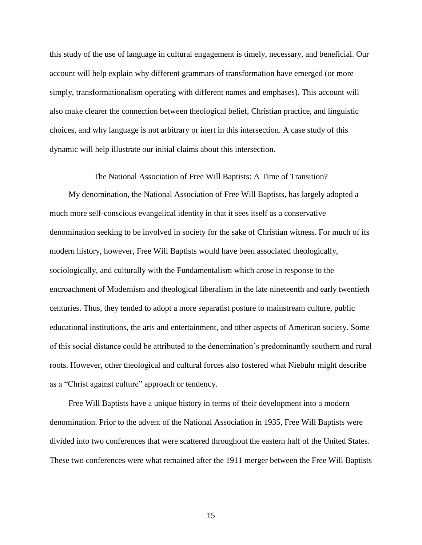this study of the use of language in cultural engagement is timely, necessary, and beneficial. Our account will help explain why different grammars of transformation have emerged (or more simply, transformationalism operating with different names and emphases). This account will also make clearer the connection between theological belief, Christian practice, and linguistic choices, and why language is not arbitrary or inert in this intersection. A case study of this dynamic will help illustrate our initial claims about this intersection.

The National Association of Free Will Baptists: A Time of Transition?

My denomination, the National Association of Free Will Baptists, has largely adopted a much more self-conscious evangelical identity in that it sees itself as a conservative denomination seeking to be involved in society for the sake of Christian witness. For much of its modern history, however, Free Will Baptists would have been associated theologically, sociologically, and culturally with the Fundamentalism which arose in response to the encroachment of Modernism and theological liberalism in the late nineteenth and early twentieth centuries. Thus, they tended to adopt a more separatist posture to mainstream culture, public educational institutions, the arts and entertainment, and other aspects of American society. Some of this social distance could be attributed to the denomination's predominantly southern and rural roots. However, other theological and cultural forces also fostered what Niebuhr might describe as a "Christ against culture" approach or tendency.

Free Will Baptists have a unique history in terms of their development into a modern denomination. Prior to the advent of the National Association in 1935, Free Will Baptists were divided into two conferences that were scattered throughout the eastern half of the United States. These two conferences were what remained after the 1911 merger between the Free Will Baptists

15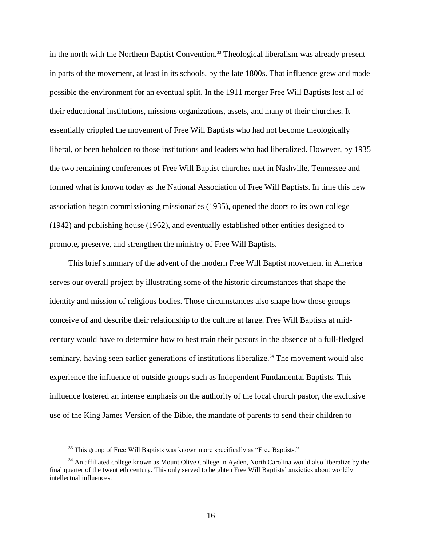in the north with the Northern Baptist Convention.<sup>33</sup> Theological liberalism was already present in parts of the movement, at least in its schools, by the late 1800s. That influence grew and made possible the environment for an eventual split. In the 1911 merger Free Will Baptists lost all of their educational institutions, missions organizations, assets, and many of their churches. It essentially crippled the movement of Free Will Baptists who had not become theologically liberal, or been beholden to those institutions and leaders who had liberalized. However, by 1935 the two remaining conferences of Free Will Baptist churches met in Nashville, Tennessee and formed what is known today as the National Association of Free Will Baptists. In time this new association began commissioning missionaries (1935), opened the doors to its own college (1942) and publishing house (1962), and eventually established other entities designed to promote, preserve, and strengthen the ministry of Free Will Baptists.

This brief summary of the advent of the modern Free Will Baptist movement in America serves our overall project by illustrating some of the historic circumstances that shape the identity and mission of religious bodies. Those circumstances also shape how those groups conceive of and describe their relationship to the culture at large. Free Will Baptists at midcentury would have to determine how to best train their pastors in the absence of a full-fledged seminary, having seen earlier generations of institutions liberalize.<sup>34</sup> The movement would also experience the influence of outside groups such as Independent Fundamental Baptists. This influence fostered an intense emphasis on the authority of the local church pastor, the exclusive use of the King James Version of the Bible, the mandate of parents to send their children to

<sup>&</sup>lt;sup>33</sup> This group of Free Will Baptists was known more specifically as "Free Baptists."

<sup>&</sup>lt;sup>34</sup> An affiliated college known as Mount Olive College in Ayden, North Carolina would also liberalize by the final quarter of the twentieth century. This only served to heighten Free Will Baptists' anxieties about worldly intellectual influences.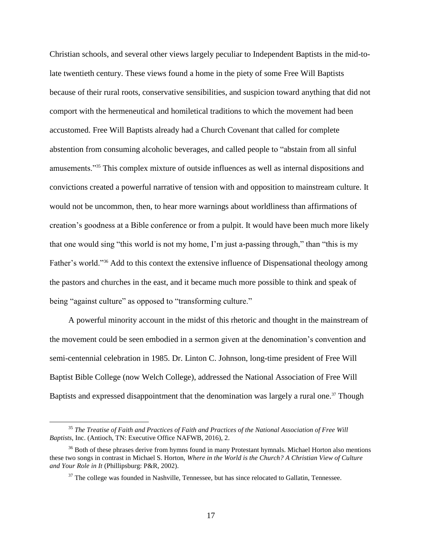Christian schools, and several other views largely peculiar to Independent Baptists in the mid-tolate twentieth century. These views found a home in the piety of some Free Will Baptists because of their rural roots, conservative sensibilities, and suspicion toward anything that did not comport with the hermeneutical and homiletical traditions to which the movement had been accustomed. Free Will Baptists already had a Church Covenant that called for complete abstention from consuming alcoholic beverages, and called people to "abstain from all sinful amusements."<sup>35</sup> This complex mixture of outside influences as well as internal dispositions and convictions created a powerful narrative of tension with and opposition to mainstream culture. It would not be uncommon, then, to hear more warnings about worldliness than affirmations of creation's goodness at a Bible conference or from a pulpit. It would have been much more likely that one would sing "this world is not my home, I'm just a-passing through," than "this is my Father's world."<sup>36</sup> Add to this context the extensive influence of Dispensational theology among the pastors and churches in the east, and it became much more possible to think and speak of being "against culture" as opposed to "transforming culture."

A powerful minority account in the midst of this rhetoric and thought in the mainstream of the movement could be seen embodied in a sermon given at the denomination's convention and semi-centennial celebration in 1985. Dr. Linton C. Johnson, long-time president of Free Will Baptist Bible College (now Welch College), addressed the National Association of Free Will Baptists and expressed disappointment that the denomination was largely a rural one.<sup>37</sup> Though

<sup>35</sup> *The Treatise of Faith and Practices of Faith and Practices of the National Association of Free Will Baptists*, Inc. (Antioch, TN: Executive Office NAFWB, 2016), 2.

<sup>&</sup>lt;sup>36</sup> Both of these phrases derive from hymns found in many Protestant hymnals. Michael Horton also mentions these two songs in contrast in Michael S. Horton, *Where in the World is the Church? A Christian View of Culture and Your Role in It* (Phillipsburg: P&R, 2002).

<sup>&</sup>lt;sup>37</sup> The college was founded in Nashville, Tennessee, but has since relocated to Gallatin, Tennessee.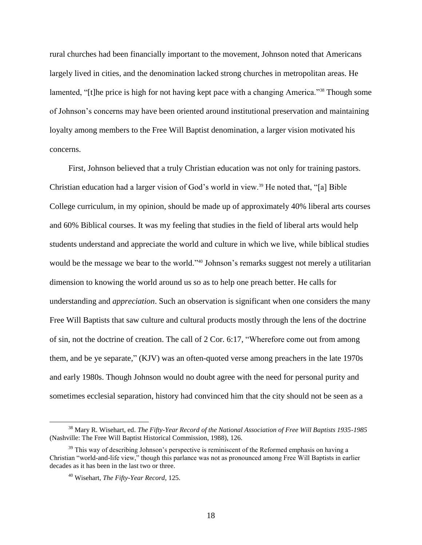rural churches had been financially important to the movement, Johnson noted that Americans largely lived in cities, and the denomination lacked strong churches in metropolitan areas. He lamented, "[t]he price is high for not having kept pace with a changing America."<sup>38</sup> Though some of Johnson's concerns may have been oriented around institutional preservation and maintaining loyalty among members to the Free Will Baptist denomination, a larger vision motivated his concerns.

First, Johnson believed that a truly Christian education was not only for training pastors. Christian education had a larger vision of God's world in view.<sup>39</sup> He noted that, "[a] Bible College curriculum, in my opinion, should be made up of approximately 40% liberal arts courses and 60% Biblical courses. It was my feeling that studies in the field of liberal arts would help students understand and appreciate the world and culture in which we live, while biblical studies would be the message we bear to the world."<sup>40</sup> Johnson's remarks suggest not merely a utilitarian dimension to knowing the world around us so as to help one preach better. He calls for understanding and *appreciation*. Such an observation is significant when one considers the many Free Will Baptists that saw culture and cultural products mostly through the lens of the doctrine of sin, not the doctrine of creation. The call of 2 Cor. 6:17, "Wherefore come out from among them, and be ye separate," (KJV) was an often-quoted verse among preachers in the late 1970s and early 1980s. Though Johnson would no doubt agree with the need for personal purity and sometimes ecclesial separation, history had convinced him that the city should not be seen as a

<sup>38</sup> Mary R. Wisehart, ed. *The Fifty-Year Record of the National Association of Free Will Baptists 1935-1985*  (Nashville: The Free Will Baptist Historical Commission, 1988), 126.

<sup>&</sup>lt;sup>39</sup> This way of describing Johnson's perspective is reminiscent of the Reformed emphasis on having a Christian "world-and-life view," though this parlance was not as pronounced among Free Will Baptists in earlier decades as it has been in the last two or three.

<sup>40</sup> Wisehart, *The Fifty-Year Record*, 125.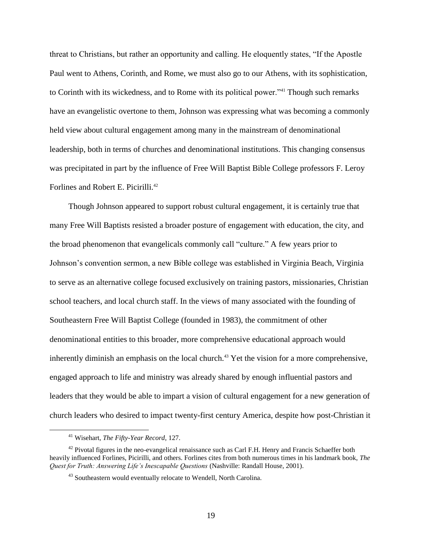threat to Christians, but rather an opportunity and calling. He eloquently states, "If the Apostle Paul went to Athens, Corinth, and Rome, we must also go to our Athens, with its sophistication, to Corinth with its wickedness, and to Rome with its political power."<sup>41</sup> Though such remarks have an evangelistic overtone to them, Johnson was expressing what was becoming a commonly held view about cultural engagement among many in the mainstream of denominational leadership, both in terms of churches and denominational institutions. This changing consensus was precipitated in part by the influence of Free Will Baptist Bible College professors F. Leroy Forlines and Robert E. Picirilli.<sup>42</sup>

Though Johnson appeared to support robust cultural engagement, it is certainly true that many Free Will Baptists resisted a broader posture of engagement with education, the city, and the broad phenomenon that evangelicals commonly call "culture." A few years prior to Johnson's convention sermon, a new Bible college was established in Virginia Beach, Virginia to serve as an alternative college focused exclusively on training pastors, missionaries, Christian school teachers, and local church staff. In the views of many associated with the founding of Southeastern Free Will Baptist College (founded in 1983), the commitment of other denominational entities to this broader, more comprehensive educational approach would inherently diminish an emphasis on the local church.<sup>43</sup> Yet the vision for a more comprehensive, engaged approach to life and ministry was already shared by enough influential pastors and leaders that they would be able to impart a vision of cultural engagement for a new generation of church leaders who desired to impact twenty-first century America, despite how post-Christian it

<sup>41</sup> Wisehart, *The Fifty-Year Record*, 127.

 $42$  Pivotal figures in the neo-evangelical renaissance such as Carl F.H. Henry and Francis Schaeffer both heavily influenced Forlines, Picirilli, and others. Forlines cites from both numerous times in his landmark book, *The Quest for Truth: Answering Life's Inescapable Questions* (Nashville: Randall House, 2001).

<sup>&</sup>lt;sup>43</sup> Southeastern would eventually relocate to Wendell, North Carolina.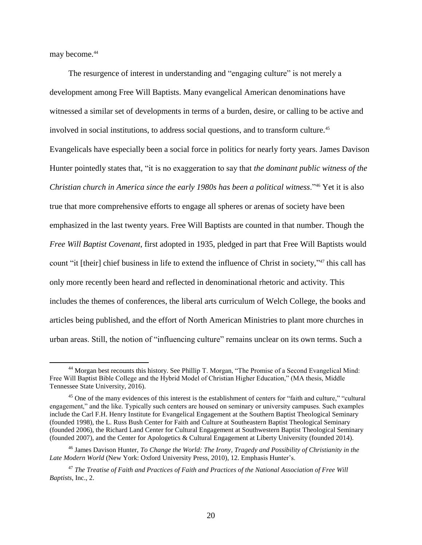may become.<sup>44</sup>

 $\overline{a}$ 

The resurgence of interest in understanding and "engaging culture" is not merely a development among Free Will Baptists. Many evangelical American denominations have witnessed a similar set of developments in terms of a burden, desire, or calling to be active and involved in social institutions, to address social questions, and to transform culture.<sup>45</sup> Evangelicals have especially been a social force in politics for nearly forty years. James Davison Hunter pointedly states that, "it is no exaggeration to say that *the dominant public witness of the Christian church in America since the early 1980s has been a political witness*."<sup>46</sup> Yet it is also true that more comprehensive efforts to engage all spheres or arenas of society have been emphasized in the last twenty years. Free Will Baptists are counted in that number. Though the *Free Will Baptist Covenant*, first adopted in 1935, pledged in part that Free Will Baptists would count "it [their] chief business in life to extend the influence of Christ in society,"<sup>47</sup> this call has only more recently been heard and reflected in denominational rhetoric and activity. This includes the themes of conferences, the liberal arts curriculum of Welch College, the books and articles being published, and the effort of North American Ministries to plant more churches in urban areas. Still, the notion of "influencing culture" remains unclear on its own terms. Such a

<sup>44</sup> Morgan best recounts this history. See Phillip T. Morgan, "The Promise of a Second Evangelical Mind: Free Will Baptist Bible College and the Hybrid Model of Christian Higher Education," (MA thesis, Middle Tennessee State University, 2016).

<sup>&</sup>lt;sup>45</sup> One of the many evidences of this interest is the establishment of centers for "faith and culture," "cultural" engagement," and the like. Typically such centers are housed on seminary or university campuses. Such examples include the Carl F.H. Henry Institute for Evangelical Engagement at the Southern Baptist Theological Seminary (founded 1998), the L. Russ Bush Center for Faith and Culture at Southeastern Baptist Theological Seminary (founded 2006), the Richard Land Center for Cultural Engagement at Southwestern Baptist Theological Seminary (founded 2007), and the Center for Apologetics & Cultural Engagement at Liberty University (founded 2014).

<sup>46</sup> James Davison Hunter, *To Change the World: The Irony, Tragedy and Possibility of Christianity in the Late Modern World* (New York: Oxford University Press, 2010), 12. Emphasis Hunter's.

<sup>47</sup> *The Treatise of Faith and Practices of Faith and Practices of the National Association of Free Will Baptists*, Inc., 2.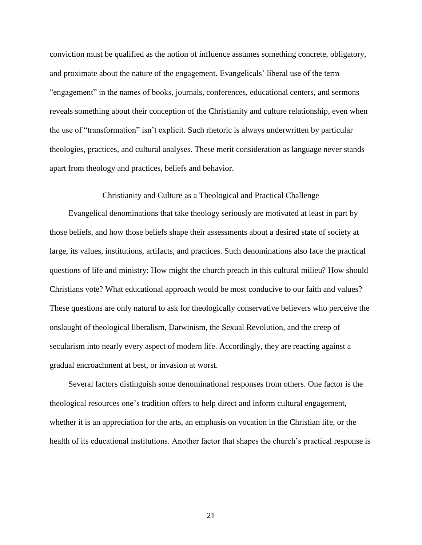conviction must be qualified as the notion of influence assumes something concrete, obligatory, and proximate about the nature of the engagement. Evangelicals' liberal use of the term "engagement" in the names of books, journals, conferences, educational centers, and sermons reveals something about their conception of the Christianity and culture relationship, even when the use of "transformation" isn't explicit. Such rhetoric is always underwritten by particular theologies, practices, and cultural analyses. These merit consideration as language never stands apart from theology and practices, beliefs and behavior.

Christianity and Culture as a Theological and Practical Challenge

Evangelical denominations that take theology seriously are motivated at least in part by those beliefs, and how those beliefs shape their assessments about a desired state of society at large, its values, institutions, artifacts, and practices. Such denominations also face the practical questions of life and ministry: How might the church preach in this cultural milieu? How should Christians vote? What educational approach would be most conducive to our faith and values? These questions are only natural to ask for theologically conservative believers who perceive the onslaught of theological liberalism, Darwinism, the Sexual Revolution, and the creep of secularism into nearly every aspect of modern life. Accordingly, they are reacting against a gradual encroachment at best, or invasion at worst.

Several factors distinguish some denominational responses from others. One factor is the theological resources one's tradition offers to help direct and inform cultural engagement, whether it is an appreciation for the arts, an emphasis on vocation in the Christian life, or the health of its educational institutions. Another factor that shapes the church's practical response is

21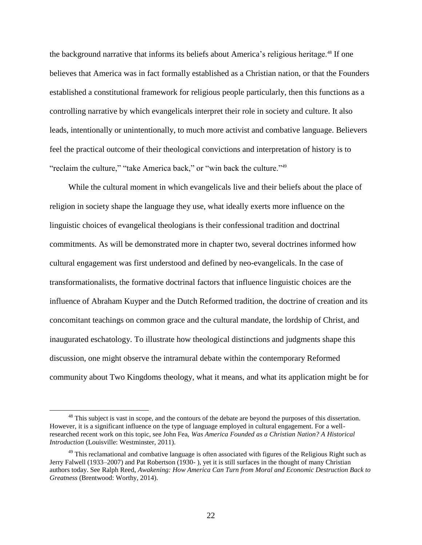the background narrative that informs its beliefs about America's religious heritage.<sup>48</sup> If one believes that America was in fact formally established as a Christian nation, or that the Founders established a constitutional framework for religious people particularly, then this functions as a controlling narrative by which evangelicals interpret their role in society and culture. It also leads, intentionally or unintentionally, to much more activist and combative language. Believers feel the practical outcome of their theological convictions and interpretation of history is to "reclaim the culture," "take America back," or "win back the culture."<sup>49</sup>

While the cultural moment in which evangelicals live and their beliefs about the place of religion in society shape the language they use, what ideally exerts more influence on the linguistic choices of evangelical theologians is their confessional tradition and doctrinal commitments. As will be demonstrated more in chapter two, several doctrines informed how cultural engagement was first understood and defined by neo-evangelicals. In the case of transformationalists, the formative doctrinal factors that influence linguistic choices are the influence of Abraham Kuyper and the Dutch Reformed tradition, the doctrine of creation and its concomitant teachings on common grace and the cultural mandate, the lordship of Christ, and inaugurated eschatology. To illustrate how theological distinctions and judgments shape this discussion, one might observe the intramural debate within the contemporary Reformed community about Two Kingdoms theology, what it means, and what its application might be for

<sup>&</sup>lt;sup>48</sup> This subject is vast in scope, and the contours of the debate are beyond the purposes of this dissertation. However, it is a significant influence on the type of language employed in cultural engagement. For a wellresearched recent work on this topic, see John Fea, *Was America Founded as a Christian Nation? A Historical Introduction* (Louisville: Westminster, 2011).

<sup>&</sup>lt;sup>49</sup> This reclamational and combative language is often associated with figures of the Religious Right such as Jerry Falwell (1933–2007) and Pat Robertson (1930- ), yet it is still surfaces in the thought of many Christian authors today. See Ralph Reed, *Awakening: How America Can Turn from Moral and Economic Destruction Back to Greatness* (Brentwood: Worthy, 2014).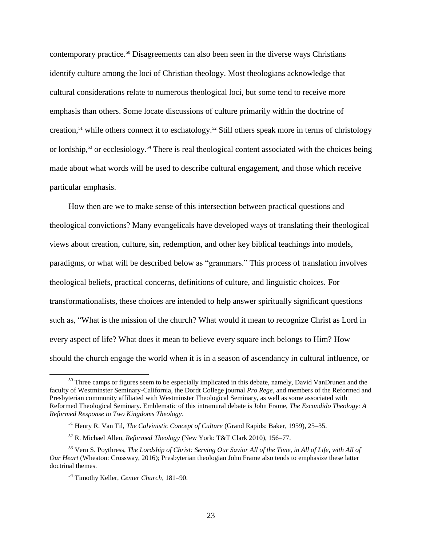contemporary practice.<sup>50</sup> Disagreements can also been seen in the diverse ways Christians identify culture among the loci of Christian theology. Most theologians acknowledge that cultural considerations relate to numerous theological loci, but some tend to receive more emphasis than others. Some locate discussions of culture primarily within the doctrine of creation,<sup>51</sup> while others connect it to eschatology.<sup>52</sup> Still others speak more in terms of christology or lordship,<sup>53</sup> or ecclesiology.<sup>54</sup> There is real theological content associated with the choices being made about what words will be used to describe cultural engagement, and those which receive particular emphasis.

How then are we to make sense of this intersection between practical questions and theological convictions? Many evangelicals have developed ways of translating their theological views about creation, culture, sin, redemption, and other key biblical teachings into models, paradigms, or what will be described below as "grammars." This process of translation involves theological beliefs, practical concerns, definitions of culture, and linguistic choices. For transformationalists, these choices are intended to help answer spiritually significant questions such as, "What is the mission of the church? What would it mean to recognize Christ as Lord in every aspect of life? What does it mean to believe every square inch belongs to Him? How should the church engage the world when it is in a season of ascendancy in cultural influence, or

<sup>&</sup>lt;sup>50</sup> Three camps or figures seem to be especially implicated in this debate, namely, David VanDrunen and the faculty of Westminster Seminary-California, the Dordt College journal *Pro Rege*, and members of the Reformed and Presbyterian community affiliated with Westminster Theological Seminary, as well as some associated with Reformed Theological Seminary. Emblematic of this intramural debate is John Frame, *The Escondido Theology: A Reformed Response to Two Kingdoms Theology*.

<sup>51</sup> Henry R. Van Til, *The Calvinistic Concept of Culture* (Grand Rapids: Baker, 1959), 25–35.

<sup>52</sup> R. Michael Allen, *Reformed Theology* (New York: T&T Clark 2010), 156–77.

<sup>53</sup> Vern S. Poythress, *The Lordship of Christ: Serving Our Savior All of the Time, in All of Life, with All of Our Heart* (Wheaton: Crossway, 2016); Presbyterian theologian John Frame also tends to emphasize these latter doctrinal themes.

<sup>54</sup> Timothy Keller, *Center Church*, 181–90.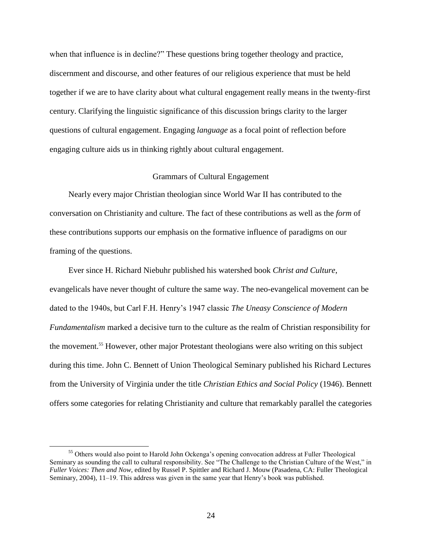when that influence is in decline?" These questions bring together theology and practice, discernment and discourse, and other features of our religious experience that must be held together if we are to have clarity about what cultural engagement really means in the twenty-first century. Clarifying the linguistic significance of this discussion brings clarity to the larger questions of cultural engagement. Engaging *language* as a focal point of reflection before engaging culture aids us in thinking rightly about cultural engagement.

### Grammars of Cultural Engagement

Nearly every major Christian theologian since World War II has contributed to the conversation on Christianity and culture. The fact of these contributions as well as the *form* of these contributions supports our emphasis on the formative influence of paradigms on our framing of the questions.

Ever since H. Richard Niebuhr published his watershed book *Christ and Culture*, evangelicals have never thought of culture the same way. The neo-evangelical movement can be dated to the 1940s, but Carl F.H. Henry's 1947 classic *The Uneasy Conscience of Modern Fundamentalism* marked a decisive turn to the culture as the realm of Christian responsibility for the movement.<sup>55</sup> However, other major Protestant theologians were also writing on this subject during this time. John C. Bennett of Union Theological Seminary published his Richard Lectures from the University of Virginia under the title *Christian Ethics and Social Policy* (1946). Bennett offers some categories for relating Christianity and culture that remarkably parallel the categories

<sup>&</sup>lt;sup>55</sup> Others would also point to Harold John Ockenga's opening convocation address at Fuller Theological Seminary as sounding the call to cultural responsibility. See "The Challenge to the Christian Culture of the West," in *Fuller Voices: Then and Now*, edited by Russel P. Spittler and Richard J. Mouw (Pasadena, CA: Fuller Theological Seminary, 2004), 11–19. This address was given in the same year that Henry's book was published.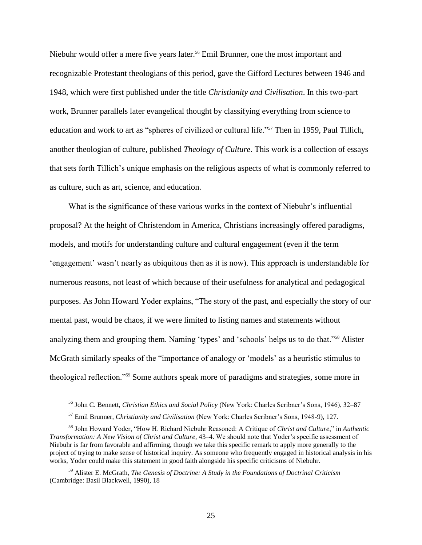Niebuhr would offer a mere five years later.<sup>56</sup> Emil Brunner, one the most important and recognizable Protestant theologians of this period, gave the Gifford Lectures between 1946 and 1948, which were first published under the title *Christianity and Civilisation*. In this two-part work, Brunner parallels later evangelical thought by classifying everything from science to education and work to art as "spheres of civilized or cultural life."<sup>57</sup> Then in 1959, Paul Tillich, another theologian of culture, published *Theology of Culture*. This work is a collection of essays that sets forth Tillich's unique emphasis on the religious aspects of what is commonly referred to as culture, such as art, science, and education.

What is the significance of these various works in the context of Niebuhr's influential proposal? At the height of Christendom in America, Christians increasingly offered paradigms, models, and motifs for understanding culture and cultural engagement (even if the term 'engagement' wasn't nearly as ubiquitous then as it is now). This approach is understandable for numerous reasons, not least of which because of their usefulness for analytical and pedagogical purposes. As John Howard Yoder explains, "The story of the past, and especially the story of our mental past, would be chaos, if we were limited to listing names and statements without analyzing them and grouping them. Naming 'types' and 'schools' helps us to do that."<sup>58</sup> Alister McGrath similarly speaks of the "importance of analogy or 'models' as a heuristic stimulus to theological reflection."<sup>59</sup> Some authors speak more of paradigms and strategies, some more in

<sup>56</sup> John C. Bennett, *Christian Ethics and Social Policy* (New York: Charles Scribner's Sons, 1946), 32–87

<sup>57</sup> Emil Brunner, *Christianity and Civilisation* (New York: Charles Scribner's Sons, 1948-9), 127.

<sup>58</sup> John Howard Yoder, "How H. Richard Niebuhr Reasoned: A Critique of *Christ and Culture*," in *Authentic Transformation: A New Vision of Christ and Culture,* 43–4. We should note that Yoder's specific assessment of Niebuhr is far from favorable and affirming, though we take this specific remark to apply more generally to the project of trying to make sense of historical inquiry. As someone who frequently engaged in historical analysis in his works, Yoder could make this statement in good faith alongside his specific criticisms of Niebuhr.

<sup>59</sup> Alister E. McGrath, *The Genesis of Doctrine: A Study in the Foundations of Doctrinal Criticism* (Cambridge: Basil Blackwell, 1990), 18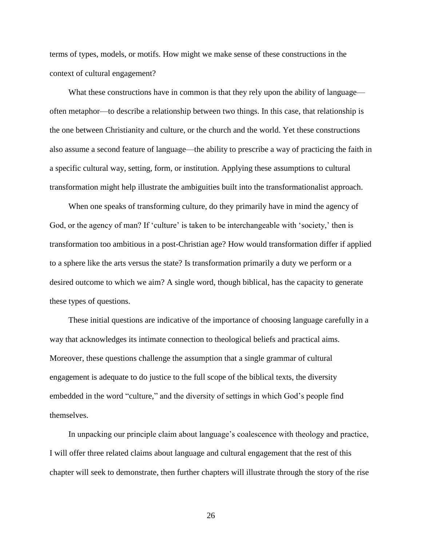terms of types, models, or motifs. How might we make sense of these constructions in the context of cultural engagement?

What these constructions have in common is that they rely upon the ability of language often metaphor—to describe a relationship between two things. In this case, that relationship is the one between Christianity and culture, or the church and the world. Yet these constructions also assume a second feature of language—the ability to prescribe a way of practicing the faith in a specific cultural way, setting, form, or institution. Applying these assumptions to cultural transformation might help illustrate the ambiguities built into the transformationalist approach.

When one speaks of transforming culture, do they primarily have in mind the agency of God, or the agency of man? If 'culture' is taken to be interchangeable with 'society,' then is transformation too ambitious in a post-Christian age? How would transformation differ if applied to a sphere like the arts versus the state? Is transformation primarily a duty we perform or a desired outcome to which we aim? A single word, though biblical, has the capacity to generate these types of questions.

These initial questions are indicative of the importance of choosing language carefully in a way that acknowledges its intimate connection to theological beliefs and practical aims. Moreover, these questions challenge the assumption that a single grammar of cultural engagement is adequate to do justice to the full scope of the biblical texts, the diversity embedded in the word "culture," and the diversity of settings in which God's people find themselves.

In unpacking our principle claim about language's coalescence with theology and practice, I will offer three related claims about language and cultural engagement that the rest of this chapter will seek to demonstrate, then further chapters will illustrate through the story of the rise

26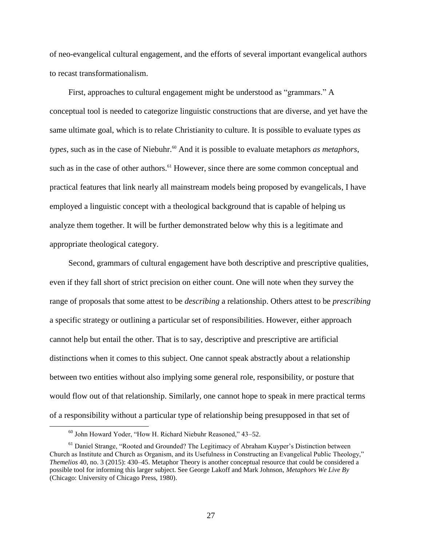of neo-evangelical cultural engagement, and the efforts of several important evangelical authors to recast transformationalism.

First, approaches to cultural engagement might be understood as "grammars." A conceptual tool is needed to categorize linguistic constructions that are diverse, and yet have the same ultimate goal, which is to relate Christianity to culture. It is possible to evaluate types *as types*, such as in the case of Niebuhr.<sup>60</sup> And it is possible to evaluate metaphors *as metaphors*, such as in the case of other authors.<sup>61</sup> However, since there are some common conceptual and practical features that link nearly all mainstream models being proposed by evangelicals, I have employed a linguistic concept with a theological background that is capable of helping us analyze them together. It will be further demonstrated below why this is a legitimate and appropriate theological category.

Second, grammars of cultural engagement have both descriptive and prescriptive qualities, even if they fall short of strict precision on either count. One will note when they survey the range of proposals that some attest to be *describing* a relationship. Others attest to be *prescribing* a specific strategy or outlining a particular set of responsibilities. However, either approach cannot help but entail the other. That is to say, descriptive and prescriptive are artificial distinctions when it comes to this subject. One cannot speak abstractly about a relationship between two entities without also implying some general role, responsibility, or posture that would flow out of that relationship. Similarly, one cannot hope to speak in mere practical terms of a responsibility without a particular type of relationship being presupposed in that set of

<sup>60</sup> John Howard Yoder, "How H. Richard Niebuhr Reasoned," 43–52.

<sup>&</sup>lt;sup>61</sup> Daniel Strange, "Rooted and Grounded? The Legitimacy of Abraham Kuyper's Distinction between Church as Institute and Church as Organism, and its Usefulness in Constructing an Evangelical Public Theology," *Themelios* 40, no. 3 (2015): 430–45. Metaphor Theory is another conceptual resource that could be considered a possible tool for informing this larger subject. See George Lakoff and Mark Johnson, *Metaphors We Live By* (Chicago: University of Chicago Press, 1980).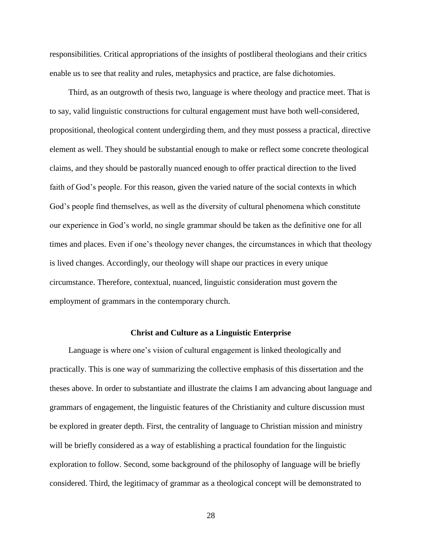responsibilities. Critical appropriations of the insights of postliberal theologians and their critics enable us to see that reality and rules, metaphysics and practice, are false dichotomies.

Third, as an outgrowth of thesis two, language is where theology and practice meet. That is to say, valid linguistic constructions for cultural engagement must have both well-considered, propositional, theological content undergirding them, and they must possess a practical, directive element as well. They should be substantial enough to make or reflect some concrete theological claims, and they should be pastorally nuanced enough to offer practical direction to the lived faith of God's people. For this reason, given the varied nature of the social contexts in which God's people find themselves, as well as the diversity of cultural phenomena which constitute our experience in God's world, no single grammar should be taken as the definitive one for all times and places. Even if one's theology never changes, the circumstances in which that theology is lived changes. Accordingly, our theology will shape our practices in every unique circumstance. Therefore, contextual, nuanced, linguistic consideration must govern the employment of grammars in the contemporary church.

#### **Christ and Culture as a Linguistic Enterprise**

Language is where one's vision of cultural engagement is linked theologically and practically. This is one way of summarizing the collective emphasis of this dissertation and the theses above. In order to substantiate and illustrate the claims I am advancing about language and grammars of engagement, the linguistic features of the Christianity and culture discussion must be explored in greater depth. First, the centrality of language to Christian mission and ministry will be briefly considered as a way of establishing a practical foundation for the linguistic exploration to follow. Second, some background of the philosophy of language will be briefly considered. Third, the legitimacy of grammar as a theological concept will be demonstrated to

28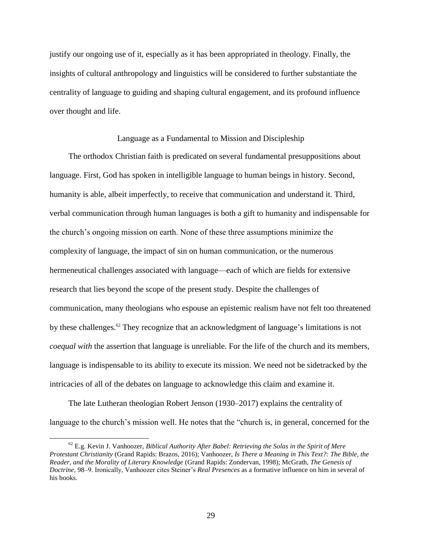justify our ongoing use of it, especially as it has been appropriated in theology. Finally, the insights of cultural anthropology and linguistics will be considered to further substantiate the centrality of language to guiding and shaping cultural engagement, and its profound influence over thought and life.

### Language as a Fundamental to Mission and Discipleship

The orthodox Christian faith is predicated on several fundamental presuppositions about language. First, God has spoken in intelligible language to human beings in history. Second, humanity is able, albeit imperfectly, to receive that communication and understand it. Third, verbal communication through human languages is both a gift to humanity and indispensable for the church's ongoing mission on earth. None of these three assumptions minimize the complexity of language, the impact of sin on human communication, or the numerous hermeneutical challenges associated with language—each of which are fields for extensive research that lies beyond the scope of the present study. Despite the challenges of communication, many theologians who espouse an epistemic realism have not felt too threatened by these challenges.<sup>62</sup> They recognize that an acknowledgment of language's limitations is not *coequal with* the assertion that language is unreliable. For the life of the church and its members, language is indispensable to its ability to execute its mission. We need not be sidetracked by the intricacies of all of the debates on language to acknowledge this claim and examine it.

The late Lutheran theologian Robert Jenson (1930–2017) explains the centrality of language to the church's mission well. He notes that the "church is, in general, concerned for the

<sup>62</sup> E.g. Kevin J. Vanhoozer, *Biblical Authority After Babel: Retrieving the Solas in the Spirit of Mere Protestant Christianity* (Grand Rapids: Brazos, 2016); Vanhoozer, *Is There a Meaning in This Text?: The Bible, the Reader, and the Morality of Literary Knowledge* (Grand Rapids: Zondervan, 1998); McGrath, *The Genesis of Doctrine*, 98–9. Ironically, Vanhoozer cites Steiner's *Real Presences* as a formative influence on him in several of his books.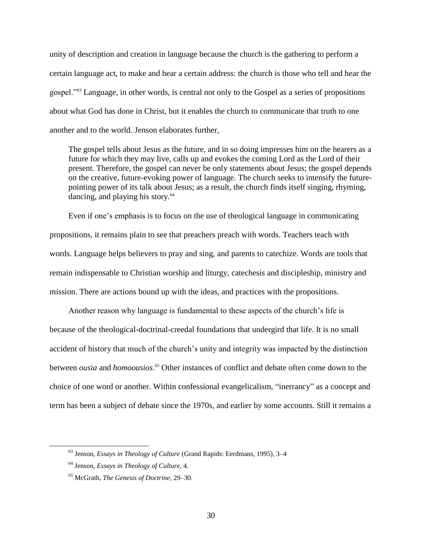unity of description and creation in language because the church is the gathering to perform a certain language act, to make and hear a certain address: the church is those who tell and hear the gospel."<sup>63</sup> Language, in other words, is central not only to the Gospel as a series of propositions about what God has done in Christ, but it enables the church to communicate that truth to one another and to the world. Jenson elaborates further,

The gospel tells about Jesus as the future, and in so doing impresses him on the hearers as a future for which they may live, calls up and evokes the coming Lord as the Lord of their present. Therefore, the gospel can never be only statements about Jesus; the gospel depends on the creative, future-evoking power of language. The church seeks to intensify the futurepointing power of its talk about Jesus; as a result, the church finds itself singing, rhyming, dancing, and playing his story.<sup>64</sup>

Even if one's emphasis is to focus on the use of theological language in communicating propositions, it remains plain to see that preachers preach with words. Teachers teach with words. Language helps believers to pray and sing, and parents to catechize. Words are tools that remain indispensable to Christian worship and liturgy, catechesis and discipleship, ministry and mission. There are actions bound up with the ideas, and practices with the propositions.

Another reason why language is fundamental to these aspects of the church's life is because of the theological-doctrinal-creedal foundations that undergird that life. It is no small accident of history that much of the church's unity and integrity was impacted by the distinction between *ousia* and *homoousios*. <sup>65</sup> Other instances of conflict and debate often come down to the choice of one word or another. Within confessional evangelicalism, "inerrancy" as a concept and term has been a subject of debate since the 1970s, and earlier by some accounts. Still it remains a

<sup>63</sup> Jenson, *Essays in Theology of Culture* (Grand Rapids: Eerdmans, 1995), 3–4

<sup>64</sup> Jenson, *Essays in Theology of Culture*, 4.

<sup>65</sup> McGrath, *The Genesis of Doctrine*, 29–30.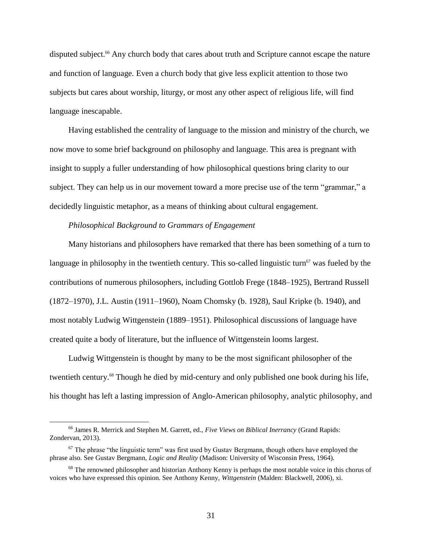disputed subject.<sup>66</sup> Any church body that cares about truth and Scripture cannot escape the nature and function of language. Even a church body that give less explicit attention to those two subjects but cares about worship, liturgy, or most any other aspect of religious life, will find language inescapable.

Having established the centrality of language to the mission and ministry of the church, we now move to some brief background on philosophy and language. This area is pregnant with insight to supply a fuller understanding of how philosophical questions bring clarity to our subject. They can help us in our movement toward a more precise use of the term "grammar," a decidedly linguistic metaphor, as a means of thinking about cultural engagement.

### *Philosophical Background to Grammars of Engagement*

Many historians and philosophers have remarked that there has been something of a turn to language in philosophy in the twentieth century. This so-called linguistic turn<sup>67</sup> was fueled by the contributions of numerous philosophers, including Gottlob Frege (1848–1925), Bertrand Russell (1872–1970), J.L. Austin (1911–1960), Noam Chomsky (b. 1928), Saul Kripke (b. 1940), and most notably Ludwig Wittgenstein (1889–1951). Philosophical discussions of language have created quite a body of literature, but the influence of Wittgenstein looms largest.

Ludwig Wittgenstein is thought by many to be the most significant philosopher of the twentieth century. <sup>68</sup> Though he died by mid-century and only published one book during his life, his thought has left a lasting impression of Anglo-American philosophy, analytic philosophy, and

<sup>66</sup> James R. Merrick and Stephen M. Garrett, ed., *Five Views on Biblical Inerrancy* (Grand Rapids: Zondervan, 2013).

 $67$  The phrase "the linguistic term" was first used by Gustav Bergmann, though others have employed the phrase also. See Gustav Bergmann, *Logic and Reality* (Madison: University of Wisconsin Press, 1964).

<sup>&</sup>lt;sup>68</sup> The renowned philosopher and historian Anthony Kenny is perhaps the most notable voice in this chorus of voices who have expressed this opinion. See Anthony Kenny, *Wittgenstein* (Malden: Blackwell, 2006), xi.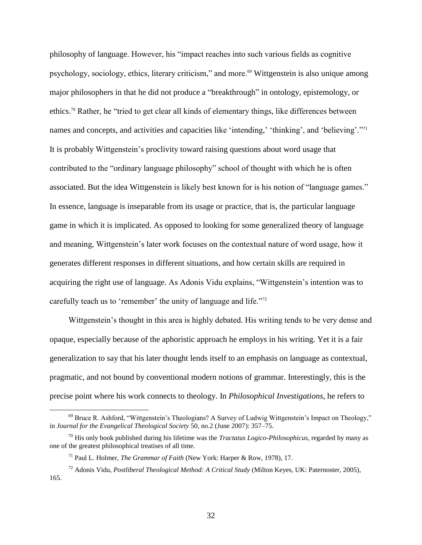philosophy of language. However, his "impact reaches into such various fields as cognitive psychology, sociology, ethics, literary criticism," and more.<sup>69</sup> Wittgenstein is also unique among major philosophers in that he did not produce a "breakthrough" in ontology, epistemology, or ethics.<sup>70</sup> Rather, he "tried to get clear all kinds of elementary things, like differences between names and concepts, and activities and capacities like 'intending,' 'thinking', and 'believing'."<sup>71</sup> It is probably Wittgenstein's proclivity toward raising questions about word usage that contributed to the "ordinary language philosophy" school of thought with which he is often associated. But the idea Wittgenstein is likely best known for is his notion of "language games." In essence, language is inseparable from its usage or practice, that is, the particular language game in which it is implicated. As opposed to looking for some generalized theory of language and meaning, Wittgenstein's later work focuses on the contextual nature of word usage, how it generates different responses in different situations, and how certain skills are required in acquiring the right use of language. As Adonis Vidu explains, "Wittgenstein's intention was to carefully teach us to 'remember' the unity of language and life."<sup>72</sup>

Wittgenstein's thought in this area is highly debated. His writing tends to be very dense and opaque, especially because of the aphoristic approach he employs in his writing. Yet it is a fair generalization to say that his later thought lends itself to an emphasis on language as contextual, pragmatic, and not bound by conventional modern notions of grammar. Interestingly, this is the precise point where his work connects to theology. In *Philosophical Investigations*, he refers to

<sup>69</sup> Bruce R. Ashford, "Wittgenstein's Theologians? A Survey of Ludwig Wittgenstein's Impact on Theology," in *Journal for the Evangelical Theological Society* 50, no.2 (June 2007): 357–75.

<sup>70</sup> His only book published during his lifetime was the *Tractatus Logico-Philosophicus*, regarded by many as one of the greatest philosophical treatises of all time.

<sup>71</sup> Paul L. Holmer, *The Grammar of Faith* (New York: Harper & Row, 1978), 17.

<sup>72</sup> Adonis Vidu, *Postliberal Theological Method: A Critical Study* (Milton Keyes, UK: Paternoster, 2005), 165.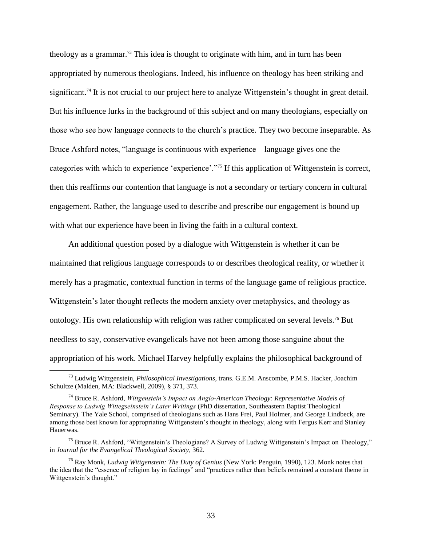theology as a grammar.<sup>73</sup> This idea is thought to originate with him, and in turn has been appropriated by numerous theologians. Indeed, his influence on theology has been striking and significant.<sup>74</sup> It is not crucial to our project here to analyze Wittgenstein's thought in great detail. But his influence lurks in the background of this subject and on many theologians, especially on those who see how language connects to the church's practice. They two become inseparable. As Bruce Ashford notes, "language is continuous with experience—language gives one the categories with which to experience 'experience'."<sup>75</sup> If this application of Wittgenstein is correct, then this reaffirms our contention that language is not a secondary or tertiary concern in cultural engagement. Rather, the language used to describe and prescribe our engagement is bound up with what our experience have been in living the faith in a cultural context.

An additional question posed by a dialogue with Wittgenstein is whether it can be maintained that religious language corresponds to or describes theological reality, or whether it merely has a pragmatic, contextual function in terms of the language game of religious practice. Wittgenstein's later thought reflects the modern anxiety over metaphysics, and theology as ontology. His own relationship with religion was rather complicated on several levels.<sup>76</sup> But needless to say, conservative evangelicals have not been among those sanguine about the appropriation of his work. Michael Harvey helpfully explains the philosophical background of

<sup>73</sup> Ludwig Wittgenstein, *Philosophical Investigations*, trans. G.E.M. Anscombe, P.M.S. Hacker, Joachim Schultze (Malden, MA: Blackwell, 2009), § 371, 373.

<sup>74</sup> Bruce R. Ashford, *Wittgenstein's Impact on Anglo-American Theology: Representative Models of Response to Ludwig Wittegseinstein's Later Writings* (PhD dissertation, Southeastern Baptist Theological Seminary). The Yale School, comprised of theologians such as Hans Frei, Paul Holmer, and George Lindbeck, are among those best known for appropriating Wittgenstein's thought in theology, along with Fergus Kerr and Stanley Hauerwas.

<sup>&</sup>lt;sup>75</sup> Bruce R. Ashford, "Wittgenstein's Theologians? A Survey of Ludwig Wittgenstein's Impact on Theology," in *Journal for the Evangelical Theological Society,* 362.

<sup>76</sup> Ray Monk, *Ludwig Wittgenstein: The Duty of Genius* (New York: Penguin, 1990), 123. Monk notes that the idea that the "essence of religion lay in feelings" and "practices rather than beliefs remained a constant theme in Wittgenstein's thought."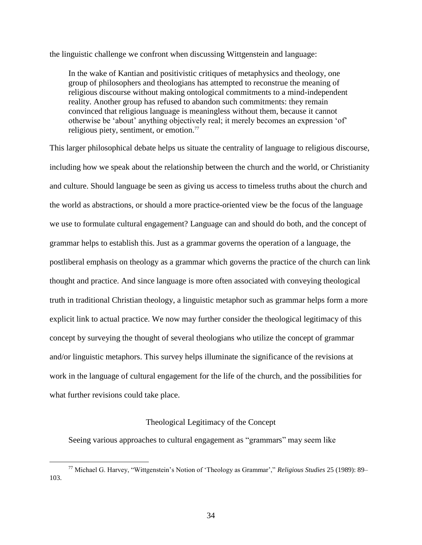the linguistic challenge we confront when discussing Wittgenstein and language:

In the wake of Kantian and positivistic critiques of metaphysics and theology, one group of philosophers and theologians has attempted to reconstrue the meaning of religious discourse without making ontological commitments to a mind-independent reality. Another group has refused to abandon such commitments: they remain convinced that religious language is meaningless without them, because it cannot otherwise be 'about' anything objectively real; it merely becomes an expression 'of' religious piety, sentiment, or emotion.<sup>77</sup>

This larger philosophical debate helps us situate the centrality of language to religious discourse, including how we speak about the relationship between the church and the world, or Christianity and culture. Should language be seen as giving us access to timeless truths about the church and the world as abstractions, or should a more practice-oriented view be the focus of the language we use to formulate cultural engagement? Language can and should do both, and the concept of grammar helps to establish this. Just as a grammar governs the operation of a language, the postliberal emphasis on theology as a grammar which governs the practice of the church can link thought and practice. And since language is more often associated with conveying theological truth in traditional Christian theology, a linguistic metaphor such as grammar helps form a more explicit link to actual practice. We now may further consider the theological legitimacy of this concept by surveying the thought of several theologians who utilize the concept of grammar and/or linguistic metaphors. This survey helps illuminate the significance of the revisions at work in the language of cultural engagement for the life of the church, and the possibilities for what further revisions could take place.

### Theological Legitimacy of the Concept

Seeing various approaches to cultural engagement as "grammars" may seem like

<sup>77</sup> Michael G. Harvey, "Wittgenstein's Notion of 'Theology as Grammar'," *Religious Studies* 25 (1989): 89– 103.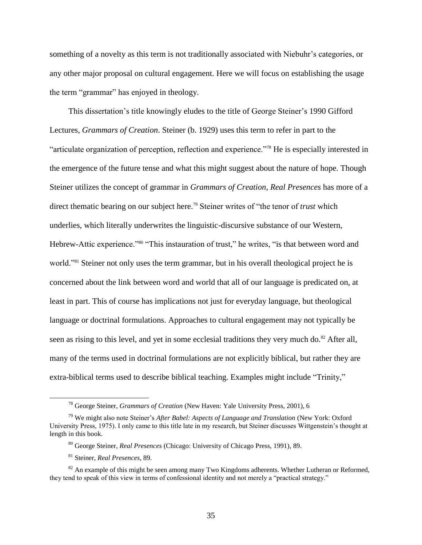something of a novelty as this term is not traditionally associated with Niebuhr's categories, or any other major proposal on cultural engagement. Here we will focus on establishing the usage the term "grammar" has enjoyed in theology.

This dissertation's title knowingly eludes to the title of George Steiner's 1990 Gifford Lectures, *Grammars of Creation*. Steiner (b. 1929) uses this term to refer in part to the "articulate organization of perception, reflection and experience."<sup>78</sup> He is especially interested in the emergence of the future tense and what this might suggest about the nature of hope. Though Steiner utilizes the concept of grammar in *Grammars of Creation*, *Real Presences* has more of a direct thematic bearing on our subject here.<sup>79</sup> Steiner writes of "the tenor of *trust* which underlies, which literally underwrites the linguistic-discursive substance of our Western, Hebrew-Attic experience."<sup>80</sup> "This instauration of trust," he writes, "is that between word and world."<sup>81</sup> Steiner not only uses the term grammar, but in his overall theological project he is concerned about the link between word and world that all of our language is predicated on, at least in part. This of course has implications not just for everyday language, but theological language or doctrinal formulations. Approaches to cultural engagement may not typically be seen as rising to this level, and yet in some ecclesial traditions they very much do.<sup>82</sup> After all, many of the terms used in doctrinal formulations are not explicitly biblical, but rather they are extra-biblical terms used to describe biblical teaching. Examples might include "Trinity,"

<sup>78</sup> George Steiner, *Grammars of Creation* (New Haven: Yale University Press, 2001), 6

<sup>79</sup> We might also note Steiner's *After Babel: Aspects of Language and Translation* (New York: Oxford University Press, 1975). I only came to this title late in my research, but Steiner discusses Wittgenstein's thought at length in this book.

<sup>80</sup> George Steiner, *Real Presences* (Chicago: University of Chicago Press, 1991), 89.

<sup>81</sup> Steiner, *Real Presences*, 89.

 $82$  An example of this might be seen among many Two Kingdoms adherents. Whether Lutheran or Reformed, they tend to speak of this view in terms of confessional identity and not merely a "practical strategy."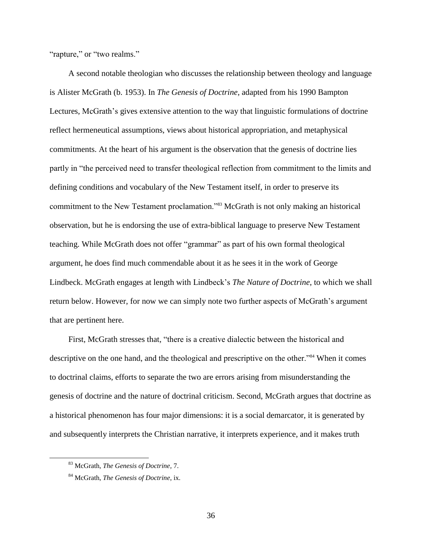"rapture," or "two realms."

A second notable theologian who discusses the relationship between theology and language is Alister McGrath (b. 1953). In *The Genesis of Doctrine*, adapted from his 1990 Bampton Lectures, McGrath's gives extensive attention to the way that linguistic formulations of doctrine reflect hermeneutical assumptions, views about historical appropriation, and metaphysical commitments. At the heart of his argument is the observation that the genesis of doctrine lies partly in "the perceived need to transfer theological reflection from commitment to the limits and defining conditions and vocabulary of the New Testament itself, in order to preserve its commitment to the New Testament proclamation."<sup>83</sup> McGrath is not only making an historical observation, but he is endorsing the use of extra-biblical language to preserve New Testament teaching. While McGrath does not offer "grammar" as part of his own formal theological argument, he does find much commendable about it as he sees it in the work of George Lindbeck. McGrath engages at length with Lindbeck's *The Nature of Doctrine*, to which we shall return below. However, for now we can simply note two further aspects of McGrath's argument that are pertinent here.

First, McGrath stresses that, "there is a creative dialectic between the historical and descriptive on the one hand, and the theological and prescriptive on the other.<sup>384</sup> When it comes to doctrinal claims, efforts to separate the two are errors arising from misunderstanding the genesis of doctrine and the nature of doctrinal criticism. Second, McGrath argues that doctrine as a historical phenomenon has four major dimensions: it is a social demarcator, it is generated by and subsequently interprets the Christian narrative, it interprets experience, and it makes truth

<sup>83</sup> McGrath, *The Genesis of Doctrine,* 7.

<sup>84</sup> McGrath, *The Genesis of Doctrine*, ix.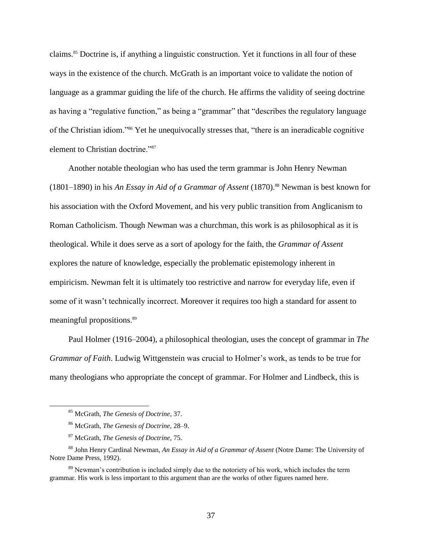claims.<sup>85</sup> Doctrine is, if anything a linguistic construction. Yet it functions in all four of these ways in the existence of the church. McGrath is an important voice to validate the notion of language as a grammar guiding the life of the church. He affirms the validity of seeing doctrine as having a "regulative function," as being a "grammar" that "describes the regulatory language of the Christian idiom."<sup>86</sup> Yet he unequivocally stresses that, "there is an ineradicable cognitive element to Christian doctrine."<sup>87</sup>

Another notable theologian who has used the term grammar is John Henry Newman (1801–1890) in his *An Essay in Aid of a Grammar of Assent* (1870). <sup>88</sup> Newman is best known for his association with the Oxford Movement, and his very public transition from Anglicanism to Roman Catholicism. Though Newman was a churchman, this work is as philosophical as it is theological. While it does serve as a sort of apology for the faith, the *Grammar of Assent* explores the nature of knowledge, especially the problematic epistemology inherent in empiricism. Newman felt it is ultimately too restrictive and narrow for everyday life, even if some of it wasn't technically incorrect. Moreover it requires too high a standard for assent to meaningful propositions.<sup>89</sup>

Paul Holmer (1916–2004), a philosophical theologian, uses the concept of grammar in *The Grammar of Faith*. Ludwig Wittgenstein was crucial to Holmer's work, as tends to be true for many theologians who appropriate the concept of grammar. For Holmer and Lindbeck, this is

<sup>85</sup> McGrath, *The Genesis of Doctrine*, 37.

<sup>86</sup> McGrath, *The Genesis of Doctrine*, 28–9.

<sup>87</sup> McGrath, *The Genesis of Doctrine*, 75.

<sup>88</sup> John Henry Cardinal Newman, *An Essay in Aid of a Grammar of Assent* (Notre Dame: The University of Notre Dame Press, 1992).

<sup>&</sup>lt;sup>89</sup> Newman's contribution is included simply due to the notoriety of his work, which includes the term grammar. His work is less important to this argument than are the works of other figures named here.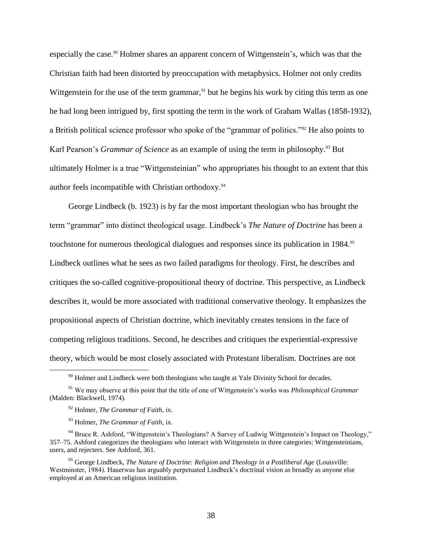especially the case.<sup>90</sup> Holmer shares an apparent concern of Wittgenstein's, which was that the Christian faith had been distorted by preoccupation with metaphysics. Holmer not only credits Wittgenstein for the use of the term grammar,  $91$  but he begins his work by citing this term as one he had long been intrigued by, first spotting the term in the work of Graham Wallas (1858-1932), a British political science professor who spoke of the "grammar of politics."<sup>92</sup> He also points to Karl Pearson's *Grammar of Science* as an example of using the term in philosophy.<sup>93</sup> But ultimately Holmer is a true "Wittgensteinian" who appropriates his thought to an extent that this author feels incompatible with Christian orthodoxy.<sup>94</sup>

George Lindbeck (b. 1923) is by far the most important theologian who has brought the term "grammar" into distinct theological usage. Lindbeck's *The Nature of Doctrine* has been a touchstone for numerous theological dialogues and responses since its publication in 1984.<sup>95</sup> Lindbeck outlines what he sees as two failed paradigms for theology. First, he describes and critiques the so-called cognitive-propositional theory of doctrine. This perspective, as Lindbeck describes it, would be more associated with traditional conservative theology. It emphasizes the propositional aspects of Christian doctrine, which inevitably creates tensions in the face of competing religious traditions. Second, he describes and critiques the experiential-expressive theory, which would be most closely associated with Protestant liberalism. Doctrines are not

<sup>&</sup>lt;sup>90</sup> Holmer and Lindbeck were both theologians who taught at Yale Divinity School for decades.

<sup>91</sup> We may observe at this point that the title of one of Wittgenstein's works was *Philosophical Grammar* (Malden: Blackwell, 1974).

<sup>92</sup> Holmer, *The Grammar of Faith*, ix.

<sup>93</sup> Holmer, *The Grammar of Faith*, ix.

<sup>&</sup>lt;sup>94</sup> Bruce R. Ashford, "Wittgenstein's Theologians? A Survey of Ludwig Wittgenstein's Impact on Theology," 357–75. Ashford categorizes the theologians who interact with Wittgenstein in three categories: Wittgensteinians, users, and rejecters. See Ashford, 361.

<sup>95</sup> George Lindbeck, *The Nature of Doctrine: Religion and Theology in a Postliberal Age* (Louisville: Westminster, 1984). Hauerwas has arguably perpetuated Lindbeck's doctrinal vision as broadly as anyone else employed at an American religious institution.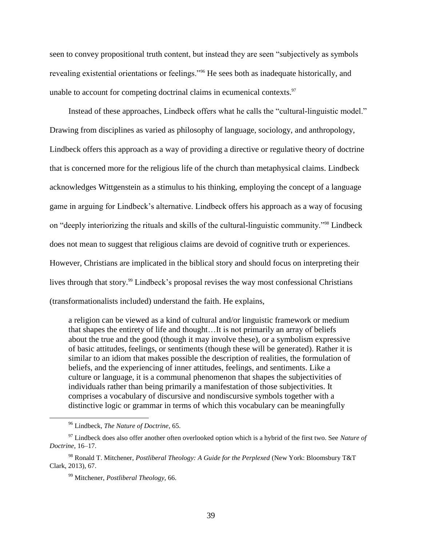seen to convey propositional truth content, but instead they are seen "subjectively as symbols revealing existential orientations or feelings."<sup>96</sup> He sees both as inadequate historically, and unable to account for competing doctrinal claims in ecumenical contexts. $97$ 

Instead of these approaches, Lindbeck offers what he calls the "cultural-linguistic model." Drawing from disciplines as varied as philosophy of language, sociology, and anthropology, Lindbeck offers this approach as a way of providing a directive or regulative theory of doctrine that is concerned more for the religious life of the church than metaphysical claims. Lindbeck acknowledges Wittgenstein as a stimulus to his thinking, employing the concept of a language game in arguing for Lindbeck's alternative. Lindbeck offers his approach as a way of focusing on "deeply interiorizing the rituals and skills of the cultural-linguistic community."<sup>98</sup> Lindbeck does not mean to suggest that religious claims are devoid of cognitive truth or experiences. However, Christians are implicated in the biblical story and should focus on interpreting their lives through that story.<sup>99</sup> Lindbeck's proposal revises the way most confessional Christians (transformationalists included) understand the faith. He explains,

a religion can be viewed as a kind of cultural and/or linguistic framework or medium that shapes the entirety of life and thought…It is not primarily an array of beliefs about the true and the good (though it may involve these), or a symbolism expressive of basic attitudes, feelings, or sentiments (though these will be generated). Rather it is similar to an idiom that makes possible the description of realities, the formulation of beliefs, and the experiencing of inner attitudes, feelings, and sentiments. Like a culture or language, it is a communal phenomenon that shapes the subjectivities of individuals rather than being primarily a manifestation of those subjectivities. It comprises a vocabulary of discursive and nondiscursive symbols together with a distinctive logic or grammar in terms of which this vocabulary can be meaningfully

<sup>96</sup> Lindbeck, *The Nature of Doctrine*, 65.

<sup>97</sup> Lindbeck does also offer another often overlooked option which is a hybrid of the first two. See *Nature of Doctrine*, 16–17.

<sup>98</sup> Ronald T. Mitchener, *Postliberal Theology: A Guide for the Perplexed* (New York: Bloomsbury T&T Clark, 2013), 67.

<sup>99</sup> Mitchener, *Postliberal Theology,* 66.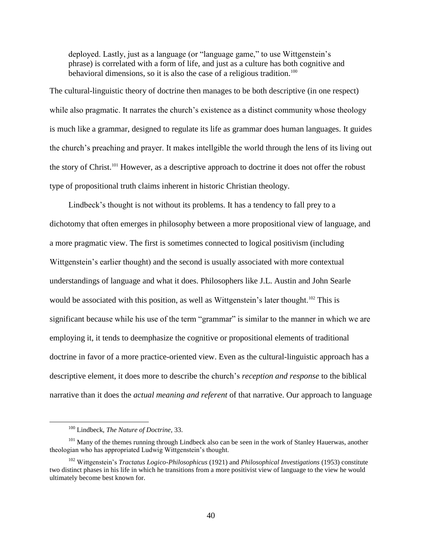deployed. Lastly, just as a language (or "language game," to use Wittgenstein's phrase) is correlated with a form of life, and just as a culture has both cognitive and behavioral dimensions, so it is also the case of a religious tradition.<sup>100</sup>

The cultural-linguistic theory of doctrine then manages to be both descriptive (in one respect) while also pragmatic. It narrates the church's existence as a distinct community whose theology is much like a grammar, designed to regulate its life as grammar does human languages. It guides the church's preaching and prayer. It makes intellgible the world through the lens of its living out the story of Christ.<sup>101</sup> However, as a descriptive approach to doctrine it does not offer the robust type of propositional truth claims inherent in historic Christian theology.

Lindbeck's thought is not without its problems. It has a tendency to fall prey to a dichotomy that often emerges in philosophy between a more propositional view of language, and a more pragmatic view. The first is sometimes connected to logical positivism (including Wittgenstein's earlier thought) and the second is usually associated with more contextual understandings of language and what it does. Philosophers like J.L. Austin and John Searle would be associated with this position, as well as Wittgenstein's later thought.<sup>102</sup> This is significant because while his use of the term "grammar" is similar to the manner in which we are employing it, it tends to deemphasize the cognitive or propositional elements of traditional doctrine in favor of a more practice-oriented view. Even as the cultural-linguistic approach has a descriptive element, it does more to describe the church's *reception and response* to the biblical narrative than it does the *actual meaning and referent* of that narrative. Our approach to language

<sup>100</sup> Lindbeck, *The Nature of Doctrine*, 33.

<sup>&</sup>lt;sup>101</sup> Many of the themes running through Lindbeck also can be seen in the work of Stanley Hauerwas, another theologian who has appropriated Ludwig Wittgenstein's thought.

<sup>102</sup> Wittgenstein's *Tractatus Logico-Philosophicus* (1921) and *Philosophical Investigations* (1953) constitute two distinct phases in his life in which he transitions from a more positivist view of language to the view he would ultimately become best known for.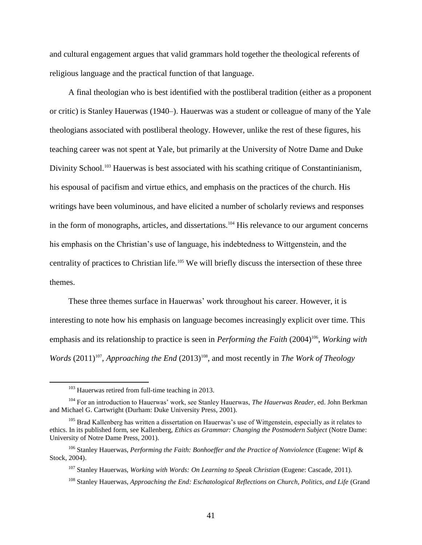and cultural engagement argues that valid grammars hold together the theological referents of religious language and the practical function of that language.

A final theologian who is best identified with the postliberal tradition (either as a proponent or critic) is Stanley Hauerwas (1940–). Hauerwas was a student or colleague of many of the Yale theologians associated with postliberal theology. However, unlike the rest of these figures, his teaching career was not spent at Yale, but primarily at the University of Notre Dame and Duke Divinity School.<sup>103</sup> Hauerwas is best associated with his scathing critique of Constantinianism, his espousal of pacifism and virtue ethics, and emphasis on the practices of the church. His writings have been voluminous, and have elicited a number of scholarly reviews and responses in the form of monographs, articles, and dissertations.<sup>104</sup> His relevance to our argument concerns his emphasis on the Christian's use of language, his indebtedness to Wittgenstein, and the centrality of practices to Christian life.<sup>105</sup> We will briefly discuss the intersection of these three themes.

These three themes surface in Hauerwas' work throughout his career. However, it is interesting to note how his emphasis on language becomes increasingly explicit over time. This emphasis and its relationship to practice is seen in *Performing the Faith* (2004)<sup>106</sup>, *Working with Words* (2011)<sup>107</sup>, *Approaching the End* (2013)<sup>108</sup>, and most recently in *The Work of Theology* 

<sup>&</sup>lt;sup>103</sup> Hauerwas retired from full-time teaching in 2013.

<sup>104</sup> For an introduction to Hauerwas' work, see Stanley Hauerwas, *The Hauerwas Reader*, ed. John Berkman and Michael G. Cartwright (Durham: Duke University Press, 2001).

<sup>&</sup>lt;sup>105</sup> Brad Kallenberg has written a dissertation on Hauerwas's use of Wittgenstein, especially as it relates to ethics. In its published form, see Kallenberg, *Ethics as Grammar: Changing the Postmodern Subject* (Notre Dame: University of Notre Dame Press, 2001).

<sup>106</sup> Stanley Hauerwas, *Performing the Faith: Bonhoeffer and the Practice of Nonviolence* (Eugene: Wipf & Stock, 2004).

<sup>107</sup> Stanley Hauerwas, *Working with Words: On Learning to Speak Christian* (Eugene: Cascade, 2011).

<sup>108</sup> Stanley Hauerwas, *Approaching the End: Eschatological Reflections on Church, Politics, and Life* (Grand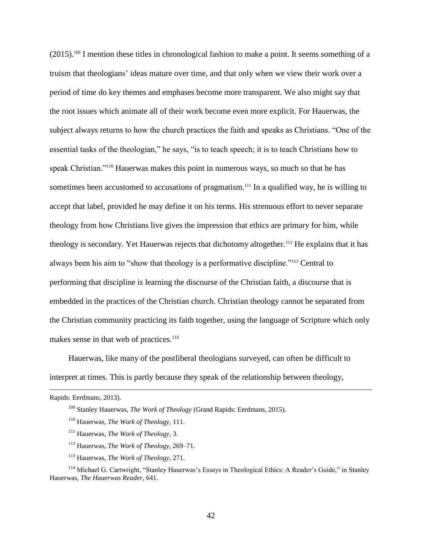$(2015)$ .<sup>109</sup> I mention these titles in chronological fashion to make a point. It seems something of a truism that theologians' ideas mature over time, and that only when we view their work over a period of time do key themes and emphases become more transparent. We also might say that the root issues which animate all of their work become even more explicit. For Hauerwas, the subject always returns to how the church practices the faith and speaks as Christians. "One of the essential tasks of the theologian," he says, "is to teach speech; it is to teach Christians how to speak Christian."<sup>110</sup> Hauerwas makes this point in numerous ways, so much so that he has sometimes been accustomed to accusations of pragmatism.<sup>111</sup> In a qualified way, he is willing to accept that label, provided he may define it on his terms. His strenuous effort to never separate theology from how Christians live gives the impression that ethics are primary for him, while theology is secondary. Yet Hauerwas rejects that dichotomy altogether.<sup>112</sup> He explains that it has always been his aim to "show that theology is a performative discipline."<sup>113</sup> Central to performing that discipline is learning the discourse of the Christian faith, a discourse that is embedded in the practices of the Christian church. Christian theology cannot be separated from the Christian community practicing its faith together, using the language of Scripture which only makes sense in that web of practices.<sup>114</sup>

Hauerwas, like many of the postliberal theologians surveyed, can often be difficult to interpret at times. This is partly because they speak of the relationship between theology,

 $\overline{a}$ 

<sup>113</sup> Hauerwas, *The Work of Theology*, 271.

Rapids: Eerdmans, 2013).

<sup>109</sup> Stanley Hauerwas, *The Work of Theology* (Grand Rapids: Eerdmans, 2015).

<sup>110</sup> Hauerwas, *The Work of Theology*, 111.

<sup>111</sup> Hauerwas, *The Work of Theology*, 3.

<sup>112</sup> Hauerwas, *The Work of Theology*, 269–71.

<sup>114</sup> Michael G. Cartwright, "Stanley Hauerwas's Essays in Theological Ethics: A Reader's Guide," in Stanley Hauerwas, *The Hauerwas Reader*, 641.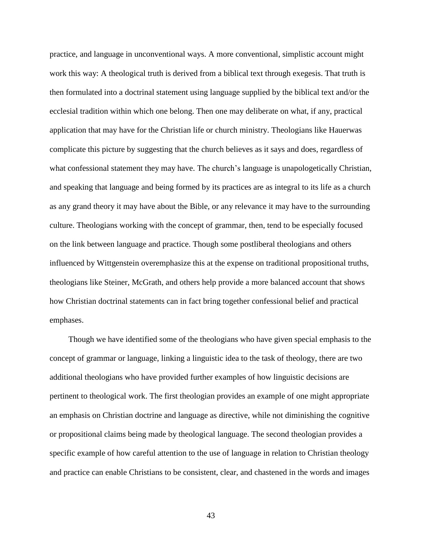practice, and language in unconventional ways. A more conventional, simplistic account might work this way: A theological truth is derived from a biblical text through exegesis. That truth is then formulated into a doctrinal statement using language supplied by the biblical text and/or the ecclesial tradition within which one belong. Then one may deliberate on what, if any, practical application that may have for the Christian life or church ministry. Theologians like Hauerwas complicate this picture by suggesting that the church believes as it says and does, regardless of what confessional statement they may have. The church's language is unapologetically Christian, and speaking that language and being formed by its practices are as integral to its life as a church as any grand theory it may have about the Bible, or any relevance it may have to the surrounding culture. Theologians working with the concept of grammar, then, tend to be especially focused on the link between language and practice. Though some postliberal theologians and others influenced by Wittgenstein overemphasize this at the expense on traditional propositional truths, theologians like Steiner, McGrath, and others help provide a more balanced account that shows how Christian doctrinal statements can in fact bring together confessional belief and practical emphases.

Though we have identified some of the theologians who have given special emphasis to the concept of grammar or language, linking a linguistic idea to the task of theology, there are two additional theologians who have provided further examples of how linguistic decisions are pertinent to theological work. The first theologian provides an example of one might appropriate an emphasis on Christian doctrine and language as directive, while not diminishing the cognitive or propositional claims being made by theological language. The second theologian provides a specific example of how careful attention to the use of language in relation to Christian theology and practice can enable Christians to be consistent, clear, and chastened in the words and images

43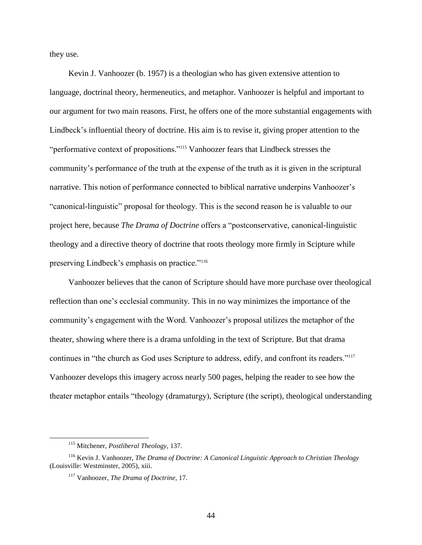they use.

Kevin J. Vanhoozer (b. 1957) is a theologian who has given extensive attention to language, doctrinal theory, hermeneutics, and metaphor. Vanhoozer is helpful and important to our argument for two main reasons. First, he offers one of the more substantial engagements with Lindbeck's influential theory of doctrine. His aim is to revise it, giving proper attention to the "performative context of propositions."<sup>115</sup> Vanhoozer fears that Lindbeck stresses the community's performance of the truth at the expense of the truth as it is given in the scriptural narrative. This notion of performance connected to biblical narrative underpins Vanhoozer's "canonical-linguistic" proposal for theology. This is the second reason he is valuable to our project here, because *The Drama of Doctrine* offers a "postconservative, canonical-linguistic theology and a directive theory of doctrine that roots theology more firmly in Scipture while preserving Lindbeck's emphasis on practice."<sup>116</sup>

Vanhoozer believes that the canon of Scripture should have more purchase over theological reflection than one's ecclesial community. This in no way minimizes the importance of the community's engagement with the Word. Vanhoozer's proposal utilizes the metaphor of the theater, showing where there is a drama unfolding in the text of Scripture. But that drama continues in "the church as God uses Scripture to address, edify, and confront its readers."<sup>117</sup> Vanhoozer develops this imagery across nearly 500 pages, helping the reader to see how the theater metaphor entails "theology (dramaturgy), Scripture (the script), theological understanding

<sup>115</sup> Mitchener, *Postliberal Theology*, 137.

<sup>116</sup> Kevin J. Vanhoozer, *The Drama of Doctrine: A Canonical Linguistic Approach to Christian Theology* (Louisville: Westminster, 2005), xiii.

<sup>117</sup> Vanhoozer, *The Drama of Doctrine*, 17.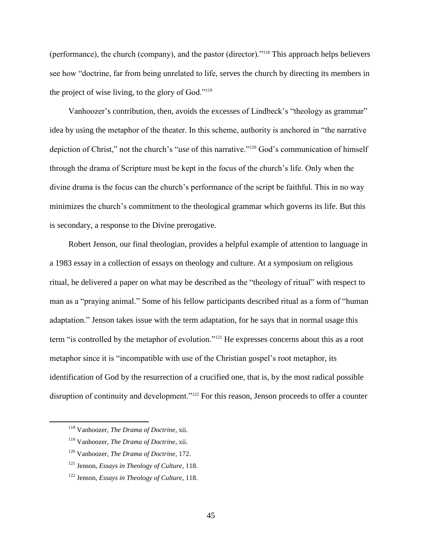(performance), the church (company), and the pastor (director)."<sup>118</sup> This approach helps believers see how "doctrine, far from being unrelated to life, serves the church by directing its members in the project of wise living, to the glory of God."<sup>119</sup>

Vanhoozer's contribution, then, avoids the excesses of Lindbeck's "theology as grammar" idea by using the metaphor of the theater. In this scheme, authority is anchored in "the narrative depiction of Christ," not the church's "*use* of this narrative."<sup>120</sup> God's communication of himself through the drama of Scripture must be kept in the focus of the church's life. Only when the divine drama is the focus can the church's performance of the script be faithful. This in no way minimizes the church's commitment to the theological grammar which governs its life. But this is secondary, a response to the Divine prerogative.

Robert Jenson, our final theologian, provides a helpful example of attention to language in a 1983 essay in a collection of essays on theology and culture. At a symposium on religious ritual, he delivered a paper on what may be described as the "theology of ritual" with respect to man as a "praying animal." Some of his fellow participants described ritual as a form of "human adaptation." Jenson takes issue with the term adaptation, for he says that in normal usage this term "is controlled by the metaphor of evolution."<sup>121</sup> He expresses concerns about this as a root metaphor since it is "incompatible with use of the Christian gospel's root metaphor, its identification of God by the resurrection of a crucified one, that is, by the most radical possible disruption of continuity and development."<sup>122</sup> For this reason, Jenson proceeds to offer a counter

<sup>118</sup> Vanhoozer, *The Drama of Doctrine*, xii.

<sup>119</sup> Vanhoozer, *The Drama of Doctrine*, xii.

<sup>120</sup> Vanhoozer, *The Drama of Doctrine*, 172.

<sup>121</sup> Jenson, *Essays in Theology of Culture*, 118.

<sup>122</sup> Jenson, *Essays in Theology of Culture*, 118.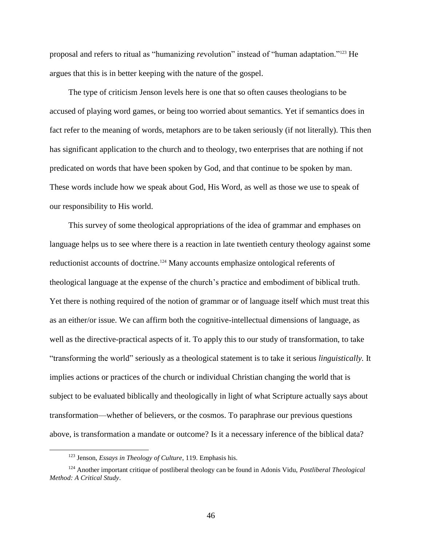proposal and refers to ritual as "humanizing *re*volution" instead of "human adaptation."<sup>123</sup> He argues that this is in better keeping with the nature of the gospel.

The type of criticism Jenson levels here is one that so often causes theologians to be accused of playing word games, or being too worried about semantics. Yet if semantics does in fact refer to the meaning of words, metaphors are to be taken seriously (if not literally). This then has significant application to the church and to theology, two enterprises that are nothing if not predicated on words that have been spoken by God, and that continue to be spoken by man. These words include how we speak about God, His Word, as well as those we use to speak of our responsibility to His world.

This survey of some theological appropriations of the idea of grammar and emphases on language helps us to see where there is a reaction in late twentieth century theology against some reductionist accounts of doctrine.<sup>124</sup> Many accounts emphasize ontological referents of theological language at the expense of the church's practice and embodiment of biblical truth. Yet there is nothing required of the notion of grammar or of language itself which must treat this as an either/or issue. We can affirm both the cognitive-intellectual dimensions of language, as well as the directive-practical aspects of it. To apply this to our study of transformation, to take "transforming the world" seriously as a theological statement is to take it serious *linguistically.* It implies actions or practices of the church or individual Christian changing the world that is subject to be evaluated biblically and theologically in light of what Scripture actually says about transformation—whether of believers, or the cosmos. To paraphrase our previous questions above, is transformation a mandate or outcome? Is it a necessary inference of the biblical data?

<sup>123</sup> Jenson, *Essays in Theology of Culture*, 119. Emphasis his.

<sup>124</sup> Another important critique of postliberal theology can be found in Adonis Vidu, *Postliberal Theological Method: A Critical Study*.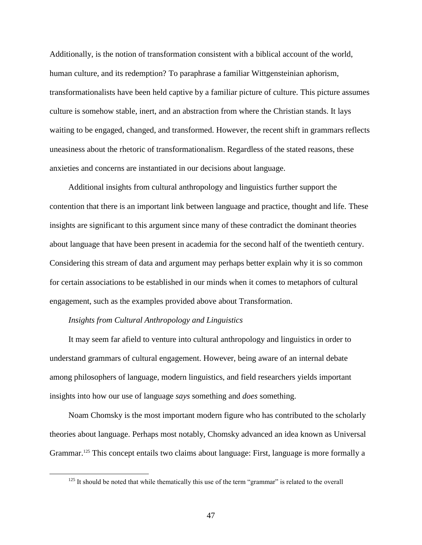Additionally, is the notion of transformation consistent with a biblical account of the world, human culture, and its redemption? To paraphrase a familiar Wittgensteinian aphorism, transformationalists have been held captive by a familiar picture of culture. This picture assumes culture is somehow stable, inert, and an abstraction from where the Christian stands. It lays waiting to be engaged, changed, and transformed. However, the recent shift in grammars reflects uneasiness about the rhetoric of transformationalism. Regardless of the stated reasons, these anxieties and concerns are instantiated in our decisions about language.

Additional insights from cultural anthropology and linguistics further support the contention that there is an important link between language and practice, thought and life. These insights are significant to this argument since many of these contradict the dominant theories about language that have been present in academia for the second half of the twentieth century. Considering this stream of data and argument may perhaps better explain why it is so common for certain associations to be established in our minds when it comes to metaphors of cultural engagement, such as the examples provided above about Transformation.

#### *Insights from Cultural Anthropology and Linguistics*

 $\overline{a}$ 

It may seem far afield to venture into cultural anthropology and linguistics in order to understand grammars of cultural engagement. However, being aware of an internal debate among philosophers of language, modern linguistics, and field researchers yields important insights into how our use of language *says* something and *does* something.

Noam Chomsky is the most important modern figure who has contributed to the scholarly theories about language. Perhaps most notably, Chomsky advanced an idea known as Universal Grammar.<sup>125</sup> This concept entails two claims about language: First, language is more formally a

 $125$  It should be noted that while thematically this use of the term "grammar" is related to the overall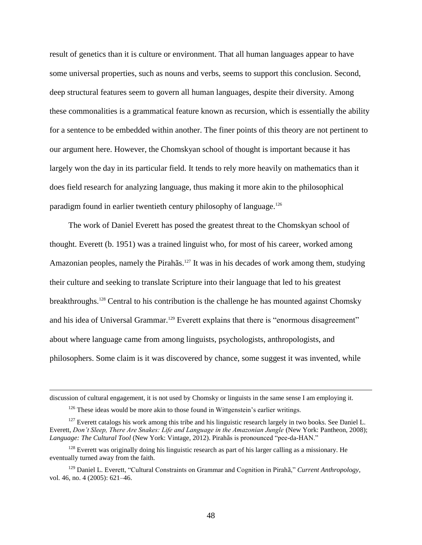result of genetics than it is culture or environment. That all human languages appear to have some universal properties, such as nouns and verbs, seems to support this conclusion. Second, deep structural features seem to govern all human languages, despite their diversity. Among these commonalities is a grammatical feature known as recursion, which is essentially the ability for a sentence to be embedded within another. The finer points of this theory are not pertinent to our argument here. However, the Chomskyan school of thought is important because it has largely won the day in its particular field. It tends to rely more heavily on mathematics than it does field research for analyzing language, thus making it more akin to the philosophical paradigm found in earlier twentieth century philosophy of language.<sup>126</sup>

The work of Daniel Everett has posed the greatest threat to the Chomskyan school of thought. Everett (b. 1951) was a trained linguist who, for most of his career, worked among Amazonian peoples, namely the Pirahãs.<sup>127</sup> It was in his decades of work among them, studying their culture and seeking to translate Scripture into their language that led to his greatest breakthroughs.<sup>128</sup> Central to his contribution is the challenge he has mounted against Chomsky and his idea of Universal Grammar.<sup>129</sup> Everett explains that there is "enormous disagreement" about where language came from among linguists, psychologists, anthropologists, and philosophers. Some claim is it was discovered by chance, some suggest it was invented, while

discussion of cultural engagement, it is not used by Chomsky or linguists in the same sense I am employing it.

<sup>&</sup>lt;sup>126</sup> These ideas would be more akin to those found in Wittgenstein's earlier writings.

<sup>&</sup>lt;sup>127</sup> Everett catalogs his work among this tribe and his linguistic research largely in two books. See Daniel L. Everett, *Don't Sleep, There Are Snakes: Life and Language in the Amazonian Jungle* (New York: Pantheon, 2008); *Language: The Cultural Tool* (New York: Vintage, 2012). Pirahãs is pronounced "pee-da-HAN."

 $128$  Everett was originally doing his linguistic research as part of his larger calling as a missionary. He eventually turned away from the faith.

<sup>129</sup> Daniel L. Everett, "Cultural Constraints on Grammar and Cognition in Pirahã," *Current Anthropology,* vol. 46, no. 4 (2005): 621–46.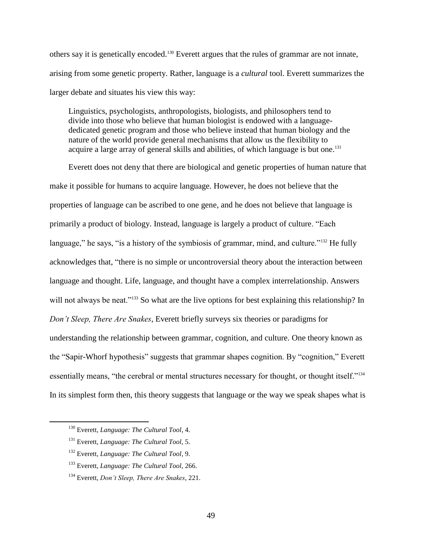others say it is genetically encoded.<sup>130</sup> Everett argues that the rules of grammar are not innate, arising from some genetic property. Rather, language is a *cultural* tool. Everett summarizes the larger debate and situates his view this way:

Linguistics, psychologists, anthropologists, biologists, and philosophers tend to divide into those who believe that human biologist is endowed with a languagededicated genetic program and those who believe instead that human biology and the nature of the world provide general mechanisms that allow us the flexibility to acquire a large array of general skills and abilities, of which language is but one.<sup>131</sup>

Everett does not deny that there are biological and genetic properties of human nature that make it possible for humans to acquire language. However, he does not believe that the properties of language can be ascribed to one gene, and he does not believe that language is primarily a product of biology. Instead, language is largely a product of culture. "Each language," he says, "is a history of the symbiosis of grammar, mind, and culture."<sup>132</sup> He fully acknowledges that, "there is no simple or uncontroversial theory about the interaction between language and thought. Life, language, and thought have a complex interrelationship. Answers will not always be neat."<sup>133</sup> So what are the live options for best explaining this relationship? In *Don't Sleep, There Are Snakes*, Everett briefly surveys six theories or paradigms for understanding the relationship between grammar, cognition, and culture. One theory known as the "Sapir-Whorf hypothesis" suggests that grammar shapes cognition. By "cognition," Everett essentially means, "the cerebral or mental structures necessary for thought, or thought itself."<sup>134</sup> In its simplest form then, this theory suggests that language or the way we speak shapes what is

<sup>130</sup> Everett, *Language: The Cultural Tool*, 4.

<sup>131</sup> Everett, *Language: The Cultural Tool*, 5.

<sup>132</sup> Everett, *Language: The Cultural Tool*, 9.

<sup>133</sup> Everett, *Language: The Cultural Tool*, 266.

<sup>134</sup> Everett, *Don't Sleep, There Are Snakes*, 221.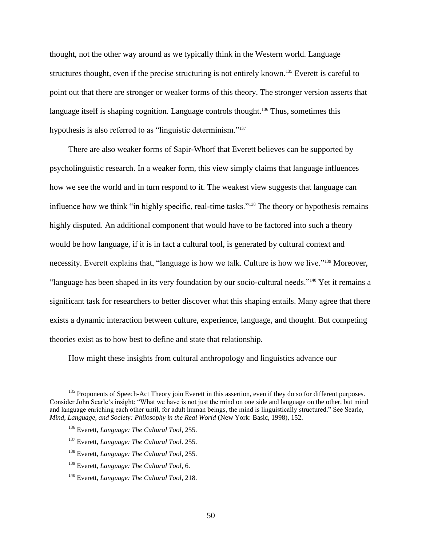thought, not the other way around as we typically think in the Western world. Language structures thought, even if the precise structuring is not entirely known.<sup>135</sup> Everett is careful to point out that there are stronger or weaker forms of this theory. The stronger version asserts that language itself is shaping cognition. Language controls thought.<sup>136</sup> Thus, sometimes this hypothesis is also referred to as "linguistic determinism."<sup>137</sup>

There are also weaker forms of Sapir-Whorf that Everett believes can be supported by psycholinguistic research. In a weaker form, this view simply claims that language influences how we see the world and in turn respond to it. The weakest view suggests that language can influence how we think "in highly specific, real-time tasks."<sup>138</sup> The theory or hypothesis remains highly disputed. An additional component that would have to be factored into such a theory would be how language, if it is in fact a cultural tool, is generated by cultural context and necessity. Everett explains that, "language is how we talk. Culture is how we live."<sup>139</sup> Moreover, "language has been shaped in its very foundation by our socio-cultural needs."<sup>140</sup> Yet it remains a significant task for researchers to better discover what this shaping entails. Many agree that there exists a dynamic interaction between culture, experience, language, and thought. But competing theories exist as to how best to define and state that relationship.

How might these insights from cultural anthropology and linguistics advance our

- <sup>137</sup> Everett, *Language: The Cultural Tool*. 255.
- <sup>138</sup> Everett, *Language: The Cultural Tool*, 255.
- <sup>139</sup> Everett, *Language: The Cultural Tool*, 6.

<sup>&</sup>lt;sup>135</sup> Proponents of Speech-Act Theory join Everett in this assertion, even if they do so for different purposes. Consider John Searle's insight: "What we have is not just the mind on one side and language on the other, but mind and language enriching each other until, for adult human beings, the mind is linguistically structured." See Searle, *Mind, Language, and Society: Philosophy in the Real World* (New York: Basic, 1998), 152.

<sup>136</sup> Everett, *Language: The Cultural Tool*, 255.

<sup>140</sup> Everett, *Language: The Cultural Tool*, 218.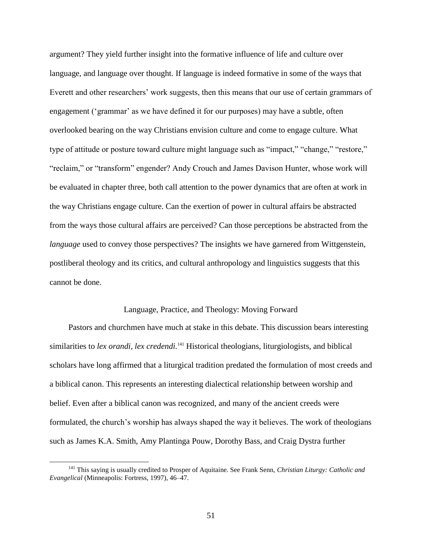argument? They yield further insight into the formative influence of life and culture over language, and language over thought. If language is indeed formative in some of the ways that Everett and other researchers' work suggests, then this means that our use of certain grammars of engagement ('grammar' as we have defined it for our purposes) may have a subtle, often overlooked bearing on the way Christians envision culture and come to engage culture. What type of attitude or posture toward culture might language such as "impact," "change," "restore," "reclaim," or "transform" engender? Andy Crouch and James Davison Hunter, whose work will be evaluated in chapter three, both call attention to the power dynamics that are often at work in the way Christians engage culture. Can the exertion of power in cultural affairs be abstracted from the ways those cultural affairs are perceived? Can those perceptions be abstracted from the *language* used to convey those perspectives? The insights we have garnered from Wittgenstein, postliberal theology and its critics, and cultural anthropology and linguistics suggests that this cannot be done.

### Language, Practice, and Theology: Moving Forward

Pastors and churchmen have much at stake in this debate. This discussion bears interesting similarities to lex orandi, lex credendi.<sup>141</sup> Historical theologians, liturgiologists, and biblical scholars have long affirmed that a liturgical tradition predated the formulation of most creeds and a biblical canon. This represents an interesting dialectical relationship between worship and belief. Even after a biblical canon was recognized, and many of the ancient creeds were formulated, the church's worship has always shaped the way it believes. The work of theologians such as James K.A. Smith, Amy Plantinga Pouw, Dorothy Bass, and Craig Dystra further

<sup>141</sup> This saying is usually credited to Prosper of Aquitaine. See Frank Senn, *Christian Liturgy: Catholic and Evangelical* (Minneapolis: Fortress, 1997), 46–47.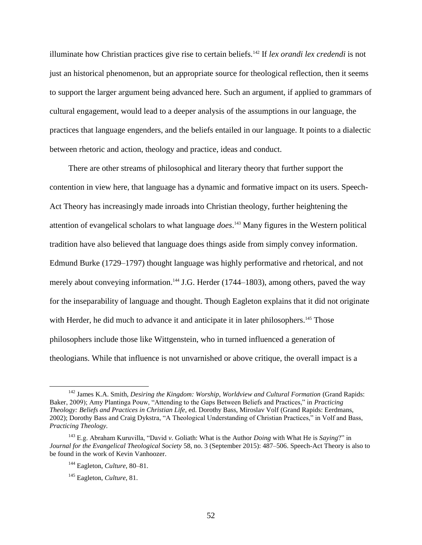illuminate how Christian practices give rise to certain beliefs.<sup>142</sup> If *lex orandi lex credendi* is not just an historical phenomenon, but an appropriate source for theological reflection, then it seems to support the larger argument being advanced here. Such an argument, if applied to grammars of cultural engagement, would lead to a deeper analysis of the assumptions in our language, the practices that language engenders, and the beliefs entailed in our language. It points to a dialectic between rhetoric and action, theology and practice, ideas and conduct.

There are other streams of philosophical and literary theory that further support the contention in view here, that language has a dynamic and formative impact on its users. Speech-Act Theory has increasingly made inroads into Christian theology, further heightening the attention of evangelical scholars to what language *does*. <sup>143</sup> Many figures in the Western political tradition have also believed that language does things aside from simply convey information. Edmund Burke (1729–1797) thought language was highly performative and rhetorical, and not merely about conveying information.<sup>144</sup> J.G. Herder (1744–1803), among others, paved the way for the inseparability of language and thought. Though Eagleton explains that it did not originate with Herder, he did much to advance it and anticipate it in later philosophers.<sup>145</sup> Those philosophers include those like Wittgenstein, who in turned influenced a generation of theologians. While that influence is not unvarnished or above critique, the overall impact is a

<sup>142</sup> James K.A. Smith, *Desiring the Kingdom: Worship, Worldview and Cultural Formation* (Grand Rapids: Baker, 2009); Amy Plantinga Pouw, "Attending to the Gaps Between Beliefs and Practices," in *Practicing Theology: Beliefs and Practices in Christian Life*, ed. Dorothy Bass, Miroslav Volf (Grand Rapids: Eerdmans, 2002); Dorothy Bass and Craig Dykstra, "A Theological Understanding of Christian Practices," in Volf and Bass, *Practicing Theology.*

<sup>143</sup> E.g. Abraham Kuruvilla, "David *v.* Goliath: What is the Author *Doing* with What He is *Saying*?" in *Journal for the Evangelical Theological Society* 58, no. 3 (September 2015): 487–506. Speech-Act Theory is also to be found in the work of Kevin Vanhoozer.

<sup>144</sup> Eagleton, *Culture*, 80–81.

<sup>145</sup> Eagleton, *Culture*, 81.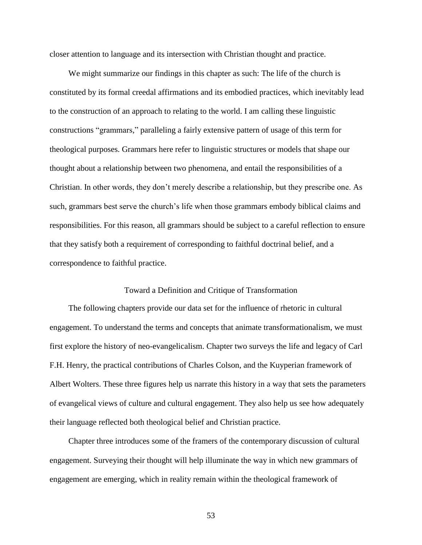closer attention to language and its intersection with Christian thought and practice.

We might summarize our findings in this chapter as such: The life of the church is constituted by its formal creedal affirmations and its embodied practices, which inevitably lead to the construction of an approach to relating to the world. I am calling these linguistic constructions "grammars," paralleling a fairly extensive pattern of usage of this term for theological purposes. Grammars here refer to linguistic structures or models that shape our thought about a relationship between two phenomena, and entail the responsibilities of a Christian. In other words, they don't merely describe a relationship, but they prescribe one. As such, grammars best serve the church's life when those grammars embody biblical claims and responsibilities. For this reason, all grammars should be subject to a careful reflection to ensure that they satisfy both a requirement of corresponding to faithful doctrinal belief, and a correspondence to faithful practice.

# Toward a Definition and Critique of Transformation

The following chapters provide our data set for the influence of rhetoric in cultural engagement. To understand the terms and concepts that animate transformationalism, we must first explore the history of neo-evangelicalism. Chapter two surveys the life and legacy of Carl F.H. Henry, the practical contributions of Charles Colson, and the Kuyperian framework of Albert Wolters. These three figures help us narrate this history in a way that sets the parameters of evangelical views of culture and cultural engagement. They also help us see how adequately their language reflected both theological belief and Christian practice.

Chapter three introduces some of the framers of the contemporary discussion of cultural engagement. Surveying their thought will help illuminate the way in which new grammars of engagement are emerging, which in reality remain within the theological framework of

53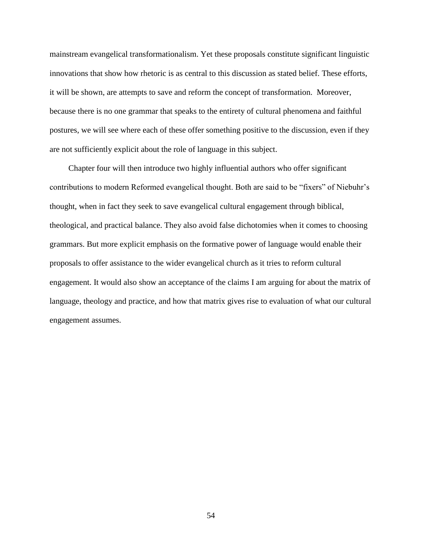mainstream evangelical transformationalism. Yet these proposals constitute significant linguistic innovations that show how rhetoric is as central to this discussion as stated belief. These efforts, it will be shown, are attempts to save and reform the concept of transformation. Moreover, because there is no one grammar that speaks to the entirety of cultural phenomena and faithful postures, we will see where each of these offer something positive to the discussion, even if they are not sufficiently explicit about the role of language in this subject.

Chapter four will then introduce two highly influential authors who offer significant contributions to modern Reformed evangelical thought. Both are said to be "fixers" of Niebuhr's thought, when in fact they seek to save evangelical cultural engagement through biblical, theological, and practical balance. They also avoid false dichotomies when it comes to choosing grammars. But more explicit emphasis on the formative power of language would enable their proposals to offer assistance to the wider evangelical church as it tries to reform cultural engagement. It would also show an acceptance of the claims I am arguing for about the matrix of language, theology and practice, and how that matrix gives rise to evaluation of what our cultural engagement assumes.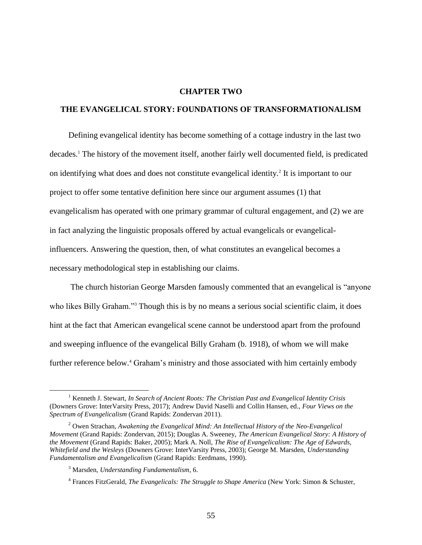### **CHAPTER TWO**

# **THE EVANGELICAL STORY: FOUNDATIONS OF TRANSFORMATIONALISM**

Defining evangelical identity has become something of a cottage industry in the last two decades.<sup>1</sup> The history of the movement itself, another fairly well documented field, is predicated on identifying what does and does not constitute evangelical identity.<sup>2</sup> It is important to our project to offer some tentative definition here since our argument assumes (1) that evangelicalism has operated with one primary grammar of cultural engagement, and (2) we are in fact analyzing the linguistic proposals offered by actual evangelicals or evangelicalinfluencers. Answering the question, then, of what constitutes an evangelical becomes a necessary methodological step in establishing our claims.

The church historian George Marsden famously commented that an evangelical is "anyone who likes Billy Graham."<sup>3</sup> Though this is by no means a serious social scientific claim, it does hint at the fact that American evangelical scene cannot be understood apart from the profound and sweeping influence of the evangelical Billy Graham (b. 1918), of whom we will make further reference below.<sup>4</sup> Graham's ministry and those associated with him certainly embody

<sup>1</sup> Kenneth J. Stewart, *In Search of Ancient Roots: The Christian Past and Evangelical Identity Crisis* (Downers Grove: InterVarsity Press, 2017); Andrew David Naselli and Collin Hansen, ed., *Four Views on the Spectrum of Evangelicalism* (Grand Rapids: Zondervan 2011).

<sup>2</sup> Owen Strachan, *Awakening the Evangelical Mind: An Intellectual History of the Neo-Evangelical Movement* (Grand Rapids: Zondervan, 2015); Douglas A. Sweeney, *The American Evangelical Story: A History of the Movement* (Grand Rapids: Baker, 2005); Mark A. Noll, *The Rise of Evangelicalism: The Age of Edwards, Whitefield and the Wesleys* (Downers Grove: InterVarsity Press, 2003); George M. Marsden, *Understanding Fundamentalism and Evangelicalism* (Grand Rapids: Eerdmans, 1990).

<sup>3</sup> Marsden, *Understanding Fundamentalism*, 6.

<sup>4</sup> Frances FitzGerald, *The Evangelicals: The Struggle to Shape America* (New York: Simon & Schuster,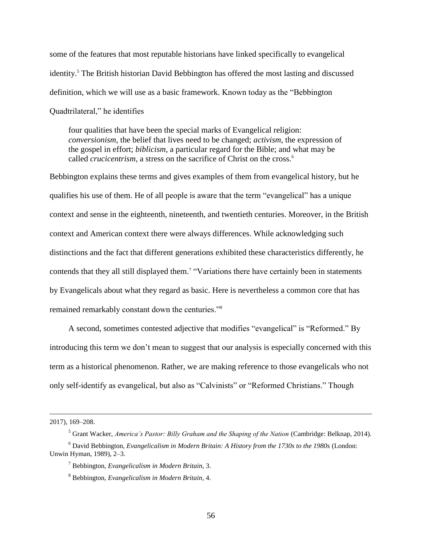some of the features that most reputable historians have linked specifically to evangelical identity.<sup>5</sup> The British historian David Bebbington has offered the most lasting and discussed definition, which we will use as a basic framework. Known today as the "Bebbington Quadtrilateral," he identifies

four qualities that have been the special marks of Evangelical religion: *conversionism*, the belief that lives need to be changed; *activism*, the expression of the gospel in effort; *biblicism*, a particular regard for the Bible; and what may be called *crucicentrism*, a stress on the sacrifice of Christ on the cross.<sup>6</sup>

Bebbington explains these terms and gives examples of them from evangelical history, but he qualifies his use of them. He of all people is aware that the term "evangelical" has a unique context and sense in the eighteenth, nineteenth, and twentieth centuries. Moreover, in the British context and American context there were always differences. While acknowledging such distinctions and the fact that different generations exhibited these characteristics differently, he contends that they all still displayed them.<sup>7</sup> "Variations there have certainly been in statements by Evangelicals about what they regard as basic. Here is nevertheless a common core that has remained remarkably constant down the centuries."<sup>8</sup>

A second, sometimes contested adjective that modifies "evangelical" is "Reformed." By introducing this term we don't mean to suggest that our analysis is especially concerned with this term as a historical phenomenon. Rather, we are making reference to those evangelicals who not only self-identify as evangelical, but also as "Calvinists" or "Reformed Christians." Though

<sup>2017), 169–208.</sup>

<sup>5</sup> Grant Wacker, *America's Pastor: Billy Graham and the Shaping of the Nation* (Cambridge: Belknap, 2014). <sup>6</sup> David Bebbington, *Evangelicalism in Modern Britain: A History from the 1730s to the 1980s* (London: Unwin Hyman, 1989), 2–3.

<sup>7</sup> Bebbington, *Evangelicalism in Modern Britain*, 3.

<sup>8</sup> Bebbington, *Evangelicalism in Modern Britain*, 4.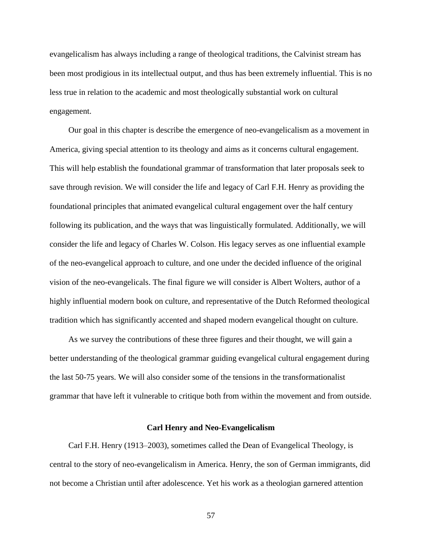evangelicalism has always including a range of theological traditions, the Calvinist stream has been most prodigious in its intellectual output, and thus has been extremely influential. This is no less true in relation to the academic and most theologically substantial work on cultural engagement.

Our goal in this chapter is describe the emergence of neo-evangelicalism as a movement in America, giving special attention to its theology and aims as it concerns cultural engagement. This will help establish the foundational grammar of transformation that later proposals seek to save through revision. We will consider the life and legacy of Carl F.H. Henry as providing the foundational principles that animated evangelical cultural engagement over the half century following its publication, and the ways that was linguistically formulated. Additionally, we will consider the life and legacy of Charles W. Colson. His legacy serves as one influential example of the neo-evangelical approach to culture, and one under the decided influence of the original vision of the neo-evangelicals. The final figure we will consider is Albert Wolters, author of a highly influential modern book on culture, and representative of the Dutch Reformed theological tradition which has significantly accented and shaped modern evangelical thought on culture.

As we survey the contributions of these three figures and their thought, we will gain a better understanding of the theological grammar guiding evangelical cultural engagement during the last 50-75 years. We will also consider some of the tensions in the transformationalist grammar that have left it vulnerable to critique both from within the movement and from outside.

# **Carl Henry and Neo-Evangelicalism**

Carl F.H. Henry (1913–2003), sometimes called the Dean of Evangelical Theology, is central to the story of neo-evangelicalism in America. Henry, the son of German immigrants, did not become a Christian until after adolescence. Yet his work as a theologian garnered attention

57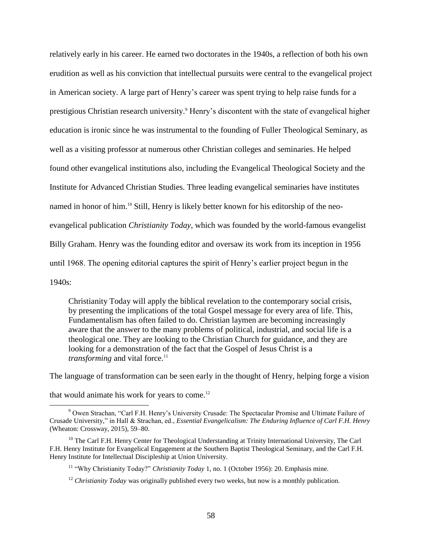relatively early in his career. He earned two doctorates in the 1940s, a reflection of both his own erudition as well as his conviction that intellectual pursuits were central to the evangelical project in American society. A large part of Henry's career was spent trying to help raise funds for a prestigious Christian research university.<sup>9</sup> Henry's discontent with the state of evangelical higher education is ironic since he was instrumental to the founding of Fuller Theological Seminary, as well as a visiting professor at numerous other Christian colleges and seminaries. He helped found other evangelical institutions also, including the Evangelical Theological Society and the Institute for Advanced Christian Studies. Three leading evangelical seminaries have institutes named in honor of him.<sup>10</sup> Still, Henry is likely better known for his editorship of the neoevangelical publication *Christianity Today*, which was founded by the world-famous evangelist Billy Graham. Henry was the founding editor and oversaw its work from its inception in 1956 until 1968. The opening editorial captures the spirit of Henry's earlier project begun in the 1940s:

Christianity Today will apply the biblical revelation to the contemporary social crisis, by presenting the implications of the total Gospel message for every area of life. This, Fundamentalism has often failed to do. Christian laymen are becoming increasingly aware that the answer to the many problems of political, industrial, and social life is a theological one. They are looking to the Christian Church for guidance, and they are looking for a demonstration of the fact that the Gospel of Jesus Christ is a *transforming* and vital force.<sup>11</sup>

The language of transformation can be seen early in the thought of Henry, helping forge a vision

that would animate his work for years to come.<sup>12</sup>

<sup>9</sup> Owen Strachan, "Carl F.H. Henry's University Crusade: The Spectacular Promise and Ultimate Failure of Crusade University," in Hall & Strachan, ed., *Essential Evangelicalism: The Enduring Influence of Carl F.H. Henry*  (Wheaton: Crossway, 2015), 59–80.

<sup>&</sup>lt;sup>10</sup> The Carl F.H. Henry Center for Theological Understanding at Trinity International University, The Carl F.H. Henry Institute for Evangelical Engagement at the Southern Baptist Theological Seminary, and the Carl F.H. Henry Institute for Intellectual Discipleship at Union University.

<sup>&</sup>lt;sup>11</sup> "Why Christianity Today?" *Christianity Today* 1, no. 1 (October 1956): 20. Emphasis mine.

<sup>&</sup>lt;sup>12</sup> *Christianity Today* was originally published every two weeks, but now is a monthly publication.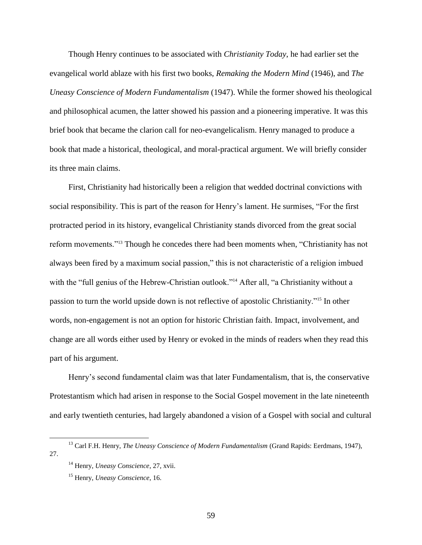Though Henry continues to be associated with *Christianity Today*, he had earlier set the evangelical world ablaze with his first two books, *Remaking the Modern Mind* (1946), and *The Uneasy Conscience of Modern Fundamentalism* (1947). While the former showed his theological and philosophical acumen, the latter showed his passion and a pioneering imperative. It was this brief book that became the clarion call for neo-evangelicalism. Henry managed to produce a book that made a historical, theological, and moral-practical argument. We will briefly consider its three main claims.

First, Christianity had historically been a religion that wedded doctrinal convictions with social responsibility. This is part of the reason for Henry's lament. He surmises, "For the first protracted period in its history, evangelical Christianity stands divorced from the great social reform movements."<sup>13</sup> Though he concedes there had been moments when, "Christianity has not always been fired by a maximum social passion," this is not characteristic of a religion imbued with the "full genius of the Hebrew-Christian outlook."<sup>14</sup> After all, "a Christianity without a passion to turn the world upside down is not reflective of apostolic Christianity."<sup>15</sup> In other words, non-engagement is not an option for historic Christian faith. Impact, involvement, and change are all words either used by Henry or evoked in the minds of readers when they read this part of his argument.

Henry's second fundamental claim was that later Fundamentalism, that is, the conservative Protestantism which had arisen in response to the Social Gospel movement in the late nineteenth and early twentieth centuries, had largely abandoned a vision of a Gospel with social and cultural

<sup>13</sup> Carl F.H. Henry, *The Uneasy Conscience of Modern Fundamentalism* (Grand Rapids: Eerdmans, 1947), 27.

<sup>14</sup> Henry, *Uneasy Conscience*, 27, xvii.

<sup>15</sup> Henry, *Uneasy Conscience*, 16.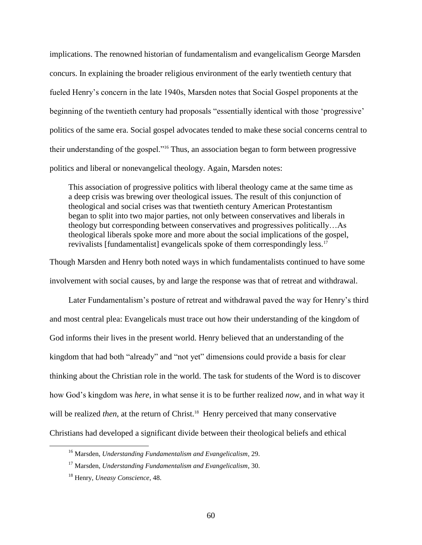implications. The renowned historian of fundamentalism and evangelicalism George Marsden concurs. In explaining the broader religious environment of the early twentieth century that fueled Henry's concern in the late 1940s, Marsden notes that Social Gospel proponents at the beginning of the twentieth century had proposals "essentially identical with those 'progressive' politics of the same era. Social gospel advocates tended to make these social concerns central to their understanding of the gospel."<sup>16</sup> Thus, an association began to form between progressive politics and liberal or nonevangelical theology. Again, Marsden notes:

This association of progressive politics with liberal theology came at the same time as a deep crisis was brewing over theological issues. The result of this conjunction of theological and social crises was that twentieth century American Protestantism began to split into two major parties, not only between conservatives and liberals in theology but corresponding between conservatives and progressives politically…As theological liberals spoke more and more about the social implications of the gospel, revivalists [fundamentalist] evangelicals spoke of them correspondingly less.<sup>17</sup>

Though Marsden and Henry both noted ways in which fundamentalists continued to have some involvement with social causes, by and large the response was that of retreat and withdrawal.

Later Fundamentalism's posture of retreat and withdrawal paved the way for Henry's third and most central plea: Evangelicals must trace out how their understanding of the kingdom of God informs their lives in the present world. Henry believed that an understanding of the kingdom that had both "already" and "not yet" dimensions could provide a basis for clear thinking about the Christian role in the world. The task for students of the Word is to discover how God's kingdom was *here*, in what sense it is to be further realized *now*, and in what way it will be realized *then*, at the return of Christ.<sup>18</sup> Henry perceived that many conservative Christians had developed a significant divide between their theological beliefs and ethical

<sup>16</sup> Marsden, *Understanding Fundamentalism and Evangelicalism*, 29.

<sup>17</sup> Marsden, *Understanding Fundamentalism and Evangelicalism*, 30.

<sup>18</sup> Henry, *Uneasy Conscience*, 48.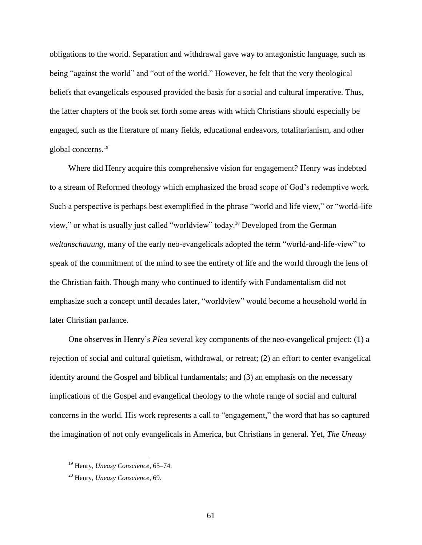obligations to the world. Separation and withdrawal gave way to antagonistic language, such as being "against the world" and "out of the world." However, he felt that the very theological beliefs that evangelicals espoused provided the basis for a social and cultural imperative. Thus, the latter chapters of the book set forth some areas with which Christians should especially be engaged, such as the literature of many fields, educational endeavors, totalitarianism, and other global concerns.<sup>19</sup>

Where did Henry acquire this comprehensive vision for engagement? Henry was indebted to a stream of Reformed theology which emphasized the broad scope of God's redemptive work. Such a perspective is perhaps best exemplified in the phrase "world and life view," or "world-life view," or what is usually just called "worldview" today.<sup>20</sup> Developed from the German *weltanschauung*, many of the early neo-evangelicals adopted the term "world-and-life-view" to speak of the commitment of the mind to see the entirety of life and the world through the lens of the Christian faith. Though many who continued to identify with Fundamentalism did not emphasize such a concept until decades later, "worldview" would become a household world in later Christian parlance.

One observes in Henry's *Plea* several key components of the neo-evangelical project: (1) a rejection of social and cultural quietism, withdrawal, or retreat; (2) an effort to center evangelical identity around the Gospel and biblical fundamentals; and (3) an emphasis on the necessary implications of the Gospel and evangelical theology to the whole range of social and cultural concerns in the world. His work represents a call to "engagement," the word that has so captured the imagination of not only evangelicals in America, but Christians in general. Yet, *The Uneasy* 

<sup>19</sup> Henry, *Uneasy Conscience*, 65–74.

<sup>20</sup> Henry, *Uneasy Conscience*, 69.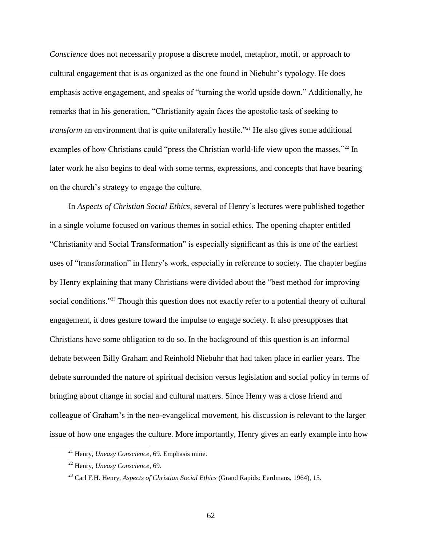*Conscience* does not necessarily propose a discrete model, metaphor, motif, or approach to cultural engagement that is as organized as the one found in Niebuhr's typology. He does emphasis active engagement, and speaks of "turning the world upside down." Additionally, he remarks that in his generation, "Christianity again faces the apostolic task of seeking to *transform* an environment that is quite unilaterally hostile.<sup>"21</sup> He also gives some additional examples of how Christians could "press the Christian world-life view upon the masses."<sup>22</sup> In later work he also begins to deal with some terms, expressions, and concepts that have bearing on the church's strategy to engage the culture.

In *Aspects of Christian Social Ethics*, several of Henry's lectures were published together in a single volume focused on various themes in social ethics. The opening chapter entitled "Christianity and Social Transformation" is especially significant as this is one of the earliest uses of "transformation" in Henry's work, especially in reference to society. The chapter begins by Henry explaining that many Christians were divided about the "best method for improving social conditions."<sup>23</sup> Though this question does not exactly refer to a potential theory of cultural engagement, it does gesture toward the impulse to engage society. It also presupposes that Christians have some obligation to do so. In the background of this question is an informal debate between Billy Graham and Reinhold Niebuhr that had taken place in earlier years. The debate surrounded the nature of spiritual decision versus legislation and social policy in terms of bringing about change in social and cultural matters. Since Henry was a close friend and colleague of Graham's in the neo-evangelical movement, his discussion is relevant to the larger issue of how one engages the culture. More importantly, Henry gives an early example into how

<sup>21</sup> Henry, *Uneasy Conscience*, 69. Emphasis mine.

<sup>22</sup> Henry, *Uneasy Conscience*, 69.

<sup>23</sup> Carl F.H. Henry, *Aspects of Christian Social Ethics* (Grand Rapids: Eerdmans, 1964), 15.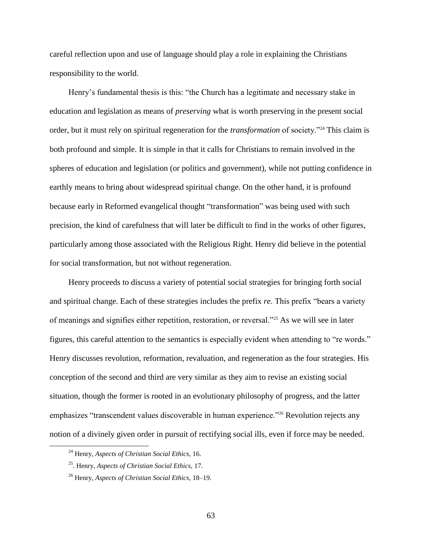careful reflection upon and use of language should play a role in explaining the Christians responsibility to the world.

Henry's fundamental thesis is this: "the Church has a legitimate and necessary stake in education and legislation as means of *preserving* what is worth preserving in the present social order, but it must rely on spiritual regeneration for the *transformation* of society."<sup>24</sup> This claim is both profound and simple. It is simple in that it calls for Christians to remain involved in the spheres of education and legislation (or politics and government), while not putting confidence in earthly means to bring about widespread spiritual change. On the other hand, it is profound because early in Reformed evangelical thought "transformation" was being used with such precision, the kind of carefulness that will later be difficult to find in the works of other figures, particularly among those associated with the Religious Right. Henry did believe in the potential for social transformation, but not without regeneration.

Henry proceeds to discuss a variety of potential social strategies for bringing forth social and spiritual change. Each of these strategies includes the prefix *re*. This prefix "bears a variety of meanings and signifies either repetition, restoration, or reversal."<sup>25</sup> As we will see in later figures, this careful attention to the semantics is especially evident when attending to "re words." Henry discusses revolution, reformation, revaluation, and regeneration as the four strategies. His conception of the second and third are very similar as they aim to revise an existing social situation, though the former is rooted in an evolutionary philosophy of progress, and the latter emphasizes "transcendent values discoverable in human experience."<sup>26</sup> Revolution rejects any notion of a divinely given order in pursuit of rectifying social ills, even if force may be needed.

<sup>24</sup> Henry, *Aspects of Christian Social Ethics*, 16.

<sup>25</sup>. Henry, *Aspects of Christian Social Ethics*, 17.

<sup>26</sup> Henry, *Aspects of Christian Social Ethics*, 18–19.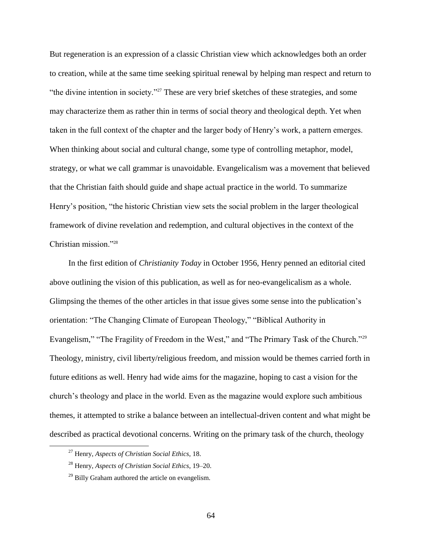But regeneration is an expression of a classic Christian view which acknowledges both an order to creation, while at the same time seeking spiritual renewal by helping man respect and return to "the divine intention in society."<sup>27</sup> These are very brief sketches of these strategies, and some may characterize them as rather thin in terms of social theory and theological depth. Yet when taken in the full context of the chapter and the larger body of Henry's work, a pattern emerges. When thinking about social and cultural change, some type of controlling metaphor, model, strategy, or what we call grammar is unavoidable. Evangelicalism was a movement that believed that the Christian faith should guide and shape actual practice in the world. To summarize Henry's position, "the historic Christian view sets the social problem in the larger theological framework of divine revelation and redemption, and cultural objectives in the context of the Christian mission."<sup>28</sup>

In the first edition of *Christianity Today* in October 1956, Henry penned an editorial cited above outlining the vision of this publication, as well as for neo-evangelicalism as a whole. Glimpsing the themes of the other articles in that issue gives some sense into the publication's orientation: "The Changing Climate of European Theology," "Biblical Authority in Evangelism," "The Fragility of Freedom in the West," and "The Primary Task of the Church."<sup>29</sup> Theology, ministry, civil liberty/religious freedom, and mission would be themes carried forth in future editions as well. Henry had wide aims for the magazine, hoping to cast a vision for the church's theology and place in the world. Even as the magazine would explore such ambitious themes, it attempted to strike a balance between an intellectual-driven content and what might be described as practical devotional concerns. Writing on the primary task of the church, theology

<sup>27</sup> Henry, *Aspects of Christian Social Ethics*, 18.

<sup>28</sup> Henry, *Aspects of Christian Social Ethics*, 19–20.

 $^{29}$  Billy Graham authored the article on evangelism.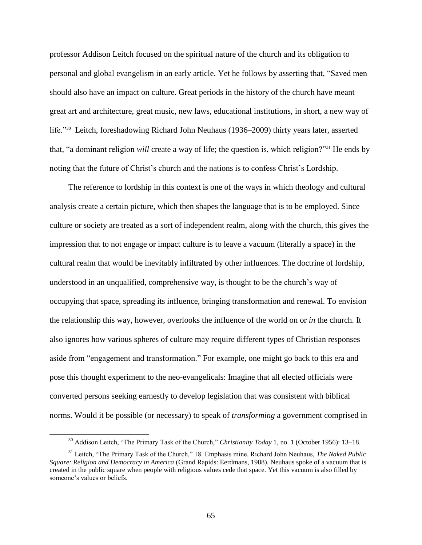professor Addison Leitch focused on the spiritual nature of the church and its obligation to personal and global evangelism in an early article. Yet he follows by asserting that, "Saved men should also have an impact on culture. Great periods in the history of the church have meant great art and architecture, great music, new laws, educational institutions, in short, a new way of life."<sup>30</sup> Leitch, foreshadowing Richard John Neuhaus (1936–2009) thirty years later, asserted that, "a dominant religion *will* create a way of life; the question is, which religion?"<sup>31</sup> He ends by noting that the future of Christ's church and the nations is to confess Christ's Lordship.

The reference to lordship in this context is one of the ways in which theology and cultural analysis create a certain picture, which then shapes the language that is to be employed. Since culture or society are treated as a sort of independent realm, along with the church, this gives the impression that to not engage or impact culture is to leave a vacuum (literally a space) in the cultural realm that would be inevitably infiltrated by other influences. The doctrine of lordship, understood in an unqualified, comprehensive way, is thought to be the church's way of occupying that space, spreading its influence, bringing transformation and renewal. To envision the relationship this way, however, overlooks the influence of the world on or *in* the church. It also ignores how various spheres of culture may require different types of Christian responses aside from "engagement and transformation." For example, one might go back to this era and pose this thought experiment to the neo-evangelicals: Imagine that all elected officials were converted persons seeking earnestly to develop legislation that was consistent with biblical norms. Would it be possible (or necessary) to speak of *transforming* a government comprised in

<sup>30</sup> Addison Leitch, "The Primary Task of the Church," *Christianity Today* 1, no. 1 (October 1956): 13–18.

<sup>31</sup> Leitch, "The Primary Task of the Church," 18. Emphasis mine. Richard John Neuhaus, *The Naked Public Square: Religion and Democracy in America* (Grand Rapids: Eerdmans, 1988). Neuhaus spoke of a vacuum that is created in the public square when people with religious values cede that space. Yet this vacuum is also filled by someone's values or beliefs.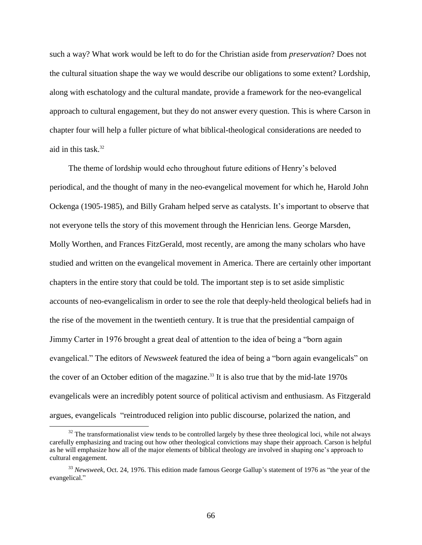such a way? What work would be left to do for the Christian aside from *preservation*? Does not the cultural situation shape the way we would describe our obligations to some extent? Lordship, along with eschatology and the cultural mandate, provide a framework for the neo-evangelical approach to cultural engagement, but they do not answer every question. This is where Carson in chapter four will help a fuller picture of what biblical-theological considerations are needed to aid in this task  $32$ 

The theme of lordship would echo throughout future editions of Henry's beloved periodical, and the thought of many in the neo-evangelical movement for which he, Harold John Ockenga (1905-1985), and Billy Graham helped serve as catalysts. It's important to observe that not everyone tells the story of this movement through the Henrician lens. George Marsden, Molly Worthen, and Frances FitzGerald, most recently, are among the many scholars who have studied and written on the evangelical movement in America. There are certainly other important chapters in the entire story that could be told. The important step is to set aside simplistic accounts of neo-evangelicalism in order to see the role that deeply-held theological beliefs had in the rise of the movement in the twentieth century. It is true that the presidential campaign of Jimmy Carter in 1976 brought a great deal of attention to the idea of being a "born again evangelical." The editors of *Newsweek* featured the idea of being a "born again evangelicals" on the cover of an October edition of the magazine.<sup>33</sup> It is also true that by the mid-late  $1970s$ evangelicals were an incredibly potent source of political activism and enthusiasm. As Fitzgerald argues, evangelicals "reintroduced religion into public discourse, polarized the nation, and

 $32$  The transformationalist view tends to be controlled largely by these three theological loci, while not always carefully emphasizing and tracing out how other theological convictions may shape their approach. Carson is helpful as he will emphasize how all of the major elements of biblical theology are involved in shaping one's approach to cultural engagement.

<sup>33</sup> *Newsweek*, Oct. 24, 1976. This edition made famous George Gallup's statement of 1976 as "the year of the evangelical."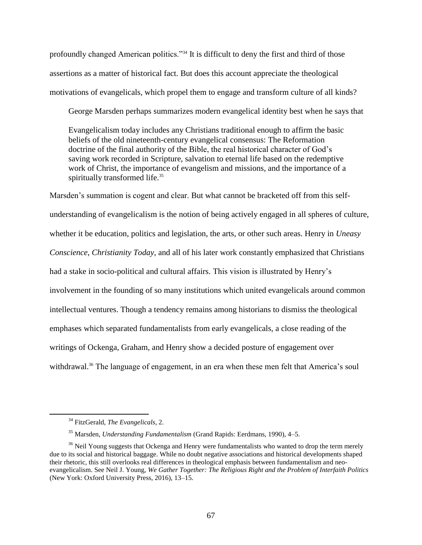profoundly changed American politics."<sup>34</sup> It is difficult to deny the first and third of those assertions as a matter of historical fact. But does this account appreciate the theological motivations of evangelicals, which propel them to engage and transform culture of all kinds?

George Marsden perhaps summarizes modern evangelical identity best when he says that

Evangelicalism today includes any Christians traditional enough to affirm the basic beliefs of the old nineteenth-century evangelical consensus: The Reformation doctrine of the final authority of the Bible, the real historical character of God's saving work recorded in Scripture, salvation to eternal life based on the redemptive work of Christ, the importance of evangelism and missions, and the importance of a spiritually transformed life.<sup>35</sup>

Marsden's summation is cogent and clear. But what cannot be bracketed off from this selfunderstanding of evangelicalism is the notion of being actively engaged in all spheres of culture, whether it be education, politics and legislation, the arts, or other such areas. Henry in *Uneasy Conscience*, *Christianity Today*, and all of his later work constantly emphasized that Christians had a stake in socio-political and cultural affairs. This vision is illustrated by Henry's involvement in the founding of so many institutions which united evangelicals around common intellectual ventures. Though a tendency remains among historians to dismiss the theological emphases which separated fundamentalists from early evangelicals, a close reading of the writings of Ockenga, Graham, and Henry show a decided posture of engagement over withdrawal.<sup>36</sup> The language of engagement, in an era when these men felt that America's soul

<sup>34</sup> FitzGerald, *The Evangelicals*, 2.

<sup>35</sup> Marsden, *Understanding Fundamentalism* (Grand Rapids: Eerdmans, 1990), 4–5.

<sup>&</sup>lt;sup>36</sup> Neil Young suggests that Ockenga and Henry were fundamentalists who wanted to drop the term merely due to its social and historical baggage. While no doubt negative associations and historical developments shaped their rhetoric, this still overlooks real differences in theological emphasis between fundamentalism and neoevangelicalism. See Neil J. Young, *We Gather Together: The Religious Right and the Problem of Interfaith Politics* (New York: Oxford University Press, 2016), 13–15.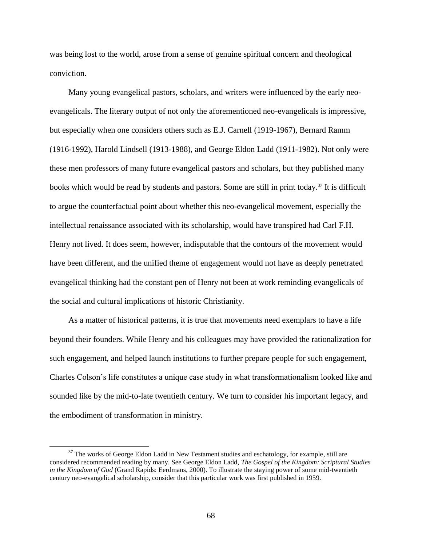was being lost to the world, arose from a sense of genuine spiritual concern and theological conviction.

Many young evangelical pastors, scholars, and writers were influenced by the early neoevangelicals. The literary output of not only the aforementioned neo-evangelicals is impressive, but especially when one considers others such as E.J. Carnell (1919-1967), Bernard Ramm (1916-1992), Harold Lindsell (1913-1988), and George Eldon Ladd (1911-1982). Not only were these men professors of many future evangelical pastors and scholars, but they published many books which would be read by students and pastors. Some are still in print today.<sup>37</sup> It is difficult to argue the counterfactual point about whether this neo-evangelical movement, especially the intellectual renaissance associated with its scholarship, would have transpired had Carl F.H. Henry not lived. It does seem, however, indisputable that the contours of the movement would have been different, and the unified theme of engagement would not have as deeply penetrated evangelical thinking had the constant pen of Henry not been at work reminding evangelicals of the social and cultural implications of historic Christianity.

As a matter of historical patterns, it is true that movements need exemplars to have a life beyond their founders. While Henry and his colleagues may have provided the rationalization for such engagement, and helped launch institutions to further prepare people for such engagement, Charles Colson's life constitutes a unique case study in what transformationalism looked like and sounded like by the mid-to-late twentieth century. We turn to consider his important legacy, and the embodiment of transformation in ministry.

 $37$  The works of George Eldon Ladd in New Testament studies and eschatology, for example, still are considered recommended reading by many. See George Eldon Ladd, *The Gospel of the Kingdom: Scriptural Studies in the Kingdom of God* (Grand Rapids: Eerdmans, 2000). To illustrate the staying power of some mid-twentieth century neo-evangelical scholarship, consider that this particular work was first published in 1959.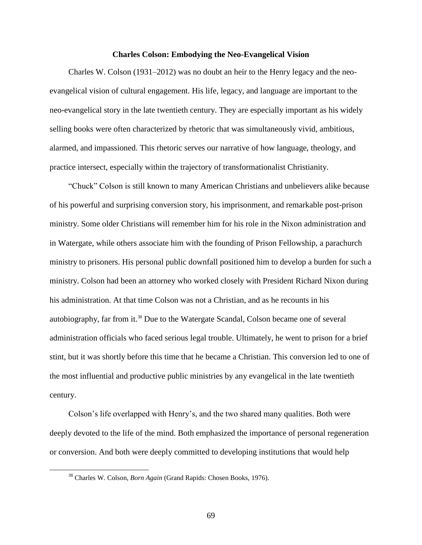#### **Charles Colson: Embodying the Neo-Evangelical Vision**

Charles W. Colson (1931–2012) was no doubt an heir to the Henry legacy and the neoevangelical vision of cultural engagement. His life, legacy, and language are important to the neo-evangelical story in the late twentieth century. They are especially important as his widely selling books were often characterized by rhetoric that was simultaneously vivid, ambitious, alarmed, and impassioned. This rhetoric serves our narrative of how language, theology, and practice intersect, especially within the trajectory of transformationalist Christianity.

"Chuck" Colson is still known to many American Christians and unbelievers alike because of his powerful and surprising conversion story, his imprisonment, and remarkable post-prison ministry. Some older Christians will remember him for his role in the Nixon administration and in Watergate, while others associate him with the founding of Prison Fellowship, a parachurch ministry to prisoners. His personal public downfall positioned him to develop a burden for such a ministry. Colson had been an attorney who worked closely with President Richard Nixon during his administration. At that time Colson was not a Christian, and as he recounts in his autobiography, far from it.<sup>38</sup> Due to the Watergate Scandal, Colson became one of several administration officials who faced serious legal trouble. Ultimately, he went to prison for a brief stint, but it was shortly before this time that he became a Christian. This conversion led to one of the most influential and productive public ministries by any evangelical in the late twentieth century.

Colson's life overlapped with Henry's, and the two shared many qualities. Both were deeply devoted to the life of the mind. Both emphasized the importance of personal regeneration or conversion. And both were deeply committed to developing institutions that would help

<sup>38</sup> Charles W. Colson, *Born Again* (Grand Rapids: Chosen Books, 1976).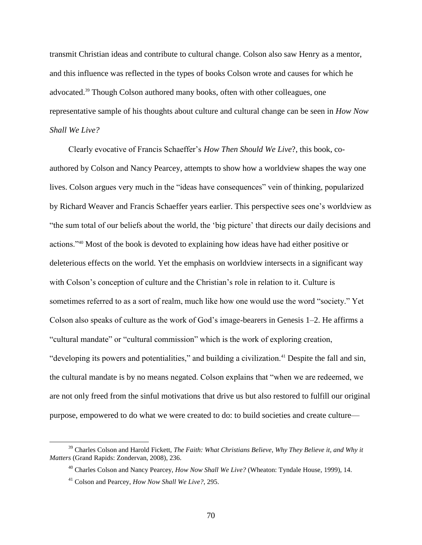transmit Christian ideas and contribute to cultural change. Colson also saw Henry as a mentor, and this influence was reflected in the types of books Colson wrote and causes for which he advocated.<sup>39</sup> Though Colson authored many books, often with other colleagues, one representative sample of his thoughts about culture and cultural change can be seen in *How Now Shall We Live?* 

Clearly evocative of Francis Schaeffer's *How Then Should We Live*?, this book, coauthored by Colson and Nancy Pearcey, attempts to show how a worldview shapes the way one lives. Colson argues very much in the "ideas have consequences" vein of thinking, popularized by Richard Weaver and Francis Schaeffer years earlier. This perspective sees one's worldview as "the sum total of our beliefs about the world, the 'big picture' that directs our daily decisions and actions."<sup>40</sup> Most of the book is devoted to explaining how ideas have had either positive or deleterious effects on the world. Yet the emphasis on worldview intersects in a significant way with Colson's conception of culture and the Christian's role in relation to it. Culture is sometimes referred to as a sort of realm, much like how one would use the word "society." Yet Colson also speaks of culture as the work of God's image-bearers in Genesis 1–2. He affirms a "cultural mandate" or "cultural commission" which is the work of exploring creation, "developing its powers and potentialities," and building a civilization.<sup>41</sup> Despite the fall and sin, the cultural mandate is by no means negated. Colson explains that "when we are redeemed, we are not only freed from the sinful motivations that drive us but also restored to fulfill our original purpose, empowered to do what we were created to do: to build societies and create culture—

<sup>39</sup> Charles Colson and Harold Fickett, *The Faith: What Christians Believe, Why They Believe it, and Why it Matters* (Grand Rapids: Zondervan, 2008), 236.

<sup>40</sup> Charles Colson and Nancy Pearcey, *How Now Shall We Live?* (Wheaton: Tyndale House, 1999), 14.

<sup>41</sup> Colson and Pearcey, *How Now Shall We Live?*, 295.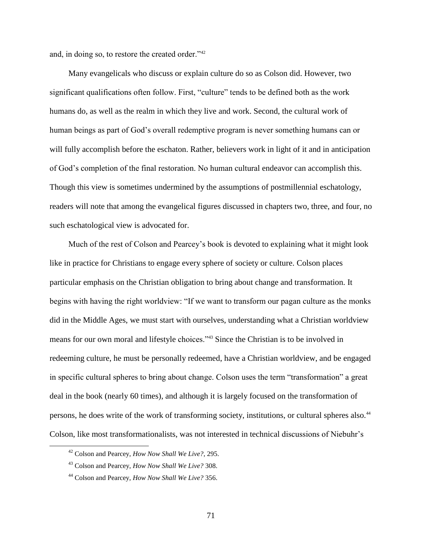and, in doing so, to restore the created order."<sup>42</sup>

Many evangelicals who discuss or explain culture do so as Colson did. However, two significant qualifications often follow. First, "culture" tends to be defined both as the work humans do, as well as the realm in which they live and work. Second, the cultural work of human beings as part of God's overall redemptive program is never something humans can or will fully accomplish before the eschaton. Rather, believers work in light of it and in anticipation of God's completion of the final restoration. No human cultural endeavor can accomplish this. Though this view is sometimes undermined by the assumptions of postmillennial eschatology, readers will note that among the evangelical figures discussed in chapters two, three, and four, no such eschatological view is advocated for.

Much of the rest of Colson and Pearcey's book is devoted to explaining what it might look like in practice for Christians to engage every sphere of society or culture. Colson places particular emphasis on the Christian obligation to bring about change and transformation. It begins with having the right worldview: "If we want to transform our pagan culture as the monks did in the Middle Ages, we must start with ourselves, understanding what a Christian worldview means for our own moral and lifestyle choices."<sup>43</sup> Since the Christian is to be involved in redeeming culture, he must be personally redeemed, have a Christian worldview, and be engaged in specific cultural spheres to bring about change. Colson uses the term "transformation" a great deal in the book (nearly 60 times), and although it is largely focused on the transformation of persons, he does write of the work of transforming society, institutions, or cultural spheres also.<sup>44</sup> Colson, like most transformationalists, was not interested in technical discussions of Niebuhr's

<sup>42</sup> Colson and Pearcey, *How Now Shall We Live?*, 295.

<sup>43</sup> Colson and Pearcey, *How Now Shall We Live?* 308.

<sup>44</sup> Colson and Pearcey, *How Now Shall We Live?* 356.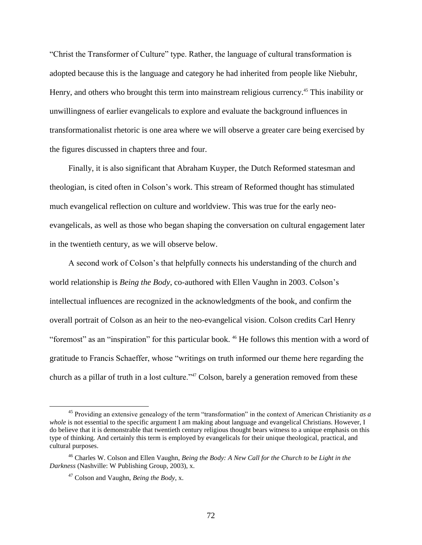"Christ the Transformer of Culture" type. Rather, the language of cultural transformation is adopted because this is the language and category he had inherited from people like Niebuhr, Henry, and others who brought this term into mainstream religious currency.<sup>45</sup> This inability or unwillingness of earlier evangelicals to explore and evaluate the background influences in transformationalist rhetoric is one area where we will observe a greater care being exercised by the figures discussed in chapters three and four.

Finally, it is also significant that Abraham Kuyper, the Dutch Reformed statesman and theologian, is cited often in Colson's work. This stream of Reformed thought has stimulated much evangelical reflection on culture and worldview. This was true for the early neoevangelicals, as well as those who began shaping the conversation on cultural engagement later in the twentieth century, as we will observe below.

A second work of Colson's that helpfully connects his understanding of the church and world relationship is *Being the Body*, co-authored with Ellen Vaughn in 2003. Colson's intellectual influences are recognized in the acknowledgments of the book, and confirm the overall portrait of Colson as an heir to the neo-evangelical vision. Colson credits Carl Henry "foremost" as an "inspiration" for this particular book. <sup>46</sup> He follows this mention with a word of gratitude to Francis Schaeffer, whose "writings on truth informed our theme here regarding the church as a pillar of truth in a lost culture."<sup>47</sup> Colson, barely a generation removed from these

<sup>45</sup> Providing an extensive genealogy of the term "transformation" in the context of American Christianity *as a whole* is not essential to the specific argument I am making about language and evangelical Christians. However, I do believe that it is demonstrable that twentieth century religious thought bears witness to a unique emphasis on this type of thinking. And certainly this term is employed by evangelicals for their unique theological, practical, and cultural purposes.

<sup>46</sup> Charles W. Colson and Ellen Vaughn, *Being the Body: A New Call for the Church to be Light in the Darkness* (Nashville: W Publishing Group, 2003), x.

<sup>47</sup> Colson and Vaughn, *Being the Body*, x.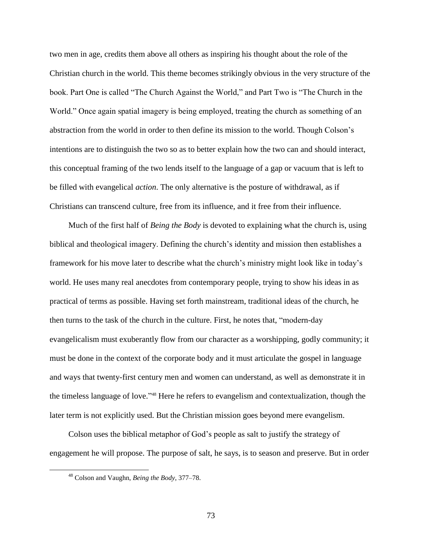two men in age, credits them above all others as inspiring his thought about the role of the Christian church in the world. This theme becomes strikingly obvious in the very structure of the book. Part One is called "The Church Against the World," and Part Two is "The Church in the World." Once again spatial imagery is being employed, treating the church as something of an abstraction from the world in order to then define its mission to the world. Though Colson's intentions are to distinguish the two so as to better explain how the two can and should interact, this conceptual framing of the two lends itself to the language of a gap or vacuum that is left to be filled with evangelical *action*. The only alternative is the posture of withdrawal, as if Christians can transcend culture, free from its influence, and it free from their influence.

Much of the first half of *Being the Body* is devoted to explaining what the church is, using biblical and theological imagery. Defining the church's identity and mission then establishes a framework for his move later to describe what the church's ministry might look like in today's world. He uses many real anecdotes from contemporary people, trying to show his ideas in as practical of terms as possible. Having set forth mainstream, traditional ideas of the church, he then turns to the task of the church in the culture. First, he notes that, "modern-day evangelicalism must exuberantly flow from our character as a worshipping, godly community; it must be done in the context of the corporate body and it must articulate the gospel in language and ways that twenty-first century men and women can understand, as well as demonstrate it in the timeless language of love." <sup>48</sup> Here he refers to evangelism and contextualization, though the later term is not explicitly used. But the Christian mission goes beyond mere evangelism.

Colson uses the biblical metaphor of God's people as salt to justify the strategy of engagement he will propose. The purpose of salt, he says, is to season and preserve. But in order

<sup>48</sup> Colson and Vaughn, *Being the Body*, 377–78.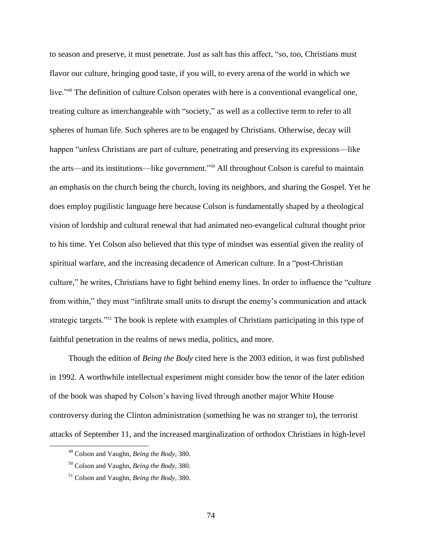to season and preserve, it must penetrate. Just as salt has this affect, "so, too, Christians must flavor our culture, bringing good taste, if you will, to every arena of the world in which we live."<sup>49</sup> The definition of culture Colson operates with here is a conventional evangelical one, treating culture as interchangeable with "society," as well as a collective term to refer to all spheres of human life. Such spheres are to be engaged by Christians. Otherwise, decay will happen "*unless* Christians are part of culture, penetrating and preserving its expressions—like the arts—and its institutions—like government."<sup>50</sup> All throughout Colson is careful to maintain an emphasis on the church being the church, loving its neighbors, and sharing the Gospel. Yet he does employ pugilistic language here because Colson is fundamentally shaped by a theological vision of lordship and cultural renewal that had animated neo-evangelical cultural thought prior to his time. Yet Colson also believed that this type of mindset was essential given the reality of spiritual warfare, and the increasing decadence of American culture. In a "post-Christian culture," he writes, Christians have to fight behind enemy lines. In order to influence the "culture from within," they must "infiltrate small units to disrupt the enemy's communication and attack strategic targets."<sup>51</sup> The book is replete with examples of Christians participating in this type of faithful penetration in the realms of news media, politics, and more.

Though the edition of *Being the Body* cited here is the 2003 edition, it was first published in 1992. A worthwhile intellectual experiment might consider how the tenor of the later edition of the book was shaped by Colson's having lived through another major White House controversy during the Clinton administration (something he was no stranger to), the terrorist attacks of September 11, and the increased marginalization of orthodox Christians in high-level

<sup>49</sup> Colson and Vaughn, *Being the Body*, 380.

<sup>50</sup> Colson and Vaughn, *Being the Body*, 380.

<sup>51</sup> Colson and Vaughn, *Being the Body*, 380.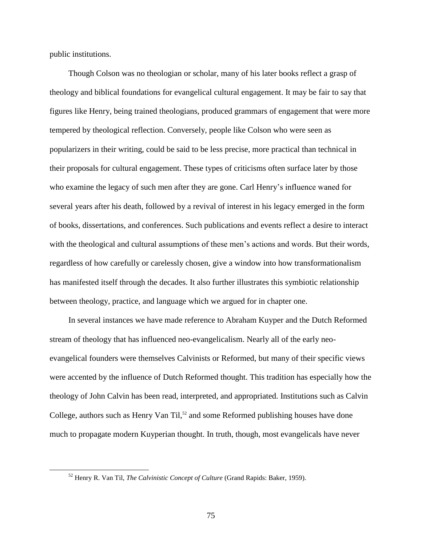public institutions.

 $\overline{a}$ 

Though Colson was no theologian or scholar, many of his later books reflect a grasp of theology and biblical foundations for evangelical cultural engagement. It may be fair to say that figures like Henry, being trained theologians, produced grammars of engagement that were more tempered by theological reflection. Conversely, people like Colson who were seen as popularizers in their writing, could be said to be less precise, more practical than technical in their proposals for cultural engagement. These types of criticisms often surface later by those who examine the legacy of such men after they are gone. Carl Henry's influence waned for several years after his death, followed by a revival of interest in his legacy emerged in the form of books, dissertations, and conferences. Such publications and events reflect a desire to interact with the theological and cultural assumptions of these men's actions and words. But their words, regardless of how carefully or carelessly chosen, give a window into how transformationalism has manifested itself through the decades. It also further illustrates this symbiotic relationship between theology, practice, and language which we argued for in chapter one.

In several instances we have made reference to Abraham Kuyper and the Dutch Reformed stream of theology that has influenced neo-evangelicalism. Nearly all of the early neoevangelical founders were themselves Calvinists or Reformed, but many of their specific views were accented by the influence of Dutch Reformed thought. This tradition has especially how the theology of John Calvin has been read, interpreted, and appropriated. Institutions such as Calvin College, authors such as Henry Van Til,<sup>52</sup> and some Reformed publishing houses have done much to propagate modern Kuyperian thought. In truth, though, most evangelicals have never

<sup>52</sup> Henry R. Van Til, *The Calvinistic Concept of Culture* (Grand Rapids: Baker, 1959).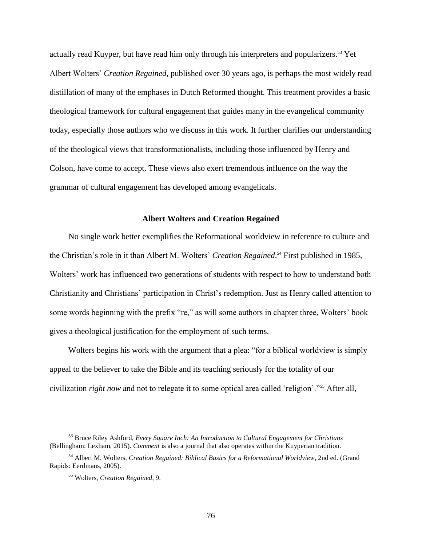actually read Kuyper, but have read him only through his interpreters and popularizers.<sup>53</sup> Yet Albert Wolters' *Creation Regained*, published over 30 years ago, is perhaps the most widely read distillation of many of the emphases in Dutch Reformed thought. This treatment provides a basic theological framework for cultural engagement that guides many in the evangelical community today, especially those authors who we discuss in this work. It further clarifies our understanding of the theological views that transformationalists, including those influenced by Henry and Colson, have come to accept. These views also exert tremendous influence on the way the grammar of cultural engagement has developed among evangelicals.

# **Albert Wolters and Creation Regained**

No single work better exemplifies the Reformational worldview in reference to culture and the Christian's role in it than Albert M. Wolters' *Creation Regained*. <sup>54</sup> First published in 1985, Wolters' work has influenced two generations of students with respect to how to understand both Christianity and Christians' participation in Christ's redemption. Just as Henry called attention to some words beginning with the prefix "re," as will some authors in chapter three, Wolters' book gives a theological justification for the employment of such terms.

Wolters begins his work with the argument that a plea: "for a biblical worldview is simply appeal to the believer to take the Bible and its teaching seriously for the totality of our civilization *right now* and not to relegate it to some optical area called 'religion'."<sup>55</sup> After all,

<sup>53</sup> Bruce Riley Ashford, *Every Square Inch: An Introduction to Cultural Engagement for Christians* (Bellingham: Lexham, 2015). *Comment* is also a journal that also operates within the Kuyperian tradition.

<sup>54</sup> Albert M. Wolters, *Creation Regained: Biblical Basics for a Reformational Worldview*, 2nd ed. (Grand Rapids: Eerdmans, 2005).

<sup>55</sup> Wolters, *Creation Regained*, 9.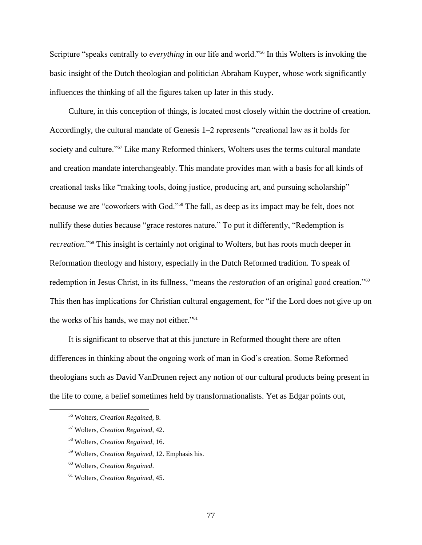Scripture "speaks centrally to *everything* in our life and world."<sup>56</sup> In this Wolters is invoking the basic insight of the Dutch theologian and politician Abraham Kuyper, whose work significantly influences the thinking of all the figures taken up later in this study.

Culture, in this conception of things, is located most closely within the doctrine of creation. Accordingly, the cultural mandate of Genesis 1–2 represents "creational law as it holds for society and culture."<sup>57</sup> Like many Reformed thinkers, Wolters uses the terms cultural mandate and creation mandate interchangeably. This mandate provides man with a basis for all kinds of creational tasks like "making tools, doing justice, producing art, and pursuing scholarship" because we are "coworkers with God."<sup>58</sup> The fall, as deep as its impact may be felt, does not nullify these duties because "grace restores nature." To put it differently, "Redemption is *recreation*."<sup>59</sup> This insight is certainly not original to Wolters, but has roots much deeper in Reformation theology and history, especially in the Dutch Reformed tradition. To speak of redemption in Jesus Christ, in its fullness, "means the *restoration* of an original good creation."<sup>60</sup> This then has implications for Christian cultural engagement, for "if the Lord does not give up on the works of his hands, we may not either."<sup>61</sup>

It is significant to observe that at this juncture in Reformed thought there are often differences in thinking about the ongoing work of man in God's creation. Some Reformed theologians such as David VanDrunen reject any notion of our cultural products being present in the life to come, a belief sometimes held by transformationalists. Yet as Edgar points out,

<sup>56</sup> Wolters, *Creation Regained*, 8.

<sup>57</sup> Wolters, *Creation Regained*, 42.

<sup>58</sup> Wolters, *Creation Regained*, 16.

<sup>59</sup> Wolters, *Creation Regained*, 12. Emphasis his.

<sup>60</sup> Wolters, *Creation Regained*.

<sup>61</sup> Wolters, *Creation Regained*, 45.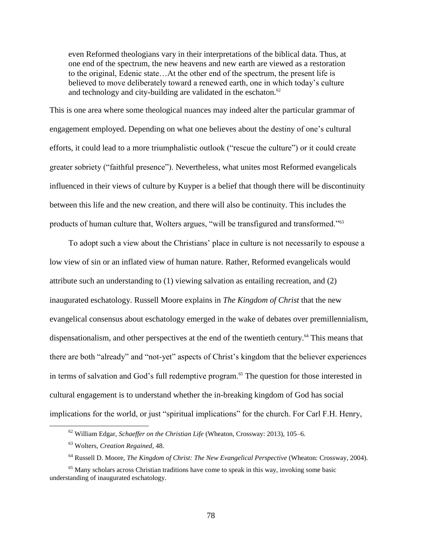even Reformed theologians vary in their interpretations of the biblical data. Thus, at one end of the spectrum, the new heavens and new earth are viewed as a restoration to the original, Edenic state…At the other end of the spectrum, the present life is believed to move deliberately toward a renewed earth, one in which today's culture and technology and city-building are validated in the eschaton. $62$ 

This is one area where some theological nuances may indeed alter the particular grammar of engagement employed. Depending on what one believes about the destiny of one's cultural efforts, it could lead to a more triumphalistic outlook ("rescue the culture") or it could create greater sobriety ("faithful presence"). Nevertheless, what unites most Reformed evangelicals influenced in their views of culture by Kuyper is a belief that though there will be discontinuity between this life and the new creation, and there will also be continuity. This includes the products of human culture that, Wolters argues, "will be transfigured and transformed."<sup>63</sup>

To adopt such a view about the Christians' place in culture is not necessarily to espouse a low view of sin or an inflated view of human nature. Rather, Reformed evangelicals would attribute such an understanding to (1) viewing salvation as entailing recreation, and (2) inaugurated eschatology. Russell Moore explains in *The Kingdom of Christ* that the new evangelical consensus about eschatology emerged in the wake of debates over premillennialism, dispensationalism, and other perspectives at the end of the twentieth century.<sup>64</sup> This means that there are both "already" and "not-yet" aspects of Christ's kingdom that the believer experiences in terms of salvation and God's full redemptive program.<sup>65</sup> The question for those interested in cultural engagement is to understand whether the in-breaking kingdom of God has social implications for the world, or just "spiritual implications" for the church. For Carl F.H. Henry,

<sup>62</sup> William Edgar, *Schaeffer on the Christian Life* (Wheaton, Crossway: 2013), 105–6.

<sup>63</sup> Wolters, *Creation Regained*, 48.

<sup>64</sup> Russell D. Moore, *The Kingdom of Christ: The New Evangelical Perspective* (Wheaton: Crossway, 2004).

<sup>&</sup>lt;sup>65</sup> Many scholars across Christian traditions have come to speak in this way, invoking some basic understanding of inaugurated eschatology.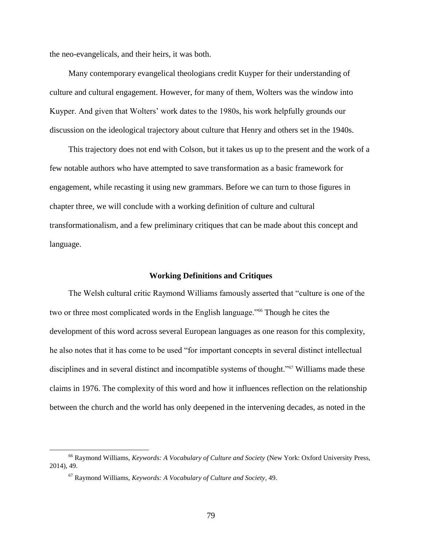the neo-evangelicals, and their heirs, it was both.

Many contemporary evangelical theologians credit Kuyper for their understanding of culture and cultural engagement. However, for many of them, Wolters was the window into Kuyper. And given that Wolters' work dates to the 1980s, his work helpfully grounds our discussion on the ideological trajectory about culture that Henry and others set in the 1940s.

This trajectory does not end with Colson, but it takes us up to the present and the work of a few notable authors who have attempted to save transformation as a basic framework for engagement, while recasting it using new grammars. Before we can turn to those figures in chapter three, we will conclude with a working definition of culture and cultural transformationalism, and a few preliminary critiques that can be made about this concept and language.

### **Working Definitions and Critiques**

The Welsh cultural critic Raymond Williams famously asserted that "culture is one of the two or three most complicated words in the English language."<sup>66</sup> Though he cites the development of this word across several European languages as one reason for this complexity, he also notes that it has come to be used "for important concepts in several distinct intellectual disciplines and in several distinct and incompatible systems of thought."<sup>67</sup> Williams made these claims in 1976. The complexity of this word and how it influences reflection on the relationship between the church and the world has only deepened in the intervening decades, as noted in the

<sup>66</sup> Raymond Williams, *Keywords: A Vocabulary of Culture and Society* (New York: Oxford University Press, 2014), 49.

<sup>67</sup> Raymond Williams, *Keywords: A Vocabulary of Culture and Society*, 49.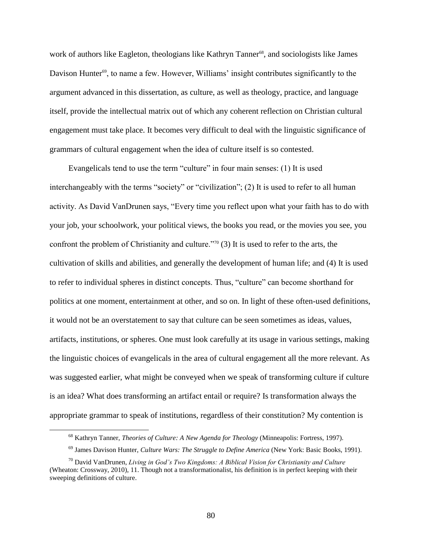work of authors like Eagleton, theologians like Kathryn Tanner<sup>68</sup>, and sociologists like James Davison Hunter<sup>69</sup>, to name a few. However, Williams' insight contributes significantly to the argument advanced in this dissertation, as culture, as well as theology, practice, and language itself, provide the intellectual matrix out of which any coherent reflection on Christian cultural engagement must take place. It becomes very difficult to deal with the linguistic significance of grammars of cultural engagement when the idea of culture itself is so contested.

Evangelicals tend to use the term "culture" in four main senses: (1) It is used interchangeably with the terms "society" or "civilization"; (2) It is used to refer to all human activity. As David VanDrunen says, "Every time you reflect upon what your faith has to do with your job, your schoolwork, your political views, the books you read, or the movies you see, you confront the problem of Christianity and culture."<sup>70</sup> (3) It is used to refer to the arts, the cultivation of skills and abilities, and generally the development of human life; and (4) It is used to refer to individual spheres in distinct concepts. Thus, "culture" can become shorthand for politics at one moment, entertainment at other, and so on. In light of these often-used definitions, it would not be an overstatement to say that culture can be seen sometimes as ideas, values, artifacts, institutions, or spheres. One must look carefully at its usage in various settings, making the linguistic choices of evangelicals in the area of cultural engagement all the more relevant. As was suggested earlier, what might be conveyed when we speak of transforming culture if culture is an idea? What does transforming an artifact entail or require? Is transformation always the appropriate grammar to speak of institutions, regardless of their constitution? My contention is

<sup>68</sup> Kathryn Tanner, *Theories of Culture: A New Agenda for Theology* (Minneapolis: Fortress, 1997).

<sup>69</sup> James Davison Hunter, *Culture Wars: The Struggle to Define America* (New York: Basic Books, 1991).

<sup>70</sup> David VanDrunen, *Living in God's Two Kingdoms: A Biblical Vision for Christianity and Culture* (Wheaton: Crossway, 2010), 11. Though not a transformationalist, his definition is in perfect keeping with their sweeping definitions of culture.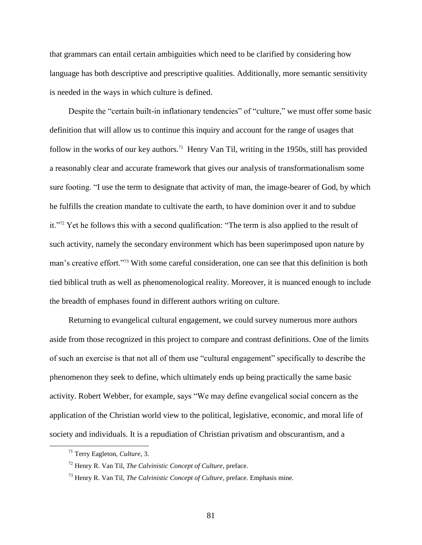that grammars can entail certain ambiguities which need to be clarified by considering how language has both descriptive and prescriptive qualities. Additionally, more semantic sensitivity is needed in the ways in which culture is defined.

Despite the "certain built-in inflationary tendencies" of "culture," we must offer some basic definition that will allow us to continue this inquiry and account for the range of usages that follow in the works of our key authors.<sup>71</sup> Henry Van Til, writing in the 1950s, still has provided a reasonably clear and accurate framework that gives our analysis of transformationalism some sure footing. "I use the term to designate that activity of man, the image-bearer of God, by which he fulfills the creation mandate to cultivate the earth, to have dominion over it and to subdue it."<sup>72</sup> Yet he follows this with a second qualification: "The term is also applied to the result of such activity, namely the secondary environment which has been superimposed upon nature by man's creative effort."<sup>73</sup> With some careful consideration, one can see that this definition is both tied biblical truth as well as phenomenological reality. Moreover, it is nuanced enough to include the breadth of emphases found in different authors writing on culture.

Returning to evangelical cultural engagement, we could survey numerous more authors aside from those recognized in this project to compare and contrast definitions. One of the limits of such an exercise is that not all of them use "cultural engagement" specifically to describe the phenomenon they seek to define, which ultimately ends up being practically the same basic activity. Robert Webber, for example, says "We may define evangelical social concern as the application of the Christian world view to the political, legislative, economic, and moral life of society and individuals. It is a repudiation of Christian privatism and obscurantism, and a

<sup>71</sup> Terry Eagleton, *Culture*, 3.

<sup>72</sup> Henry R. Van Til, *The Calvinistic Concept of Culture*, preface.

<sup>73</sup> Henry R. Van Til, *The Calvinistic Concept of Culture*, preface. Emphasis mine.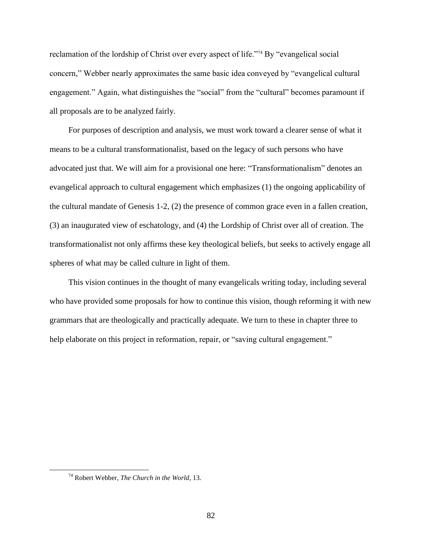reclamation of the lordship of Christ over every aspect of life."<sup>74</sup> By "evangelical social concern," Webber nearly approximates the same basic idea conveyed by "evangelical cultural engagement." Again, what distinguishes the "social" from the "cultural" becomes paramount if all proposals are to be analyzed fairly.

For purposes of description and analysis, we must work toward a clearer sense of what it means to be a cultural transformationalist, based on the legacy of such persons who have advocated just that. We will aim for a provisional one here: "Transformationalism" denotes an evangelical approach to cultural engagement which emphasizes (1) the ongoing applicability of the cultural mandate of Genesis 1-2, (2) the presence of common grace even in a fallen creation, (3) an inaugurated view of eschatology, and (4) the Lordship of Christ over all of creation. The transformationalist not only affirms these key theological beliefs, but seeks to actively engage all spheres of what may be called culture in light of them.

This vision continues in the thought of many evangelicals writing today, including several who have provided some proposals for how to continue this vision, though reforming it with new grammars that are theologically and practically adequate. We turn to these in chapter three to help elaborate on this project in reformation, repair, or "saving cultural engagement."

<sup>74</sup> Robert Webber, *The Church in the World*, 13.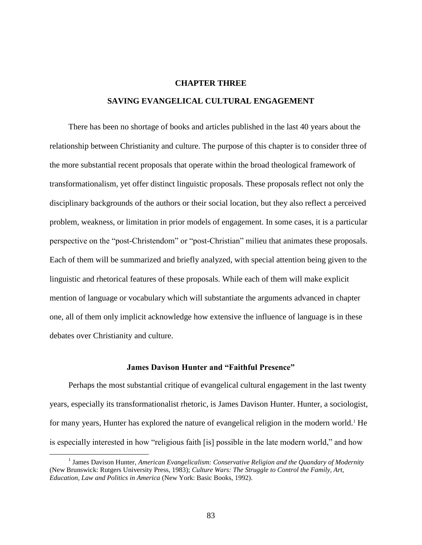# **CHAPTER THREE**

# **SAVING EVANGELICAL CULTURAL ENGAGEMENT**

There has been no shortage of books and articles published in the last 40 years about the relationship between Christianity and culture. The purpose of this chapter is to consider three of the more substantial recent proposals that operate within the broad theological framework of transformationalism, yet offer distinct linguistic proposals. These proposals reflect not only the disciplinary backgrounds of the authors or their social location, but they also reflect a perceived problem, weakness, or limitation in prior models of engagement. In some cases, it is a particular perspective on the "post-Christendom" or "post-Christian" milieu that animates these proposals. Each of them will be summarized and briefly analyzed, with special attention being given to the linguistic and rhetorical features of these proposals. While each of them will make explicit mention of language or vocabulary which will substantiate the arguments advanced in chapter one, all of them only implicit acknowledge how extensive the influence of language is in these debates over Christianity and culture.

# **James Davison Hunter and "Faithful Presence"**

Perhaps the most substantial critique of evangelical cultural engagement in the last twenty years, especially its transformationalist rhetoric, is James Davison Hunter. Hunter, a sociologist, for many years, Hunter has explored the nature of evangelical religion in the modern world.<sup>1</sup> He is especially interested in how "religious faith [is] possible in the late modern world," and how

<sup>&</sup>lt;sup>1</sup> James Davison Hunter, *American Evangelicalism: Conservative Religion and the Quandary of Modernity* (New Brunswick: Rutgers University Press, 1983); *Culture Wars: The Struggle to Control the Family, Art, Education, Law and Politics in America* (New York: Basic Books, 1992).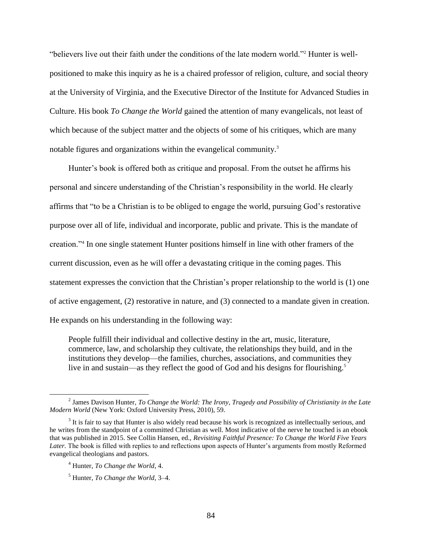"believers live out their faith under the conditions of the late modern world."<sup>2</sup> Hunter is wellpositioned to make this inquiry as he is a chaired professor of religion, culture, and social theory at the University of Virginia, and the Executive Director of the Institute for Advanced Studies in Culture. His book *To Change the World* gained the attention of many evangelicals, not least of which because of the subject matter and the objects of some of his critiques, which are many notable figures and organizations within the evangelical community.<sup>3</sup>

Hunter's book is offered both as critique and proposal. From the outset he affirms his personal and sincere understanding of the Christian's responsibility in the world. He clearly affirms that "to be a Christian is to be obliged to engage the world, pursuing God's restorative purpose over all of life, individual and incorporate, public and private. This is the mandate of creation."<sup>4</sup> In one single statement Hunter positions himself in line with other framers of the current discussion, even as he will offer a devastating critique in the coming pages. This statement expresses the conviction that the Christian's proper relationship to the world is (1) one of active engagement, (2) restorative in nature, and (3) connected to a mandate given in creation. He expands on his understanding in the following way:

People fulfill their individual and collective destiny in the art, music, literature, commerce, law, and scholarship they cultivate, the relationships they build, and in the institutions they develop—the families, churches, associations, and communities they live in and sustain—as they reflect the good of God and his designs for flourishing.<sup>5</sup>

<sup>2</sup> James Davison Hunter, *To Change the World: The Irony, Tragedy and Possibility of Christianity in the Late Modern World* (New York: Oxford University Press, 2010), 59.

 $3$  It is fair to say that Hunter is also widely read because his work is recognized as intellectually serious, and he writes from the standpoint of a committed Christian as well. Most indicative of the nerve he touched is an ebook that was published in 2015. See Collin Hansen, ed., *Revisiting Faithful Presence: To Change the World Five Years Later.* The book is filled with replies to and reflections upon aspects of Hunter's arguments from mostly Reformed evangelical theologians and pastors.

<sup>4</sup> Hunter, *To Change the World*, 4.

<sup>5</sup> Hunter, *To Change the World*, 3–4.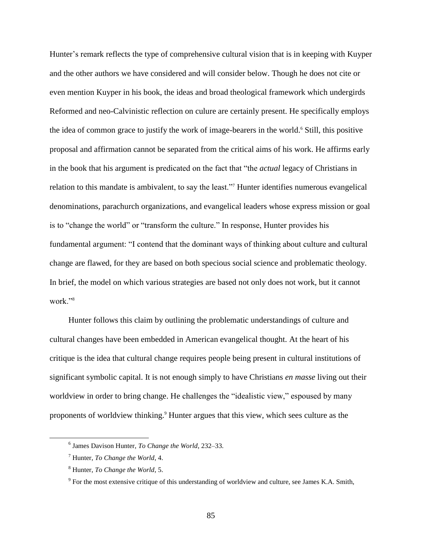Hunter's remark reflects the type of comprehensive cultural vision that is in keeping with Kuyper and the other authors we have considered and will consider below. Though he does not cite or even mention Kuyper in his book, the ideas and broad theological framework which undergirds Reformed and neo-Calvinistic reflection on culure are certainly present. He specifically employs the idea of common grace to justify the work of image-bearers in the world.<sup>6</sup> Still, this positive proposal and affirmation cannot be separated from the critical aims of his work. He affirms early in the book that his argument is predicated on the fact that "the *actual* legacy of Christians in relation to this mandate is ambivalent, to say the least."<sup>7</sup> Hunter identifies numerous evangelical denominations, parachurch organizations, and evangelical leaders whose express mission or goal is to "change the world" or "transform the culture." In response, Hunter provides his fundamental argument: "I contend that the dominant ways of thinking about culture and cultural change are flawed, for they are based on both specious social science and problematic theology. In brief, the model on which various strategies are based not only does not work, but it cannot work<sup>"8</sup>

Hunter follows this claim by outlining the problematic understandings of culture and cultural changes have been embedded in American evangelical thought. At the heart of his critique is the idea that cultural change requires people being present in cultural institutions of significant symbolic capital. It is not enough simply to have Christians *en masse* living out their worldview in order to bring change. He challenges the "idealistic view," espoused by many proponents of worldview thinking.<sup>9</sup> Hunter argues that this view, which sees culture as the

 $\overline{a}$ 

85

<sup>6</sup> James Davison Hunter, *To Change the World*, 232–33.

<sup>7</sup> Hunter, *To Change the World*, 4.

<sup>8</sup> Hunter, *To Change the World*, 5.

 $9^9$  For the most extensive critique of this understanding of worldview and culture, see James K.A. Smith,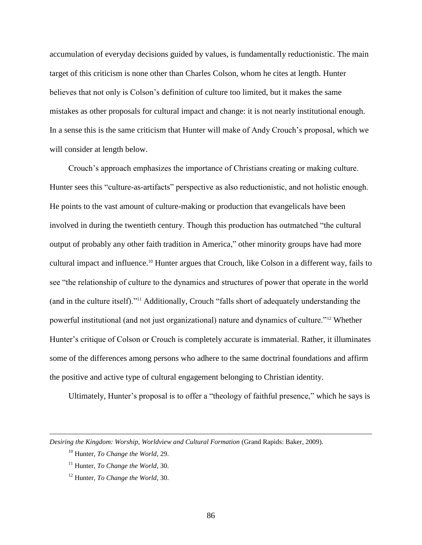accumulation of everyday decisions guided by values, is fundamentally reductionistic. The main target of this criticism is none other than Charles Colson, whom he cites at length. Hunter believes that not only is Colson's definition of culture too limited, but it makes the same mistakes as other proposals for cultural impact and change: it is not nearly institutional enough. In a sense this is the same criticism that Hunter will make of Andy Crouch's proposal, which we will consider at length below.

Crouch's approach emphasizes the importance of Christians creating or making culture. Hunter sees this "culture-as-artifacts" perspective as also reductionistic, and not holistic enough. He points to the vast amount of culture-making or production that evangelicals have been involved in during the twentieth century. Though this production has outmatched "the cultural output of probably any other faith tradition in America," other minority groups have had more cultural impact and influence. <sup>10</sup> Hunter argues that Crouch, like Colson in a different way, fails to see "the relationship of culture to the dynamics and structures of power that operate in the world (and in the culture itself)."<sup>11</sup> Additionally, Crouch "falls short of adequately understanding the powerful institutional (and not just organizational) nature and dynamics of culture."<sup>12</sup> Whether Hunter's critique of Colson or Crouch is completely accurate is immaterial. Rather, it illuminates some of the differences among persons who adhere to the same doctrinal foundations and affirm the positive and active type of cultural engagement belonging to Christian identity.

Ultimately, Hunter's proposal is to offer a "theology of faithful presence," which he says is

*Desiring the Kingdom: Worship, Worldview and Cultural Formation* (Grand Rapids: Baker, 2009).

<sup>10</sup> Hunter, *To Change the World*, 29.

<sup>11</sup> Hunter, *To Change the World*, 30.

<sup>12</sup> Hunter, *To Change the World*, 30.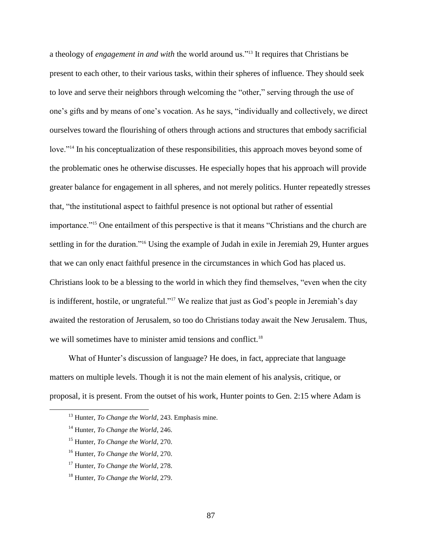a theology of *engagement in and with* the world around us."<sup>13</sup> It requires that Christians be present to each other, to their various tasks, within their spheres of influence. They should seek to love and serve their neighbors through welcoming the "other," serving through the use of one's gifts and by means of one's vocation. As he says, "individually and collectively, we direct ourselves toward the flourishing of others through actions and structures that embody sacrificial love."<sup>14</sup> In his conceptualization of these responsibilities, this approach moves beyond some of the problematic ones he otherwise discusses. He especially hopes that his approach will provide greater balance for engagement in all spheres, and not merely politics. Hunter repeatedly stresses that, "the institutional aspect to faithful presence is not optional but rather of essential importance."<sup>15</sup> One entailment of this perspective is that it means "Christians and the church are settling in for the duration."<sup>16</sup> Using the example of Judah in exile in Jeremiah 29, Hunter argues that we can only enact faithful presence in the circumstances in which God has placed us. Christians look to be a blessing to the world in which they find themselves, "even when the city is indifferent, hostile, or ungrateful."<sup>17</sup> We realize that just as God's people in Jeremiah's day awaited the restoration of Jerusalem, so too do Christians today await the New Jerusalem. Thus, we will sometimes have to minister amid tensions and conflict.<sup>18</sup>

What of Hunter's discussion of language? He does, in fact, appreciate that language matters on multiple levels. Though it is not the main element of his analysis, critique, or proposal, it is present. From the outset of his work, Hunter points to Gen. 2:15 where Adam is

<sup>13</sup> Hunter, *To Change the World*, 243. Emphasis mine.

<sup>14</sup> Hunter, *To Change the World*, 246.

<sup>15</sup> Hunter, *To Change the World*, 270.

<sup>16</sup> Hunter, *To Change the World*, 270.

<sup>17</sup> Hunter, *To Change the World*, 278.

<sup>18</sup> Hunter, *To Change the World*, 279.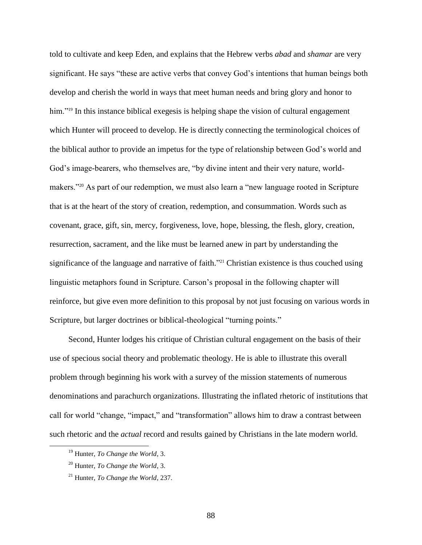told to cultivate and keep Eden, and explains that the Hebrew verbs *abad* and *shamar* are very significant. He says "these are active verbs that convey God's intentions that human beings both develop and cherish the world in ways that meet human needs and bring glory and honor to him."<sup>19</sup> In this instance biblical exegesis is helping shape the vision of cultural engagement which Hunter will proceed to develop. He is directly connecting the terminological choices of the biblical author to provide an impetus for the type of relationship between God's world and God's image-bearers, who themselves are, "by divine intent and their very nature, worldmakers."<sup>20</sup> As part of our redemption, we must also learn a "new language rooted in Scripture that is at the heart of the story of creation, redemption, and consummation. Words such as covenant, grace, gift, sin, mercy, forgiveness, love, hope, blessing, the flesh, glory, creation, resurrection, sacrament, and the like must be learned anew in part by understanding the significance of the language and narrative of faith.<sup>221</sup> Christian existence is thus couched using linguistic metaphors found in Scripture. Carson's proposal in the following chapter will reinforce, but give even more definition to this proposal by not just focusing on various words in Scripture, but larger doctrines or biblical-theological "turning points."

Second, Hunter lodges his critique of Christian cultural engagement on the basis of their use of specious social theory and problematic theology. He is able to illustrate this overall problem through beginning his work with a survey of the mission statements of numerous denominations and parachurch organizations. Illustrating the inflated rhetoric of institutions that call for world "change, "impact," and "transformation" allows him to draw a contrast between such rhetoric and the *actual* record and results gained by Christians in the late modern world.

<sup>19</sup> Hunter, *To Change the World*, 3.

<sup>20</sup> Hunter, *To Change the World*, 3.

<sup>21</sup> Hunter, *To Change the World*, 237.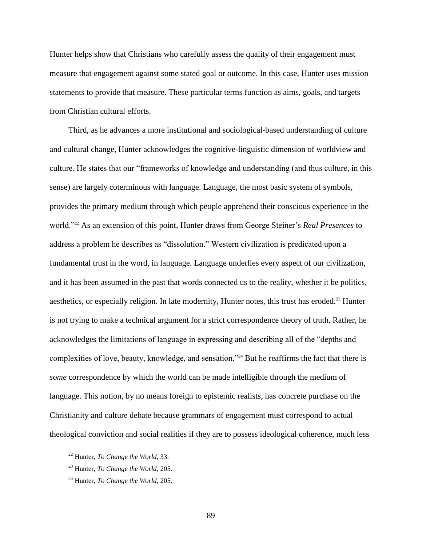Hunter helps show that Christians who carefully assess the quality of their engagement must measure that engagement against some stated goal or outcome. In this case, Hunter uses mission statements to provide that measure. These particular terms function as aims, goals, and targets from Christian cultural efforts.

Third, as he advances a more institutional and sociological-based understanding of culture and cultural change, Hunter acknowledges the cognitive-linguistic dimension of worldview and culture. He states that our "frameworks of knowledge and understanding (and thus culture, in this sense) are largely coterminous with language. Language, the most basic system of symbols, provides the primary medium through which people apprehend their conscious experience in the world."<sup>22</sup> As an extension of this point, Hunter draws from George Steiner's *Real Presences* to address a problem he describes as "dissolution." Western civilization is predicated upon a fundamental trust in the word, in language. Language underlies every aspect of our civilization, and it has been assumed in the past that words connected us to the reality, whether it be politics, aesthetics, or especially religion. In late modernity, Hunter notes, this trust has eroded.<sup>23</sup> Hunter is not trying to make a technical argument for a strict correspondence theory of truth. Rather, he acknowledges the limitations of language in expressing and describing all of the "depths and complexities of love, beauty, knowledge, and sensation."<sup>24</sup> But he reaffirms the fact that there is *some* correspondence by which the world can be made intelligible through the medium of language. This notion, by no means foreign to epistemic realists, has concrete purchase on the Christianity and culture debate because grammars of engagement must correspond to actual theological conviction and social realities if they are to possess ideological coherence, much less

 $\overline{a}$ 

89

<sup>22</sup> Hunter, *To Change the World*, 33.

<sup>23</sup> Hunter, *To Change the World*, 205.

<sup>24</sup> Hunter, *To Change the World*, 205.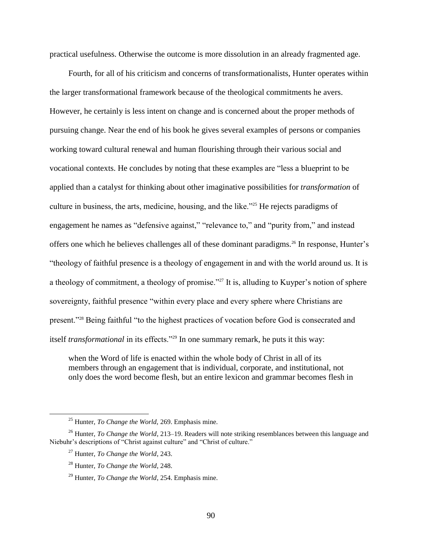practical usefulness. Otherwise the outcome is more dissolution in an already fragmented age.

Fourth, for all of his criticism and concerns of transformationalists, Hunter operates within the larger transformational framework because of the theological commitments he avers. However, he certainly is less intent on change and is concerned about the proper methods of pursuing change. Near the end of his book he gives several examples of persons or companies working toward cultural renewal and human flourishing through their various social and vocational contexts. He concludes by noting that these examples are "less a blueprint to be applied than a catalyst for thinking about other imaginative possibilities for *transformation* of culture in business, the arts, medicine, housing, and the like."<sup>25</sup> He rejects paradigms of engagement he names as "defensive against," "relevance to," and "purity from," and instead offers one which he believes challenges all of these dominant paradigms.<sup>26</sup> In response, Hunter's "theology of faithful presence is a theology of engagement in and with the world around us. It is a theology of commitment, a theology of promise."<sup>27</sup> It is, alluding to Kuyper's notion of sphere sovereignty, faithful presence "within every place and every sphere where Christians are present."<sup>28</sup> Being faithful "to the highest practices of vocation before God is consecrated and itself *transformational* in its effects."<sup>29</sup> In one summary remark, he puts it this way:

when the Word of life is enacted within the whole body of Christ in all of its members through an engagement that is individual, corporate, and institutional, not only does the word become flesh, but an entire lexicon and grammar becomes flesh in

<sup>25</sup> Hunter, *To Change the World,* 269. Emphasis mine.

<sup>&</sup>lt;sup>26</sup> Hunter, *To Change the World*, 213–19. Readers will note striking resemblances between this language and Niebuhr's descriptions of "Christ against culture" and "Christ of culture."

<sup>27</sup> Hunter, *To Change the World*, 243.

<sup>28</sup> Hunter, *To Change the World*, 248.

<sup>29</sup> Hunter, *To Change the World*, 254. Emphasis mine.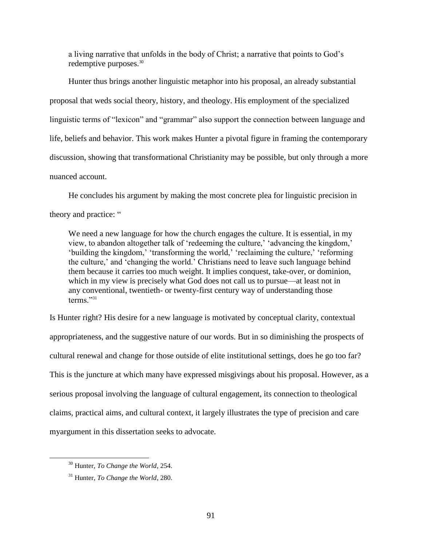a living narrative that unfolds in the body of Christ; a narrative that points to God's redemptive purposes.<sup>30</sup>

Hunter thus brings another linguistic metaphor into his proposal, an already substantial proposal that weds social theory, history, and theology. His employment of the specialized linguistic terms of "lexicon" and "grammar" also support the connection between language and life, beliefs and behavior. This work makes Hunter a pivotal figure in framing the contemporary discussion, showing that transformational Christianity may be possible, but only through a more nuanced account.

He concludes his argument by making the most concrete plea for linguistic precision in theory and practice: "

We need a new language for how the church engages the culture. It is essential, in my view, to abandon altogether talk of 'redeeming the culture,' 'advancing the kingdom,' 'building the kingdom,' 'transforming the world,' 'reclaiming the culture,' 'reforming the culture,' and 'changing the world.' Christians need to leave such language behind them because it carries too much weight. It implies conquest, take-over, or dominion, which in my view is precisely what God does not call us to pursue—at least not in any conventional, twentieth- or twenty-first century way of understanding those terms<sup>"31</sup>

Is Hunter right? His desire for a new language is motivated by conceptual clarity, contextual appropriateness, and the suggestive nature of our words. But in so diminishing the prospects of cultural renewal and change for those outside of elite institutional settings, does he go too far? This is the juncture at which many have expressed misgivings about his proposal. However, as a serious proposal involving the language of cultural engagement, its connection to theological claims, practical aims, and cultural context, it largely illustrates the type of precision and care myargument in this dissertation seeks to advocate.

<sup>30</sup> Hunter, *To Change the World*, 254.

<sup>31</sup> Hunter, *To Change the World*, 280.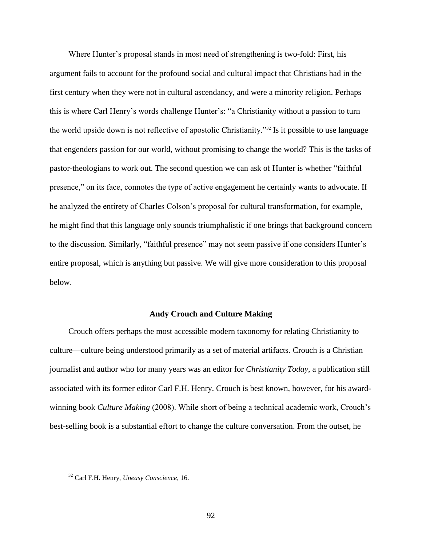Where Hunter's proposal stands in most need of strengthening is two-fold: First, his argument fails to account for the profound social and cultural impact that Christians had in the first century when they were not in cultural ascendancy, and were a minority religion. Perhaps this is where Carl Henry's words challenge Hunter's: "a Christianity without a passion to turn the world upside down is not reflective of apostolic Christianity."<sup>32</sup> Is it possible to use language that engenders passion for our world, without promising to change the world? This is the tasks of pastor-theologians to work out. The second question we can ask of Hunter is whether "faithful presence," on its face, connotes the type of active engagement he certainly wants to advocate. If he analyzed the entirety of Charles Colson's proposal for cultural transformation, for example, he might find that this language only sounds triumphalistic if one brings that background concern to the discussion. Similarly, "faithful presence" may not seem passive if one considers Hunter's entire proposal, which is anything but passive. We will give more consideration to this proposal below.

#### **Andy Crouch and Culture Making**

Crouch offers perhaps the most accessible modern taxonomy for relating Christianity to culture—culture being understood primarily as a set of material artifacts. Crouch is a Christian journalist and author who for many years was an editor for *Christianity Today*, a publication still associated with its former editor Carl F.H. Henry. Crouch is best known, however, for his awardwinning book *Culture Making* (2008). While short of being a technical academic work, Crouch's best-selling book is a substantial effort to change the culture conversation. From the outset, he

<sup>32</sup> Carl F.H. Henry, *Uneasy Conscience*, 16.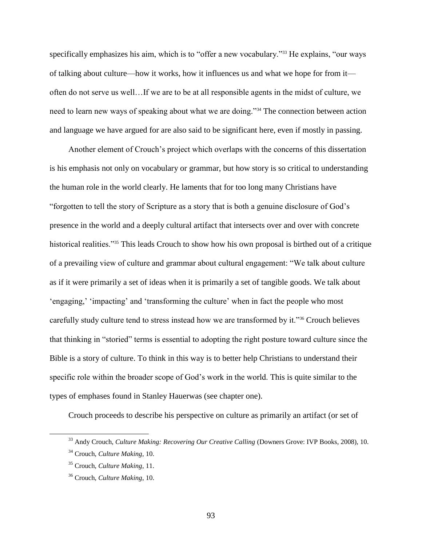specifically emphasizes his aim, which is to "offer a new vocabulary."<sup>33</sup> He explains, "our ways of talking about culture—how it works, how it influences us and what we hope for from it often do not serve us well…If we are to be at all responsible agents in the midst of culture, we need to learn new ways of speaking about what we are doing."<sup>34</sup> The connection between action and language we have argued for are also said to be significant here, even if mostly in passing.

Another element of Crouch's project which overlaps with the concerns of this dissertation is his emphasis not only on vocabulary or grammar, but how story is so critical to understanding the human role in the world clearly. He laments that for too long many Christians have "forgotten to tell the story of Scripture as a story that is both a genuine disclosure of God's presence in the world and a deeply cultural artifact that intersects over and over with concrete historical realities."<sup>35</sup> This leads Crouch to show how his own proposal is birthed out of a critique of a prevailing view of culture and grammar about cultural engagement: "We talk about culture as if it were primarily a set of ideas when it is primarily a set of tangible goods. We talk about 'engaging,' 'impacting' and 'transforming the culture' when in fact the people who most carefully study culture tend to stress instead how we are transformed by it."<sup>36</sup> Crouch believes that thinking in "storied" terms is essential to adopting the right posture toward culture since the Bible is a story of culture. To think in this way is to better help Christians to understand their specific role within the broader scope of God's work in the world. This is quite similar to the types of emphases found in Stanley Hauerwas (see chapter one).

Crouch proceeds to describe his perspective on culture as primarily an artifact (or set of

<sup>33</sup> Andy Crouch, *Culture Making: Recovering Our Creative Calling* (Downers Grove: IVP Books, 2008), 10.

<sup>34</sup> Crouch, *Culture Making*, 10.

<sup>35</sup> Crouch, *Culture Making*, 11.

<sup>36</sup> Crouch, *Culture Making*, 10.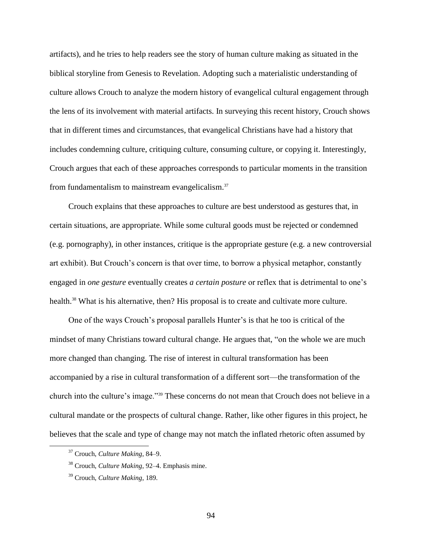artifacts), and he tries to help readers see the story of human culture making as situated in the biblical storyline from Genesis to Revelation. Adopting such a materialistic understanding of culture allows Crouch to analyze the modern history of evangelical cultural engagement through the lens of its involvement with material artifacts. In surveying this recent history, Crouch shows that in different times and circumstances, that evangelical Christians have had a history that includes condemning culture, critiquing culture, consuming culture, or copying it. Interestingly, Crouch argues that each of these approaches corresponds to particular moments in the transition from fundamentalism to mainstream evangelicalism.<sup>37</sup>

Crouch explains that these approaches to culture are best understood as gestures that, in certain situations, are appropriate. While some cultural goods must be rejected or condemned (e.g. pornography), in other instances, critique is the appropriate gesture (e.g. a new controversial art exhibit). But Crouch's concern is that over time, to borrow a physical metaphor, constantly engaged in *one gesture* eventually creates *a certain posture* or reflex that is detrimental to one's health.<sup>38</sup> What is his alternative, then? His proposal is to create and cultivate more culture.

One of the ways Crouch's proposal parallels Hunter's is that he too is critical of the mindset of many Christians toward cultural change. He argues that, "on the whole we are much more changed than changing. The rise of interest in cultural transformation has been accompanied by a rise in cultural transformation of a different sort—the transformation of the church into the culture's image."<sup>39</sup> These concerns do not mean that Crouch does not believe in a cultural mandate or the prospects of cultural change. Rather, like other figures in this project, he believes that the scale and type of change may not match the inflated rhetoric often assumed by

<sup>37</sup> Crouch, *Culture Making*, 84–9.

<sup>38</sup> Crouch, *Culture Making*, 92–4. Emphasis mine.

<sup>39</sup> Crouch, *Culture Making*, 189.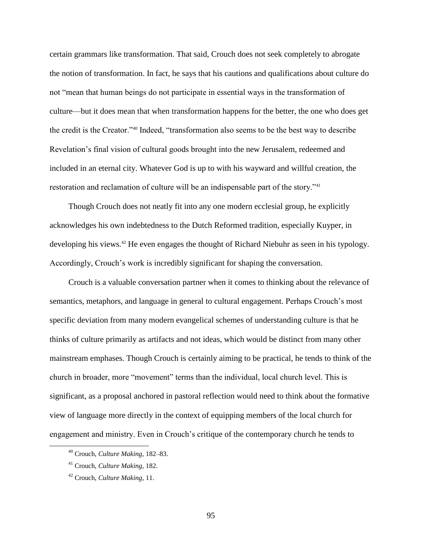certain grammars like transformation. That said, Crouch does not seek completely to abrogate the notion of transformation. In fact, he says that his cautions and qualifications about culture do not "mean that human beings do not participate in essential ways in the transformation of culture—but it does mean that when transformation happens for the better, the one who does get the credit is the Creator."<sup>40</sup> Indeed, "transformation also seems to be the best way to describe Revelation's final vision of cultural goods brought into the new Jerusalem, redeemed and included in an eternal city. Whatever God is up to with his wayward and willful creation, the restoration and reclamation of culture will be an indispensable part of the story."<sup>41</sup>

Though Crouch does not neatly fit into any one modern ecclesial group, he explicitly acknowledges his own indebtedness to the Dutch Reformed tradition, especially Kuyper, in developing his views.<sup>42</sup> He even engages the thought of Richard Niebuhr as seen in his typology. Accordingly, Crouch's work is incredibly significant for shaping the conversation.

Crouch is a valuable conversation partner when it comes to thinking about the relevance of semantics, metaphors, and language in general to cultural engagement. Perhaps Crouch's most specific deviation from many modern evangelical schemes of understanding culture is that he thinks of culture primarily as artifacts and not ideas, which would be distinct from many other mainstream emphases. Though Crouch is certainly aiming to be practical, he tends to think of the church in broader, more "movement" terms than the individual, local church level. This is significant, as a proposal anchored in pastoral reflection would need to think about the formative view of language more directly in the context of equipping members of the local church for engagement and ministry. Even in Crouch's critique of the contemporary church he tends to

 $\overline{a}$ 

95

<sup>40</sup> Crouch, *Culture Making*, 182–83.

<sup>41</sup> Crouch, *Culture Making*, 182.

<sup>42</sup> Crouch, *Culture Making*, 11.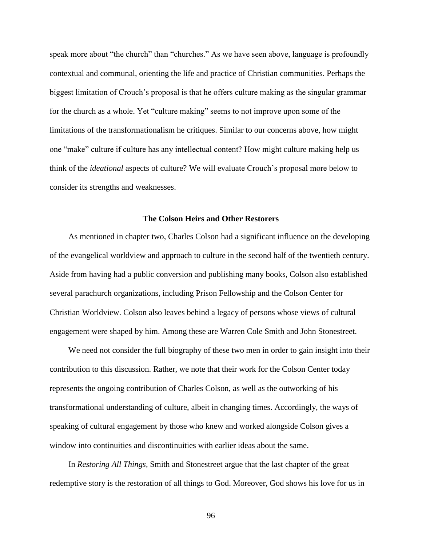speak more about "the church" than "churches." As we have seen above, language is profoundly contextual and communal, orienting the life and practice of Christian communities. Perhaps the biggest limitation of Crouch's proposal is that he offers culture making as the singular grammar for the church as a whole. Yet "culture making" seems to not improve upon some of the limitations of the transformationalism he critiques. Similar to our concerns above, how might one "make" culture if culture has any intellectual content? How might culture making help us think of the *ideational* aspects of culture? We will evaluate Crouch's proposal more below to consider its strengths and weaknesses.

### **The Colson Heirs and Other Restorers**

As mentioned in chapter two, Charles Colson had a significant influence on the developing of the evangelical worldview and approach to culture in the second half of the twentieth century. Aside from having had a public conversion and publishing many books, Colson also established several parachurch organizations, including Prison Fellowship and the Colson Center for Christian Worldview. Colson also leaves behind a legacy of persons whose views of cultural engagement were shaped by him. Among these are Warren Cole Smith and John Stonestreet.

We need not consider the full biography of these two men in order to gain insight into their contribution to this discussion. Rather, we note that their work for the Colson Center today represents the ongoing contribution of Charles Colson, as well as the outworking of his transformational understanding of culture, albeit in changing times. Accordingly, the ways of speaking of cultural engagement by those who knew and worked alongside Colson gives a window into continuities and discontinuities with earlier ideas about the same.

In *Restoring All Things,* Smith and Stonestreet argue that the last chapter of the great redemptive story is the restoration of all things to God. Moreover, God shows his love for us in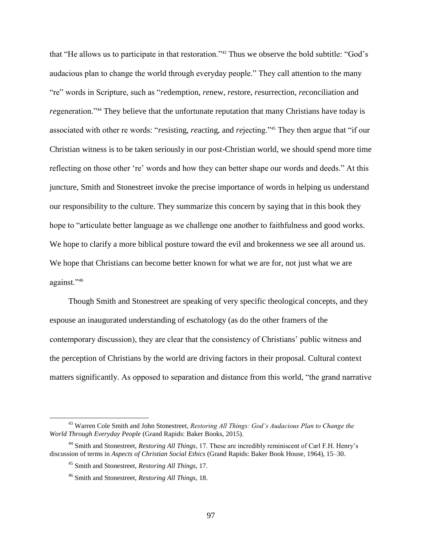that "He allows us to participate in that restoration."<sup>43</sup> Thus we observe the bold subtitle: "God's audacious plan to change the world through everyday people." They call attention to the many "re" words in Scripture, such as "*re*demption, *re*new, *re*store, *re*surrection, *re*conciliation and *re*generation."<sup>44</sup> They believe that the unfortunate reputation that many Christians have today is associated with other re words: "*re*sisting, *re*acting, and *re*jecting."<sup>45</sup> They then argue that "if our Christian witness is to be taken seriously in our post-Christian world, we should spend more time reflecting on those other 're' words and how they can better shape our words and deeds." At this juncture, Smith and Stonestreet invoke the precise importance of words in helping us understand our responsibility to the culture. They summarize this concern by saying that in this book they hope to "articulate better language as we challenge one another to faithfulness and good works. We hope to clarify a more biblical posture toward the evil and brokenness we see all around us. We hope that Christians can become better known for what we are for, not just what we are against."<sup>46</sup>

Though Smith and Stonestreet are speaking of very specific theological concepts, and they espouse an inaugurated understanding of eschatology (as do the other framers of the contemporary discussion), they are clear that the consistency of Christians' public witness and the perception of Christians by the world are driving factors in their proposal. Cultural context matters significantly. As opposed to separation and distance from this world, "the grand narrative

<sup>43</sup> Warren Cole Smith and John Stonestreet, *Restoring All Things: God's Audacious Plan to Change the World Through Everyday People* (Grand Rapids: Baker Books, 2015).

<sup>44</sup> Smith and Stonestreet, *Restoring All Things*, 17. These are incredibly reminiscent of Carl F.H. Henry's discussion of terms in *Aspects of Christian Social Ethics* (Grand Rapids: Baker Book House, 1964), 15–30.

<sup>45</sup> Smith and Stonestreet, *Restoring All Things*, 17.

<sup>46</sup> Smith and Stonestreet, *Restoring All Things*, 18.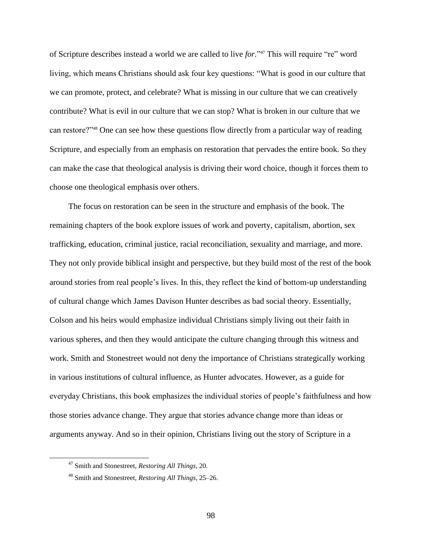of Scripture describes instead a world we are called to live *for.*" <sup>47</sup> This will require "re" word living, which means Christians should ask four key questions: "What is good in our culture that we can promote, protect, and celebrate? What is missing in our culture that we can creatively contribute? What is evil in our culture that we can stop? What is broken in our culture that we can restore?"<sup>48</sup> One can see how these questions flow directly from a particular way of reading Scripture, and especially from an emphasis on restoration that pervades the entire book. So they can make the case that theological analysis is driving their word choice, though it forces them to choose one theological emphasis over others.

The focus on restoration can be seen in the structure and emphasis of the book. The remaining chapters of the book explore issues of work and poverty, capitalism, abortion, sex trafficking, education, criminal justice, racial reconciliation, sexuality and marriage, and more. They not only provide biblical insight and perspective, but they build most of the rest of the book around stories from real people's lives. In this, they reflect the kind of bottom-up understanding of cultural change which James Davison Hunter describes as bad social theory. Essentially, Colson and his heirs would emphasize individual Christians simply living out their faith in various spheres, and then they would anticipate the culture changing through this witness and work. Smith and Stonestreet would not deny the importance of Christians strategically working in various institutions of cultural influence, as Hunter advocates. However, as a guide for everyday Christians, this book emphasizes the individual stories of people's faithfulness and how those stories advance change. They argue that stories advance change more than ideas or arguments anyway. And so in their opinion, Christians living out the story of Scripture in a

<sup>47</sup> Smith and Stonestreet, *Restoring All Things*, 20.

<sup>48</sup> Smith and Stonestreet, *Restoring All Things*, 25–26.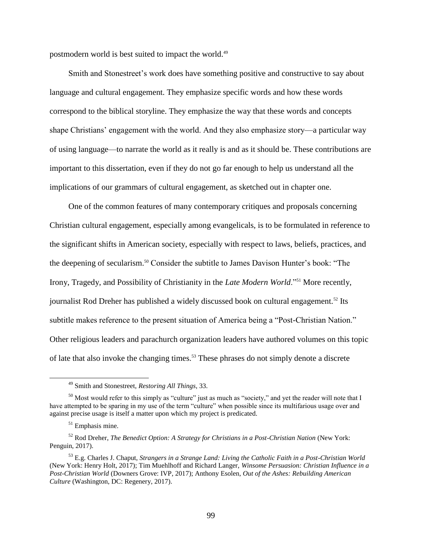postmodern world is best suited to impact the world.<sup>49</sup>

Smith and Stonestreet's work does have something positive and constructive to say about language and cultural engagement. They emphasize specific words and how these words correspond to the biblical storyline. They emphasize the way that these words and concepts shape Christians' engagement with the world. And they also emphasize story—a particular way of using language—to narrate the world as it really is and as it should be. These contributions are important to this dissertation, even if they do not go far enough to help us understand all the implications of our grammars of cultural engagement, as sketched out in chapter one.

One of the common features of many contemporary critiques and proposals concerning Christian cultural engagement, especially among evangelicals, is to be formulated in reference to the significant shifts in American society, especially with respect to laws, beliefs, practices, and the deepening of secularism.<sup>50</sup> Consider the subtitle to James Davison Hunter's book: "The Irony, Tragedy, and Possibility of Christianity in the *Late Modern World*."<sup>51</sup> More recently, journalist Rod Dreher has published a widely discussed book on cultural engagement.<sup>52</sup> Its subtitle makes reference to the present situation of America being a "Post-Christian Nation." Other religious leaders and parachurch organization leaders have authored volumes on this topic of late that also invoke the changing times.<sup>53</sup> These phrases do not simply denote a discrete

<sup>49</sup> Smith and Stonestreet, *Restoring All Things*, 33.

<sup>&</sup>lt;sup>50</sup> Most would refer to this simply as "culture" just as much as "society," and yet the reader will note that I have attempted to be sparing in my use of the term "culture" when possible since its multifarious usage over and against precise usage is itself a matter upon which my project is predicated.

 $51$  Emphasis mine.

<sup>52</sup> Rod Dreher, *The Benedict Option: A Strategy for Christians in a Post-Christian Nation* (New York: Penguin, 2017).

<sup>53</sup> E.g. Charles J. Chaput, *Strangers in a Strange Land: Living the Catholic Faith in a Post-Christian World* (New York: Henry Holt, 2017); Tim Muehlhoff and Richard Langer, *Winsome Persuasion: Christian Influence in a Post-Christian World* (Downers Grove: IVP, 2017); Anthony Esolen, *Out of the Ashes: Rebuilding American Culture* (Washington, DC: Regenery, 2017).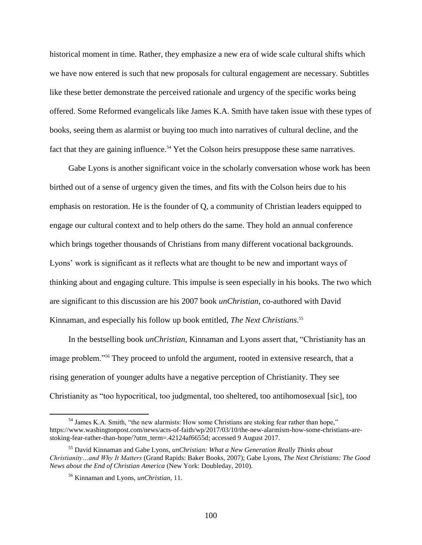historical moment in time. Rather, they emphasize a new era of wide scale cultural shifts which we have now entered is such that new proposals for cultural engagement are necessary. Subtitles like these better demonstrate the perceived rationale and urgency of the specific works being offered. Some Reformed evangelicals like James K.A. Smith have taken issue with these types of books, seeing them as alarmist or buying too much into narratives of cultural decline, and the fact that they are gaining influence.<sup>54</sup> Yet the Colson heirs presuppose these same narratives.

Gabe Lyons is another significant voice in the scholarly conversation whose work has been birthed out of a sense of urgency given the times, and fits with the Colson heirs due to his emphasis on restoration. He is the founder of Q, a community of Christian leaders equipped to engage our cultural context and to help others do the same. They hold an annual conference which brings together thousands of Christians from many different vocational backgrounds. Lyons' work is significant as it reflects what are thought to be new and important ways of thinking about and engaging culture. This impulse is seen especially in his books. The two which are significant to this discussion are his 2007 book *unChristian*, co-authored with David Kinnaman, and especially his follow up book entitled, *The Next Christians*. 55

In the bestselling book *unChristian*, Kinnaman and Lyons assert that, "Christianity has an image problem."<sup>56</sup> They proceed to unfold the argument, rooted in extensive research, that a rising generation of younger adults have a negative perception of Christianity. They see Christianity as "too hypocritical, too judgmental, too sheltered, too antihomosexual [sic], too

<sup>54</sup> James K.A. Smith, "the new alarmists: How some Christians are stoking fear rather than hope," https://www.washingtonpost.com/news/acts-of-faith/wp/2017/03/10/the-new-alarmism-how-some-christians-arestoking-fear-rather-than-hope/?utm\_term=.42124af6655d; accessed 9 August 2017.

<sup>55</sup> David Kinnaman and Gabe Lyons, *unChristian: What a New Generation Really Thinks about Christianity…and Why It Matters* (Grand Rapids: Baker Books, 2007); Gabe Lyons, *The Next Christians: The Good News about the End of Christian America* (New York: Doubleday, 2010).

<sup>56</sup> Kinnaman and Lyons, *unChristian*, 11.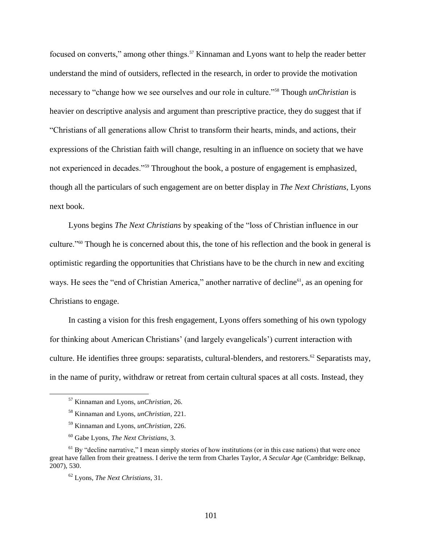focused on converts," among other things.<sup>57</sup> Kinnaman and Lyons want to help the reader better understand the mind of outsiders, reflected in the research, in order to provide the motivation necessary to "change how we see ourselves and our role in culture."<sup>58</sup> Though *unChristian* is heavier on descriptive analysis and argument than prescriptive practice, they do suggest that if "Christians of all generations allow Christ to transform their hearts, minds, and actions, their expressions of the Christian faith will change, resulting in an influence on society that we have not experienced in decades."<sup>59</sup> Throughout the book, a posture of engagement is emphasized, though all the particulars of such engagement are on better display in *The Next Christians*, Lyons next book.

Lyons begins *The Next Christians* by speaking of the "loss of Christian influence in our culture."<sup>60</sup> Though he is concerned about this, the tone of his reflection and the book in general is optimistic regarding the opportunities that Christians have to be the church in new and exciting ways. He sees the "end of Christian America," another narrative of decline<sup>61</sup>, as an opening for Christians to engage.

In casting a vision for this fresh engagement, Lyons offers something of his own typology for thinking about American Christians' (and largely evangelicals') current interaction with culture. He identifies three groups: separatists, cultural-blenders, and restorers.<sup>62</sup> Separatists may, in the name of purity, withdraw or retreat from certain cultural spaces at all costs. Instead, they

<sup>57</sup> Kinnaman and Lyons, *unChristian*, 26.

<sup>58</sup> Kinnaman and Lyons, *unChristian*, 221.

<sup>59</sup> Kinnaman and Lyons, *unChristian*, 226.

<sup>60</sup> Gabe Lyons, *The Next Christians*, 3.

 $<sup>61</sup>$  By "decline narrative," I mean simply stories of how institutions (or in this case nations) that were once</sup> great have fallen from their greatness. I derive the term from Charles Taylor, *A Secular Age* (Cambridge: Belknap, 2007), 530.

<sup>62</sup> Lyons, *The Next Christians*, 31.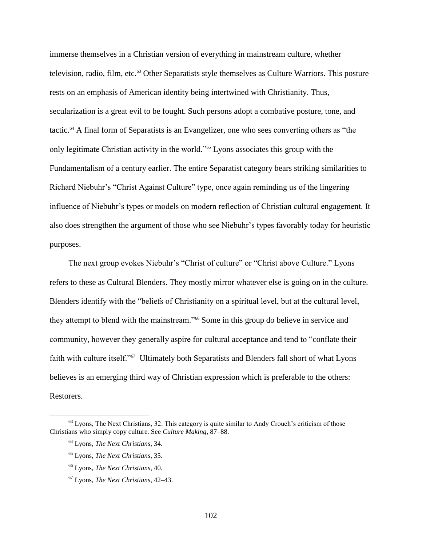immerse themselves in a Christian version of everything in mainstream culture, whether television, radio, film, etc.<sup>63</sup> Other Separatists style themselves as Culture Warriors. This posture rests on an emphasis of American identity being intertwined with Christianity. Thus, secularization is a great evil to be fought. Such persons adopt a combative posture, tone, and tactic. <sup>64</sup> A final form of Separatists is an Evangelizer, one who sees converting others as "the only legitimate Christian activity in the world."<sup>65</sup> Lyons associates this group with the Fundamentalism of a century earlier. The entire Separatist category bears striking similarities to Richard Niebuhr's "Christ Against Culture" type, once again reminding us of the lingering influence of Niebuhr's types or models on modern reflection of Christian cultural engagement. It also does strengthen the argument of those who see Niebuhr's types favorably today for heuristic purposes.

The next group evokes Niebuhr's "Christ of culture" or "Christ above Culture." Lyons refers to these as Cultural Blenders. They mostly mirror whatever else is going on in the culture. Blenders identify with the "beliefs of Christianity on a spiritual level, but at the cultural level, they attempt to blend with the mainstream."<sup>66</sup> Some in this group do believe in service and community, however they generally aspire for cultural acceptance and tend to "conflate their faith with culture itself."<sup>67</sup> Ultimately both Separatists and Blenders fall short of what Lyons believes is an emerging third way of Christian expression which is preferable to the others: Restorers.

<sup>&</sup>lt;sup>63</sup> Lyons, The Next Christians, 32. This category is quite similar to Andy Crouch's criticism of those Christians who simply copy culture. See *Culture Making*, 87–88.

<sup>64</sup> Lyons, *The Next Christians*, 34.

<sup>65</sup> Lyons, *The Next Christians*, 35.

<sup>66</sup> Lyons, *The Next Christians*, 40.

<sup>67</sup> Lyons, *The Next Christians*, 42–43.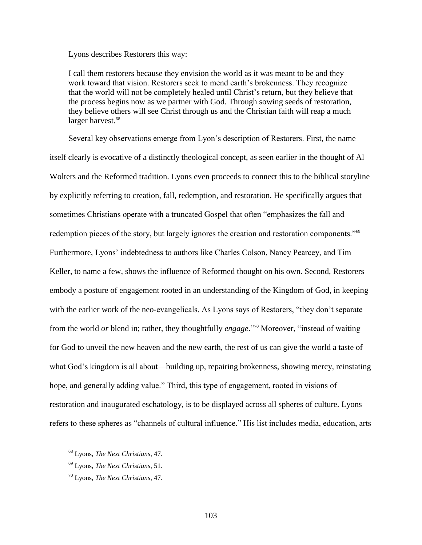Lyons describes Restorers this way:

I call them restorers because they envision the world as it was meant to be and they work toward that vision. Restorers seek to mend earth's brokenness. They recognize that the world will not be completely healed until Christ's return, but they believe that the process begins now as we partner with God. Through sowing seeds of restoration, they believe others will see Christ through us and the Christian faith will reap a much larger harvest.<sup>68</sup>

Several key observations emerge from Lyon's description of Restorers. First, the name itself clearly is evocative of a distinctly theological concept, as seen earlier in the thought of Al Wolters and the Reformed tradition. Lyons even proceeds to connect this to the biblical storyline by explicitly referring to creation, fall, redemption, and restoration. He specifically argues that sometimes Christians operate with a truncated Gospel that often "emphasizes the fall and redemption pieces of the story, but largely ignores the creation and restoration components."<sup>69</sup> Furthermore, Lyons' indebtedness to authors like Charles Colson, Nancy Pearcey, and Tim Keller, to name a few, shows the influence of Reformed thought on his own. Second, Restorers embody a posture of engagement rooted in an understanding of the Kingdom of God, in keeping with the earlier work of the neo-evangelicals. As Lyons says of Restorers, "they don't separate from the world *or* blend in; rather, they thoughtfully *engage*."<sup>70</sup> Moreover, "instead of waiting for God to unveil the new heaven and the new earth, the rest of us can give the world a taste of what God's kingdom is all about—building up, repairing brokenness, showing mercy, reinstating hope, and generally adding value." Third, this type of engagement, rooted in visions of restoration and inaugurated eschatology, is to be displayed across all spheres of culture. Lyons refers to these spheres as "channels of cultural influence." His list includes media, education, arts

<sup>68</sup> Lyons, *The Next Christians*, 47.

<sup>69</sup> Lyons, *The Next Christians*, 51.

<sup>70</sup> Lyons, *The Next Christians*, 47.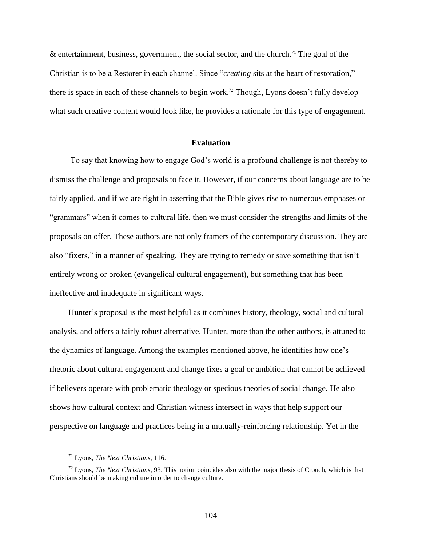& entertainment, business, government, the social sector, and the church.<sup>71</sup> The goal of the Christian is to be a Restorer in each channel. Since "*creating* sits at the heart of restoration," there is space in each of these channels to begin work.<sup>72</sup> Though, Lyons doesn't fully develop what such creative content would look like, he provides a rationale for this type of engagement.

#### **Evaluation**

To say that knowing how to engage God's world is a profound challenge is not thereby to dismiss the challenge and proposals to face it. However, if our concerns about language are to be fairly applied, and if we are right in asserting that the Bible gives rise to numerous emphases or "grammars" when it comes to cultural life, then we must consider the strengths and limits of the proposals on offer. These authors are not only framers of the contemporary discussion. They are also "fixers," in a manner of speaking. They are trying to remedy or save something that isn't entirely wrong or broken (evangelical cultural engagement), but something that has been ineffective and inadequate in significant ways.

Hunter's proposal is the most helpful as it combines history, theology, social and cultural analysis, and offers a fairly robust alternative. Hunter, more than the other authors, is attuned to the dynamics of language. Among the examples mentioned above, he identifies how one's rhetoric about cultural engagement and change fixes a goal or ambition that cannot be achieved if believers operate with problematic theology or specious theories of social change. He also shows how cultural context and Christian witness intersect in ways that help support our perspective on language and practices being in a mutually-reinforcing relationship. Yet in the

<sup>71</sup> Lyons, *The Next Christians*, 116.

<sup>72</sup> Lyons, *The Next Christians*, 93. This notion coincides also with the major thesis of Crouch, which is that Christians should be making culture in order to change culture.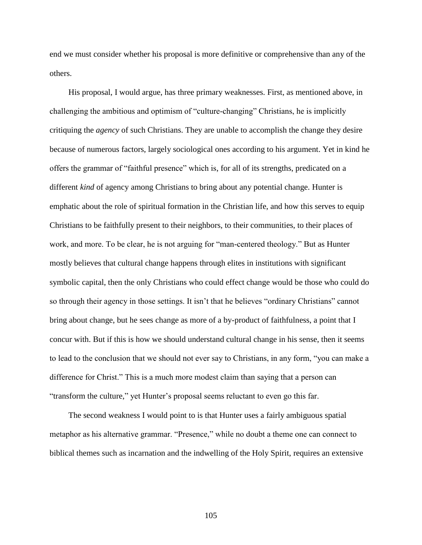end we must consider whether his proposal is more definitive or comprehensive than any of the others.

His proposal, I would argue, has three primary weaknesses. First, as mentioned above, in challenging the ambitious and optimism of "culture-changing" Christians, he is implicitly critiquing the *agency* of such Christians. They are unable to accomplish the change they desire because of numerous factors, largely sociological ones according to his argument. Yet in kind he offers the grammar of "faithful presence" which is, for all of its strengths, predicated on a different *kind* of agency among Christians to bring about any potential change. Hunter is emphatic about the role of spiritual formation in the Christian life, and how this serves to equip Christians to be faithfully present to their neighbors, to their communities, to their places of work, and more. To be clear, he is not arguing for "man-centered theology." But as Hunter mostly believes that cultural change happens through elites in institutions with significant symbolic capital, then the only Christians who could effect change would be those who could do so through their agency in those settings. It isn't that he believes "ordinary Christians" cannot bring about change, but he sees change as more of a by-product of faithfulness, a point that I concur with. But if this is how we should understand cultural change in his sense, then it seems to lead to the conclusion that we should not ever say to Christians, in any form, "you can make a difference for Christ." This is a much more modest claim than saying that a person can "transform the culture," yet Hunter's proposal seems reluctant to even go this far.

The second weakness I would point to is that Hunter uses a fairly ambiguous spatial metaphor as his alternative grammar. "Presence," while no doubt a theme one can connect to biblical themes such as incarnation and the indwelling of the Holy Spirit, requires an extensive

105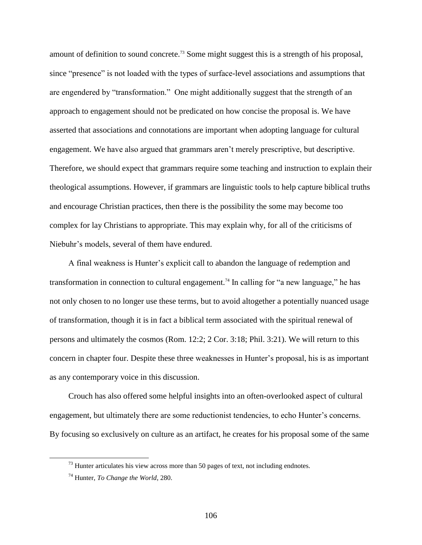amount of definition to sound concrete.<sup>73</sup> Some might suggest this is a strength of his proposal, since "presence" is not loaded with the types of surface-level associations and assumptions that are engendered by "transformation." One might additionally suggest that the strength of an approach to engagement should not be predicated on how concise the proposal is. We have asserted that associations and connotations are important when adopting language for cultural engagement. We have also argued that grammars aren't merely prescriptive, but descriptive. Therefore, we should expect that grammars require some teaching and instruction to explain their theological assumptions. However, if grammars are linguistic tools to help capture biblical truths and encourage Christian practices, then there is the possibility the some may become too complex for lay Christians to appropriate. This may explain why, for all of the criticisms of Niebuhr's models, several of them have endured.

A final weakness is Hunter's explicit call to abandon the language of redemption and transformation in connection to cultural engagement.<sup>74</sup> In calling for "a new language," he has not only chosen to no longer use these terms, but to avoid altogether a potentially nuanced usage of transformation, though it is in fact a biblical term associated with the spiritual renewal of persons and ultimately the cosmos (Rom. 12:2; 2 Cor. 3:18; Phil. 3:21). We will return to this concern in chapter four. Despite these three weaknesses in Hunter's proposal, his is as important as any contemporary voice in this discussion.

Crouch has also offered some helpful insights into an often-overlooked aspect of cultural engagement, but ultimately there are some reductionist tendencies, to echo Hunter's concerns. By focusing so exclusively on culture as an artifact, he creates for his proposal some of the same

 $73$  Hunter articulates his view across more than 50 pages of text, not including endnotes.

<sup>74</sup> Hunter, *To Change the World*, 280.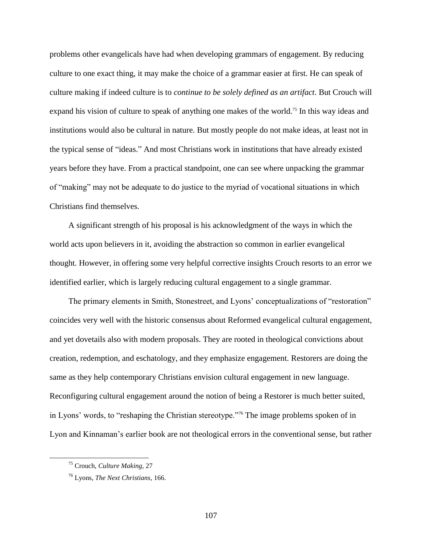problems other evangelicals have had when developing grammars of engagement. By reducing culture to one exact thing, it may make the choice of a grammar easier at first. He can speak of culture making if indeed culture is to *continue to be solely defined as an artifact*. But Crouch will expand his vision of culture to speak of anything one makes of the world.<sup>75</sup> In this way ideas and institutions would also be cultural in nature. But mostly people do not make ideas, at least not in the typical sense of "ideas." And most Christians work in institutions that have already existed years before they have. From a practical standpoint, one can see where unpacking the grammar of "making" may not be adequate to do justice to the myriad of vocational situations in which Christians find themselves.

A significant strength of his proposal is his acknowledgment of the ways in which the world acts upon believers in it, avoiding the abstraction so common in earlier evangelical thought. However, in offering some very helpful corrective insights Crouch resorts to an error we identified earlier, which is largely reducing cultural engagement to a single grammar.

The primary elements in Smith, Stonestreet, and Lyons' conceptualizations of "restoration" coincides very well with the historic consensus about Reformed evangelical cultural engagement, and yet dovetails also with modern proposals. They are rooted in theological convictions about creation, redemption, and eschatology, and they emphasize engagement. Restorers are doing the same as they help contemporary Christians envision cultural engagement in new language. Reconfiguring cultural engagement around the notion of being a Restorer is much better suited, in Lyons' words, to "reshaping the Christian stereotype."<sup>76</sup> The image problems spoken of in Lyon and Kinnaman's earlier book are not theological errors in the conventional sense, but rather

<sup>75</sup> Crouch, *Culture Making*, 27

<sup>76</sup> Lyons, *The Next Christians*, 166.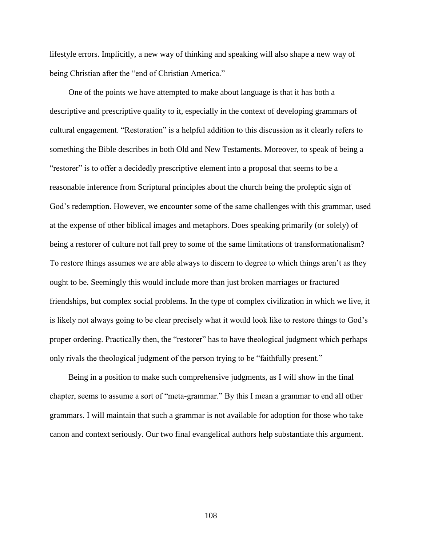lifestyle errors. Implicitly, a new way of thinking and speaking will also shape a new way of being Christian after the "end of Christian America."

One of the points we have attempted to make about language is that it has both a descriptive and prescriptive quality to it, especially in the context of developing grammars of cultural engagement. "Restoration" is a helpful addition to this discussion as it clearly refers to something the Bible describes in both Old and New Testaments. Moreover, to speak of being a "restorer" is to offer a decidedly prescriptive element into a proposal that seems to be a reasonable inference from Scriptural principles about the church being the proleptic sign of God's redemption. However, we encounter some of the same challenges with this grammar, used at the expense of other biblical images and metaphors. Does speaking primarily (or solely) of being a restorer of culture not fall prey to some of the same limitations of transformationalism? To restore things assumes we are able always to discern to degree to which things aren't as they ought to be. Seemingly this would include more than just broken marriages or fractured friendships, but complex social problems. In the type of complex civilization in which we live, it is likely not always going to be clear precisely what it would look like to restore things to God's proper ordering. Practically then, the "restorer" has to have theological judgment which perhaps only rivals the theological judgment of the person trying to be "faithfully present."

Being in a position to make such comprehensive judgments, as I will show in the final chapter, seems to assume a sort of "meta-grammar." By this I mean a grammar to end all other grammars. I will maintain that such a grammar is not available for adoption for those who take canon and context seriously. Our two final evangelical authors help substantiate this argument.

108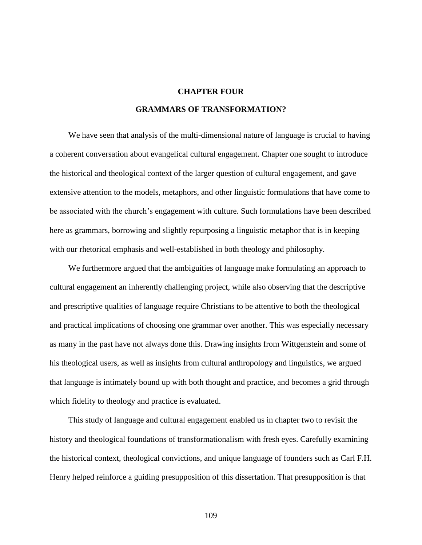# **CHAPTER FOUR**

#### **GRAMMARS OF TRANSFORMATION?**

We have seen that analysis of the multi-dimensional nature of language is crucial to having a coherent conversation about evangelical cultural engagement. Chapter one sought to introduce the historical and theological context of the larger question of cultural engagement, and gave extensive attention to the models, metaphors, and other linguistic formulations that have come to be associated with the church's engagement with culture. Such formulations have been described here as grammars, borrowing and slightly repurposing a linguistic metaphor that is in keeping with our rhetorical emphasis and well-established in both theology and philosophy.

We furthermore argued that the ambiguities of language make formulating an approach to cultural engagement an inherently challenging project, while also observing that the descriptive and prescriptive qualities of language require Christians to be attentive to both the theological and practical implications of choosing one grammar over another. This was especially necessary as many in the past have not always done this. Drawing insights from Wittgenstein and some of his theological users, as well as insights from cultural anthropology and linguistics, we argued that language is intimately bound up with both thought and practice, and becomes a grid through which fidelity to theology and practice is evaluated.

This study of language and cultural engagement enabled us in chapter two to revisit the history and theological foundations of transformationalism with fresh eyes. Carefully examining the historical context, theological convictions, and unique language of founders such as Carl F.H. Henry helped reinforce a guiding presupposition of this dissertation. That presupposition is that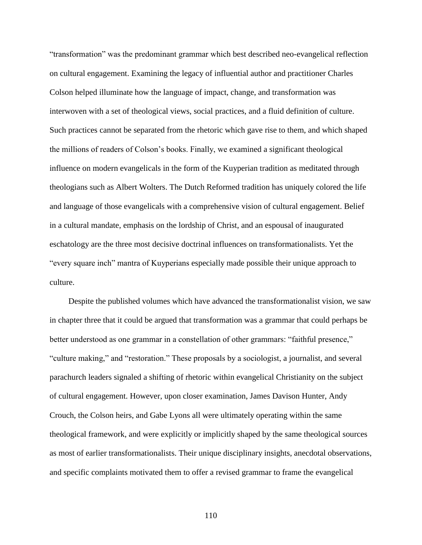"transformation" was the predominant grammar which best described neo-evangelical reflection on cultural engagement. Examining the legacy of influential author and practitioner Charles Colson helped illuminate how the language of impact, change, and transformation was interwoven with a set of theological views, social practices, and a fluid definition of culture. Such practices cannot be separated from the rhetoric which gave rise to them, and which shaped the millions of readers of Colson's books. Finally, we examined a significant theological influence on modern evangelicals in the form of the Kuyperian tradition as meditated through theologians such as Albert Wolters. The Dutch Reformed tradition has uniquely colored the life and language of those evangelicals with a comprehensive vision of cultural engagement. Belief in a cultural mandate, emphasis on the lordship of Christ, and an espousal of inaugurated eschatology are the three most decisive doctrinal influences on transformationalists. Yet the "every square inch" mantra of Kuyperians especially made possible their unique approach to culture.

Despite the published volumes which have advanced the transformationalist vision, we saw in chapter three that it could be argued that transformation was a grammar that could perhaps be better understood as one grammar in a constellation of other grammars: "faithful presence," "culture making," and "restoration." These proposals by a sociologist, a journalist, and several parachurch leaders signaled a shifting of rhetoric within evangelical Christianity on the subject of cultural engagement. However, upon closer examination, James Davison Hunter, Andy Crouch, the Colson heirs, and Gabe Lyons all were ultimately operating within the same theological framework, and were explicitly or implicitly shaped by the same theological sources as most of earlier transformationalists. Their unique disciplinary insights, anecdotal observations, and specific complaints motivated them to offer a revised grammar to frame the evangelical

110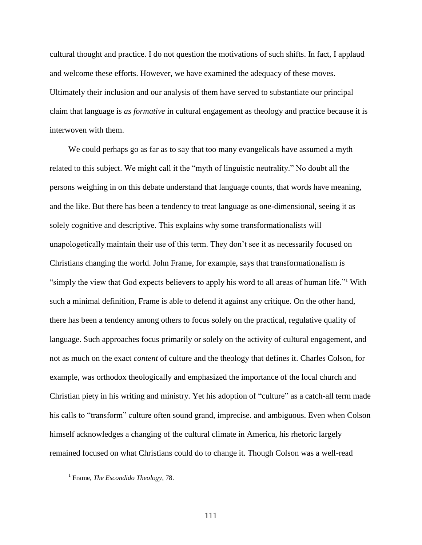cultural thought and practice. I do not question the motivations of such shifts. In fact, I applaud and welcome these efforts. However, we have examined the adequacy of these moves. Ultimately their inclusion and our analysis of them have served to substantiate our principal claim that language is *as formative* in cultural engagement as theology and practice because it is interwoven with them.

We could perhaps go as far as to say that too many evangelicals have assumed a myth related to this subject. We might call it the "myth of linguistic neutrality." No doubt all the persons weighing in on this debate understand that language counts, that words have meaning, and the like. But there has been a tendency to treat language as one-dimensional, seeing it as solely cognitive and descriptive. This explains why some transformationalists will unapologetically maintain their use of this term. They don't see it as necessarily focused on Christians changing the world. John Frame, for example, says that transformationalism is "simply the view that God expects believers to apply his word to all areas of human life."<sup>1</sup> With such a minimal definition, Frame is able to defend it against any critique. On the other hand, there has been a tendency among others to focus solely on the practical, regulative quality of language. Such approaches focus primarily or solely on the activity of cultural engagement, and not as much on the exact *content* of culture and the theology that defines it. Charles Colson, for example, was orthodox theologically and emphasized the importance of the local church and Christian piety in his writing and ministry. Yet his adoption of "culture" as a catch-all term made his calls to "transform" culture often sound grand, imprecise. and ambiguous. Even when Colson himself acknowledges a changing of the cultural climate in America, his rhetoric largely remained focused on what Christians could do to change it. Though Colson was a well-read

<sup>1</sup> Frame, *The Escondido Theology*, 78.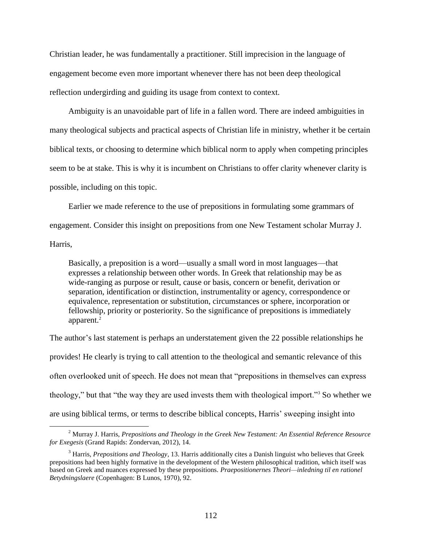Christian leader, he was fundamentally a practitioner. Still imprecision in the language of engagement become even more important whenever there has not been deep theological reflection undergirding and guiding its usage from context to context.

Ambiguity is an unavoidable part of life in a fallen word. There are indeed ambiguities in many theological subjects and practical aspects of Christian life in ministry, whether it be certain biblical texts, or choosing to determine which biblical norm to apply when competing principles seem to be at stake. This is why it is incumbent on Christians to offer clarity whenever clarity is possible, including on this topic.

Earlier we made reference to the use of prepositions in formulating some grammars of engagement. Consider this insight on prepositions from one New Testament scholar Murray J. Harris,

Basically, a preposition is a word—usually a small word in most languages—that expresses a relationship between other words. In Greek that relationship may be as wide-ranging as purpose or result, cause or basis, concern or benefit, derivation or separation, identification or distinction, instrumentality or agency, correspondence or equivalence, representation or substitution, circumstances or sphere, incorporation or fellowship, priority or posteriority. So the significance of prepositions is immediately apparent.<sup>2</sup>

The author's last statement is perhaps an understatement given the 22 possible relationships he provides! He clearly is trying to call attention to the theological and semantic relevance of this often overlooked unit of speech. He does not mean that "prepositions in themselves can express theology," but that "the way they are used invests them with theological import."<sup>3</sup> So whether we are using biblical terms, or terms to describe biblical concepts, Harris' sweeping insight into

<sup>2</sup> Murray J. Harris, *Prepositions and Theology in the Greek New Testament: An Essential Reference Resource for Exegesis* (Grand Rapids: Zondervan, 2012), 14.

<sup>3</sup> Harris, *Prepositions and Theology*, 13. Harris additionally cites a Danish linguist who believes that Greek prepositions had been highly formative in the development of the Western philosophical tradition, which itself was based on Greek and nuances expressed by these prepositions. *Praepositionernes Theori—inledning til en rationel Betydningslaere* (Copenhagen: B Lunos, 1970), 92.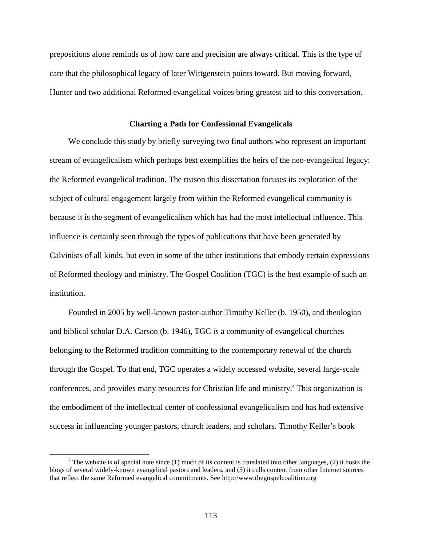prepositions alone reminds us of how care and precision are always critical. This is the type of care that the philosophical legacy of later Wittgenstein points toward. But moving forward, Hunter and two additional Reformed evangelical voices bring greatest aid to this conversation.

## **Charting a Path for Confessional Evangelicals**

We conclude this study by briefly surveying two final authors who represent an important stream of evangelicalism which perhaps best exemplifies the heirs of the neo-evangelical legacy: the Reformed evangelical tradition. The reason this dissertation focuses its exploration of the subject of cultural engagement largely from within the Reformed evangelical community is because it is the segment of evangelicalism which has had the most intellectual influence. This influence is certainly seen through the types of publications that have been generated by Calvinists of all kinds, but even in some of the other institutions that embody certain expressions of Reformed theology and ministry. The Gospel Coalition (TGC) is the best example of such an institution.

Founded in 2005 by well-known pastor-author Timothy Keller (b. 1950), and theologian and biblical scholar D.A. Carson (b. 1946), TGC is a community of evangelical churches belonging to the Reformed tradition committing to the contemporary renewal of the church through the Gospel. To that end, TGC operates a widely accessed website, several large-scale conferences, and provides many resources for Christian life and ministry.<sup>4</sup> This organization is the embodiment of the intellectual center of confessional evangelicalism and has had extensive success in influencing younger pastors, church leaders, and scholars. Timothy Keller's book

 $4$  The website is of special note since (1) much of its content is translated into other languages, (2) it hosts the blogs of several widely-known evangelical pastors and leaders, and (3) it culls content from other Internet sources that reflect the same Reformed evangelical commitments. See http://www.thegospelcoalition.org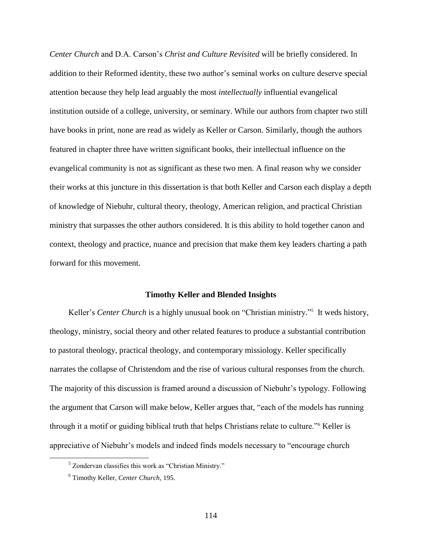*Center Church* and D.A. Carson's *Christ and Culture Revisited* will be briefly considered. In addition to their Reformed identity, these two author's seminal works on culture deserve special attention because they help lead arguably the most *intellectually* influential evangelical institution outside of a college, university, or seminary. While our authors from chapter two still have books in print, none are read as widely as Keller or Carson. Similarly, though the authors featured in chapter three have written significant books, their intellectual influence on the evangelical community is not as significant as these two men. A final reason why we consider their works at this juncture in this dissertation is that both Keller and Carson each display a depth of knowledge of Niebuhr, cultural theory, theology, American religion, and practical Christian ministry that surpasses the other authors considered. It is this ability to hold together canon and context, theology and practice, nuance and precision that make them key leaders charting a path forward for this movement.

## **Timothy Keller and Blended Insights**

Keller's *Center Church* is a highly unusual book on "Christian ministry."<sup>5</sup> It weds history, theology, ministry, social theory and other related features to produce a substantial contribution to pastoral theology, practical theology, and contemporary missiology. Keller specifically narrates the collapse of Christendom and the rise of various cultural responses from the church. The majority of this discussion is framed around a discussion of Niebuhr's typology. Following the argument that Carson will make below, Keller argues that, "each of the models has running through it a motif or guiding biblical truth that helps Christians relate to culture."<sup>6</sup> Keller is appreciative of Niebuhr's models and indeed finds models necessary to "encourage church

<sup>5</sup> Zondervan classifies this work as "Christian Ministry."

<sup>6</sup> Timothy Keller, *Center Church*, 195.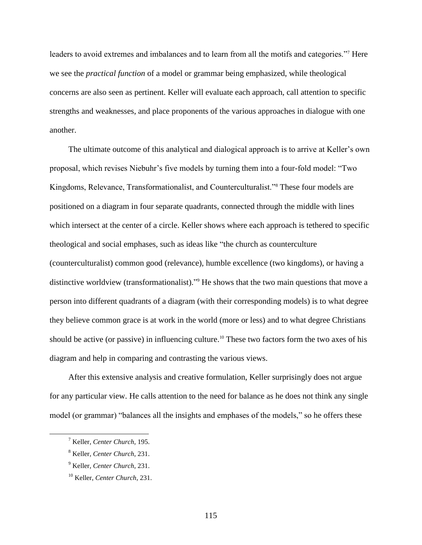leaders to avoid extremes and imbalances and to learn from all the motifs and categories."<sup>7</sup> Here we see the *practical function* of a model or grammar being emphasized, while theological concerns are also seen as pertinent. Keller will evaluate each approach, call attention to specific strengths and weaknesses, and place proponents of the various approaches in dialogue with one another.

The ultimate outcome of this analytical and dialogical approach is to arrive at Keller's own proposal, which revises Niebuhr's five models by turning them into a four-fold model: "Two Kingdoms, Relevance, Transformationalist, and Counterculturalist."<sup>8</sup> These four models are positioned on a diagram in four separate quadrants, connected through the middle with lines which intersect at the center of a circle. Keller shows where each approach is tethered to specific theological and social emphases, such as ideas like "the church as counterculture (counterculturalist) common good (relevance), humble excellence (two kingdoms), or having a distinctive worldview (transformationalist)."<sup>9</sup> He shows that the two main questions that move a person into different quadrants of a diagram (with their corresponding models) is to what degree they believe common grace is at work in the world (more or less) and to what degree Christians should be active (or passive) in influencing culture.<sup>10</sup> These two factors form the two axes of his diagram and help in comparing and contrasting the various views.

After this extensive analysis and creative formulation, Keller surprisingly does not argue for any particular view. He calls attention to the need for balance as he does not think any single model (or grammar) "balances all the insights and emphases of the models," so he offers these

<sup>7</sup> Keller, *Center Church*, 195.

<sup>8</sup> Keller, *Center Church*, 231.

<sup>9</sup> Keller, *Center Church*, 231.

<sup>10</sup> Keller, *Center Church*, 231.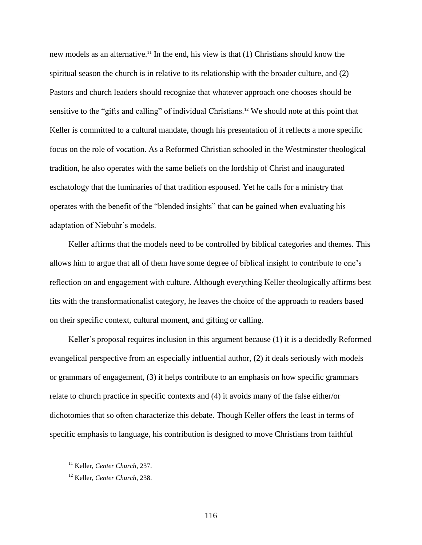new models as an alternative. <sup>11</sup> In the end, his view is that (1) Christians should know the spiritual season the church is in relative to its relationship with the broader culture, and (2) Pastors and church leaders should recognize that whatever approach one chooses should be sensitive to the "gifts and calling" of individual Christians.<sup>12</sup> We should note at this point that Keller is committed to a cultural mandate, though his presentation of it reflects a more specific focus on the role of vocation. As a Reformed Christian schooled in the Westminster theological tradition, he also operates with the same beliefs on the lordship of Christ and inaugurated eschatology that the luminaries of that tradition espoused. Yet he calls for a ministry that operates with the benefit of the "blended insights" that can be gained when evaluating his adaptation of Niebuhr's models.

Keller affirms that the models need to be controlled by biblical categories and themes. This allows him to argue that all of them have some degree of biblical insight to contribute to one's reflection on and engagement with culture. Although everything Keller theologically affirms best fits with the transformationalist category, he leaves the choice of the approach to readers based on their specific context, cultural moment, and gifting or calling.

Keller's proposal requires inclusion in this argument because (1) it is a decidedly Reformed evangelical perspective from an especially influential author, (2) it deals seriously with models or grammars of engagement, (3) it helps contribute to an emphasis on how specific grammars relate to church practice in specific contexts and (4) it avoids many of the false either/or dichotomies that so often characterize this debate. Though Keller offers the least in terms of specific emphasis to language, his contribution is designed to move Christians from faithful

<sup>11</sup> Keller, *Center Church*, 237.

<sup>12</sup> Keller, *Center Church*, 238.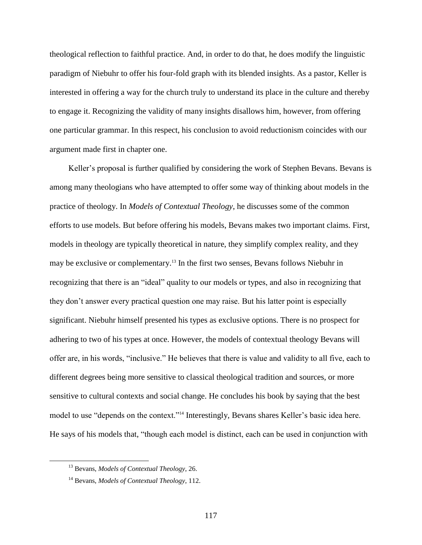theological reflection to faithful practice. And, in order to do that, he does modify the linguistic paradigm of Niebuhr to offer his four-fold graph with its blended insights. As a pastor, Keller is interested in offering a way for the church truly to understand its place in the culture and thereby to engage it. Recognizing the validity of many insights disallows him, however, from offering one particular grammar. In this respect, his conclusion to avoid reductionism coincides with our argument made first in chapter one.

Keller's proposal is further qualified by considering the work of Stephen Bevans. Bevans is among many theologians who have attempted to offer some way of thinking about models in the practice of theology. In *Models of Contextual Theology*, he discusses some of the common efforts to use models. But before offering his models, Bevans makes two important claims. First, models in theology are typically theoretical in nature, they simplify complex reality, and they may be exclusive or complementary.<sup>13</sup> In the first two senses, Bevans follows Niebuhr in recognizing that there is an "ideal" quality to our models or types, and also in recognizing that they don't answer every practical question one may raise. But his latter point is especially significant. Niebuhr himself presented his types as exclusive options. There is no prospect for adhering to two of his types at once. However, the models of contextual theology Bevans will offer are, in his words, "inclusive." He believes that there is value and validity to all five, each to different degrees being more sensitive to classical theological tradition and sources, or more sensitive to cultural contexts and social change. He concludes his book by saying that the best model to use "depends on the context."<sup>14</sup> Interestingly, Bevans shares Keller's basic idea here. He says of his models that, "though each model is distinct, each can be used in conjunction with

<sup>13</sup> Bevans, *Models of Contextual Theology*, 26.

<sup>14</sup> Bevans, *Models of Contextual Theology*, 112.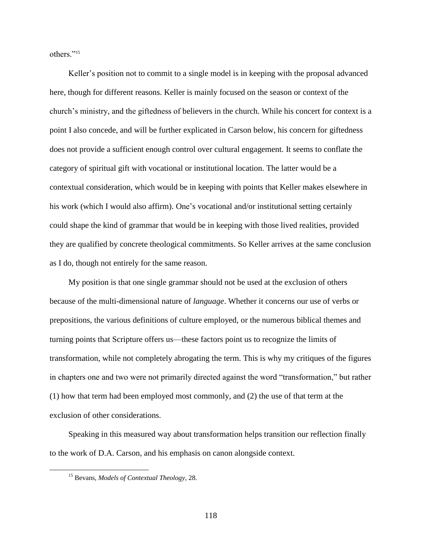others."<sup>15</sup>

Keller's position not to commit to a single model is in keeping with the proposal advanced here, though for different reasons. Keller is mainly focused on the season or context of the church's ministry, and the giftedness of believers in the church. While his concert for context is a point I also concede, and will be further explicated in Carson below, his concern for giftedness does not provide a sufficient enough control over cultural engagement. It seems to conflate the category of spiritual gift with vocational or institutional location. The latter would be a contextual consideration, which would be in keeping with points that Keller makes elsewhere in his work (which I would also affirm). One's vocational and/or institutional setting certainly could shape the kind of grammar that would be in keeping with those lived realities, provided they are qualified by concrete theological commitments. So Keller arrives at the same conclusion as I do, though not entirely for the same reason.

My position is that one single grammar should not be used at the exclusion of others because of the multi-dimensional nature of *language*. Whether it concerns our use of verbs or prepositions, the various definitions of culture employed, or the numerous biblical themes and turning points that Scripture offers us—these factors point us to recognize the limits of transformation, while not completely abrogating the term. This is why my critiques of the figures in chapters one and two were not primarily directed against the word "transformation," but rather (1) how that term had been employed most commonly, and (2) the use of that term at the exclusion of other considerations.

Speaking in this measured way about transformation helps transition our reflection finally to the work of D.A. Carson, and his emphasis on canon alongside context.

<sup>15</sup> Bevans, *Models of Contextual Theology*, 28.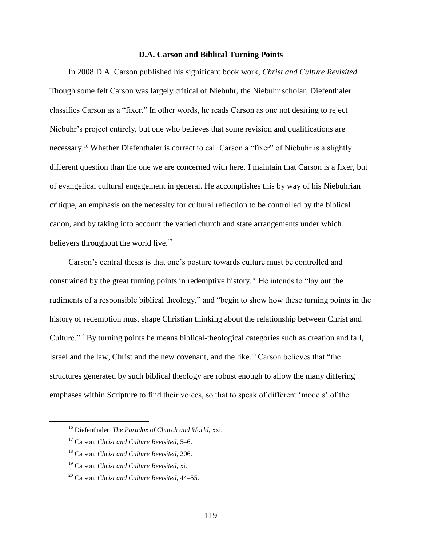## **D.A. Carson and Biblical Turning Points**

In 2008 D.A. Carson published his significant book work, *Christ and Culture Revisited.* Though some felt Carson was largely critical of Niebuhr, the Niebuhr scholar, Diefenthaler classifies Carson as a "fixer." In other words, he reads Carson as one not desiring to reject Niebuhr's project entirely, but one who believes that some revision and qualifications are necessary. <sup>16</sup> Whether Diefenthaler is correct to call Carson a "fixer" of Niebuhr is a slightly different question than the one we are concerned with here. I maintain that Carson is a fixer, but of evangelical cultural engagement in general. He accomplishes this by way of his Niebuhrian critique, an emphasis on the necessity for cultural reflection to be controlled by the biblical canon, and by taking into account the varied church and state arrangements under which believers throughout the world live.<sup>17</sup>

Carson's central thesis is that one's posture towards culture must be controlled and constrained by the great turning points in redemptive history.<sup>18</sup> He intends to "lay out the rudiments of a responsible biblical theology," and "begin to show how these turning points in the history of redemption must shape Christian thinking about the relationship between Christ and Culture."<sup>19</sup> By turning points he means biblical-theological categories such as creation and fall, Israel and the law, Christ and the new covenant, and the like.<sup>20</sup> Carson believes that "the structures generated by such biblical theology are robust enough to allow the many differing emphases within Scripture to find their voices, so that to speak of different 'models' of the

<sup>16</sup> Diefenthaler, *The Paradox of Church and World*, xxi.

<sup>17</sup> Carson, *Christ and Culture Revisited*, 5–6.

<sup>18</sup> Carson, *Christ and Culture Revisited*, 206.

<sup>19</sup> Carson, *Christ and Culture Revisited*, xi.

<sup>20</sup> Carson, *Christ and Culture Revisited*, 44–55.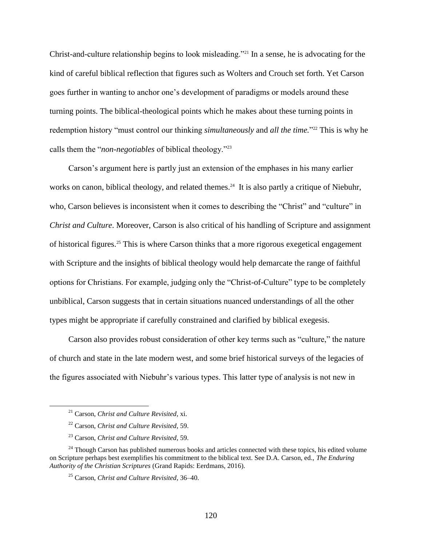Christ-and-culture relationship begins to look misleading."<sup>21</sup> In a sense, he is advocating for the kind of careful biblical reflection that figures such as Wolters and Crouch set forth. Yet Carson goes further in wanting to anchor one's development of paradigms or models around these turning points. The biblical-theological points which he makes about these turning points in redemption history "must control our thinking *simultaneously* and *all the time*."<sup>22</sup> This is why he calls them the "*non-negotiables* of biblical theology."<sup>23</sup>

Carson's argument here is partly just an extension of the emphases in his many earlier works on canon, biblical theology, and related themes.<sup>24</sup> It is also partly a critique of Niebuhr, who, Carson believes is inconsistent when it comes to describing the "Christ" and "culture" in *Christ and Culture*. Moreover, Carson is also critical of his handling of Scripture and assignment of historical figures.<sup>25</sup> This is where Carson thinks that a more rigorous exegetical engagement with Scripture and the insights of biblical theology would help demarcate the range of faithful options for Christians. For example, judging only the "Christ-of-Culture" type to be completely unbiblical, Carson suggests that in certain situations nuanced understandings of all the other types might be appropriate if carefully constrained and clarified by biblical exegesis.

Carson also provides robust consideration of other key terms such as "culture," the nature of church and state in the late modern west, and some brief historical surveys of the legacies of the figures associated with Niebuhr's various types. This latter type of analysis is not new in

<sup>21</sup> Carson, *Christ and Culture Revisited*, xi.

<sup>22</sup> Carson, *Christ and Culture Revisited*, 59.

<sup>23</sup> Carson, *Christ and Culture Revisited*, 59.

 $24$  Though Carson has published numerous books and articles connected with these topics, his edited volume on Scripture perhaps best exemplifies his commitment to the biblical text. See D.A. Carson, ed., *The Enduring Authority of the Christian Scriptures* (Grand Rapids: Eerdmans, 2016).

<sup>25</sup> Carson, *Christ and Culture Revisited*, 36–40.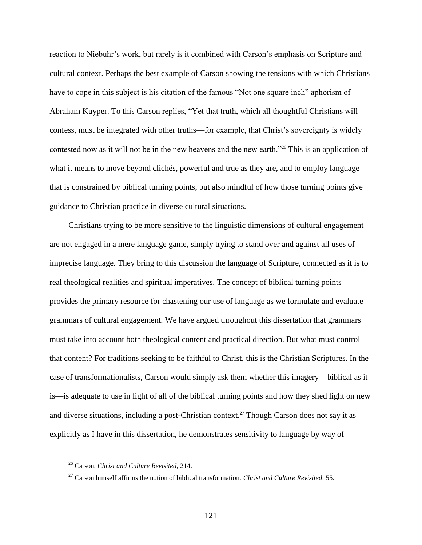reaction to Niebuhr's work, but rarely is it combined with Carson's emphasis on Scripture and cultural context. Perhaps the best example of Carson showing the tensions with which Christians have to cope in this subject is his citation of the famous "Not one square inch" aphorism of Abraham Kuyper. To this Carson replies, "Yet that truth, which all thoughtful Christians will confess, must be integrated with other truths—for example, that Christ's sovereignty is widely contested now as it will not be in the new heavens and the new earth."<sup>26</sup> This is an application of what it means to move beyond clichés, powerful and true as they are, and to employ language that is constrained by biblical turning points, but also mindful of how those turning points give guidance to Christian practice in diverse cultural situations.

Christians trying to be more sensitive to the linguistic dimensions of cultural engagement are not engaged in a mere language game, simply trying to stand over and against all uses of imprecise language. They bring to this discussion the language of Scripture, connected as it is to real theological realities and spiritual imperatives. The concept of biblical turning points provides the primary resource for chastening our use of language as we formulate and evaluate grammars of cultural engagement. We have argued throughout this dissertation that grammars must take into account both theological content and practical direction. But what must control that content? For traditions seeking to be faithful to Christ, this is the Christian Scriptures. In the case of transformationalists, Carson would simply ask them whether this imagery—biblical as it is—is adequate to use in light of all of the biblical turning points and how they shed light on new and diverse situations, including a post-Christian context.<sup>27</sup> Though Carson does not say it as explicitly as I have in this dissertation, he demonstrates sensitivity to language by way of

<sup>26</sup> Carson, *Christ and Culture Revisited*, 214.

<sup>27</sup> Carson himself affirms the notion of biblical transformation. *Christ and Culture Revisited*, 55.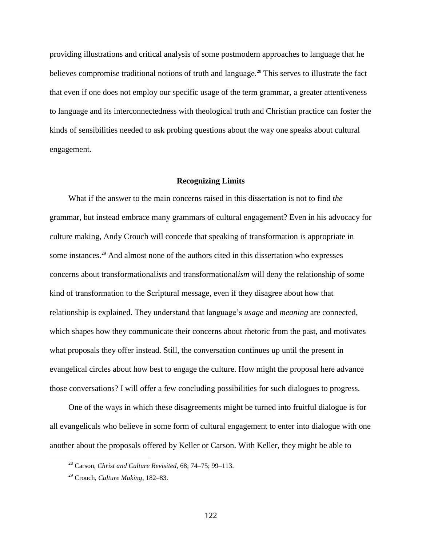providing illustrations and critical analysis of some postmodern approaches to language that he believes compromise traditional notions of truth and language. <sup>28</sup> This serves to illustrate the fact that even if one does not employ our specific usage of the term grammar, a greater attentiveness to language and its interconnectedness with theological truth and Christian practice can foster the kinds of sensibilities needed to ask probing questions about the way one speaks about cultural engagement.

## **Recognizing Limits**

What if the answer to the main concerns raised in this dissertation is not to find *the* grammar, but instead embrace many grammars of cultural engagement? Even in his advocacy for culture making, Andy Crouch will concede that speaking of transformation is appropriate in some instances.<sup>29</sup> And almost none of the authors cited in this dissertation who expresses concerns about transformational*ists* and transformational*ism* will deny the relationship of some kind of transformation to the Scriptural message, even if they disagree about how that relationship is explained. They understand that language's *usage* and *meaning* are connected, which shapes how they communicate their concerns about rhetoric from the past, and motivates what proposals they offer instead. Still, the conversation continues up until the present in evangelical circles about how best to engage the culture. How might the proposal here advance those conversations? I will offer a few concluding possibilities for such dialogues to progress.

One of the ways in which these disagreements might be turned into fruitful dialogue is for all evangelicals who believe in some form of cultural engagement to enter into dialogue with one another about the proposals offered by Keller or Carson. With Keller, they might be able to

<sup>28</sup> Carson, *Christ and Culture Revisited*, 68; 74–75; 99–113.

<sup>29</sup> Crouch, *Culture Making*, 182–83.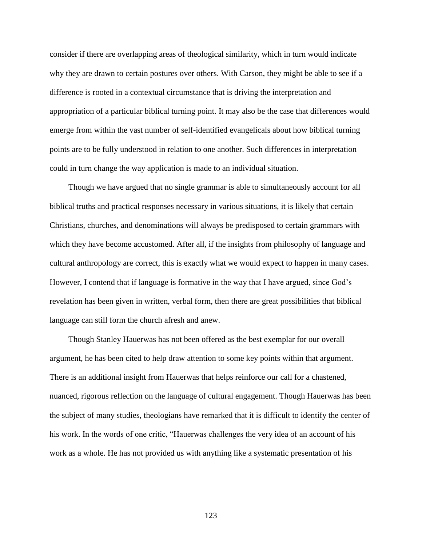consider if there are overlapping areas of theological similarity, which in turn would indicate why they are drawn to certain postures over others. With Carson, they might be able to see if a difference is rooted in a contextual circumstance that is driving the interpretation and appropriation of a particular biblical turning point. It may also be the case that differences would emerge from within the vast number of self-identified evangelicals about how biblical turning points are to be fully understood in relation to one another. Such differences in interpretation could in turn change the way application is made to an individual situation.

Though we have argued that no single grammar is able to simultaneously account for all biblical truths and practical responses necessary in various situations, it is likely that certain Christians, churches, and denominations will always be predisposed to certain grammars with which they have become accustomed. After all, if the insights from philosophy of language and cultural anthropology are correct, this is exactly what we would expect to happen in many cases. However, I contend that if language is formative in the way that I have argued, since God's revelation has been given in written, verbal form, then there are great possibilities that biblical language can still form the church afresh and anew.

Though Stanley Hauerwas has not been offered as the best exemplar for our overall argument, he has been cited to help draw attention to some key points within that argument. There is an additional insight from Hauerwas that helps reinforce our call for a chastened, nuanced, rigorous reflection on the language of cultural engagement. Though Hauerwas has been the subject of many studies, theologians have remarked that it is difficult to identify the center of his work. In the words of one critic, "Hauerwas challenges the very idea of an account of his work as a whole. He has not provided us with anything like a systematic presentation of his

123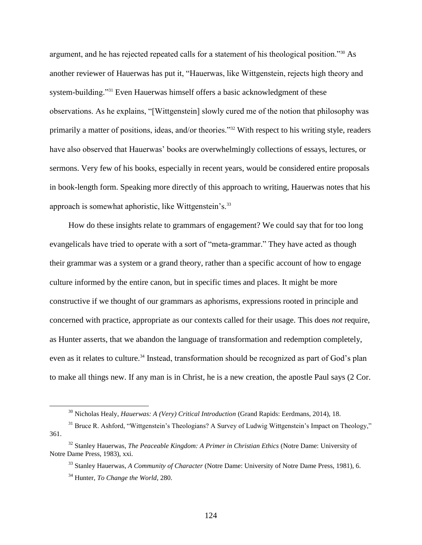argument, and he has rejected repeated calls for a statement of his theological position."<sup>30</sup> As another reviewer of Hauerwas has put it, "Hauerwas, like Wittgenstein, rejects high theory and system-building."<sup>31</sup> Even Hauerwas himself offers a basic acknowledgment of these observations. As he explains, "[Wittgenstein] slowly cured me of the notion that philosophy was primarily a matter of positions, ideas, and/or theories."<sup>32</sup> With respect to his writing style, readers have also observed that Hauerwas' books are overwhelmingly collections of essays, lectures, or sermons. Very few of his books, especially in recent years, would be considered entire proposals in book-length form. Speaking more directly of this approach to writing, Hauerwas notes that his approach is somewhat aphoristic, like Wittgenstein's.<sup>33</sup>

How do these insights relate to grammars of engagement? We could say that for too long evangelicals have tried to operate with a sort of "meta-grammar." They have acted as though their grammar was a system or a grand theory, rather than a specific account of how to engage culture informed by the entire canon, but in specific times and places. It might be more constructive if we thought of our grammars as aphorisms, expressions rooted in principle and concerned with practice, appropriate as our contexts called for their usage. This does *not* require, as Hunter asserts, that we abandon the language of transformation and redemption completely, even as it relates to culture.<sup>34</sup> Instead, transformation should be recognized as part of God's plan to make all things new. If any man is in Christ, he is a new creation, the apostle Paul says (2 Cor.

<sup>30</sup> Nicholas Healy, *Hauerwas: A (Very) Critical Introduction* (Grand Rapids: Eerdmans, 2014), 18.

<sup>&</sup>lt;sup>31</sup> Bruce R. Ashford, "Wittgenstein's Theologians? A Survey of Ludwig Wittgenstein's Impact on Theology," 361.

<sup>32</sup> Stanley Hauerwas, *The Peaceable Kingdom: A Primer in Christian Ethics* (Notre Dame: University of Notre Dame Press, 1983), xxi.

<sup>33</sup> Stanley Hauerwas, *A Community of Character* (Notre Dame: University of Notre Dame Press, 1981), 6.

<sup>34</sup> Hunter, *To Change the World*, 280.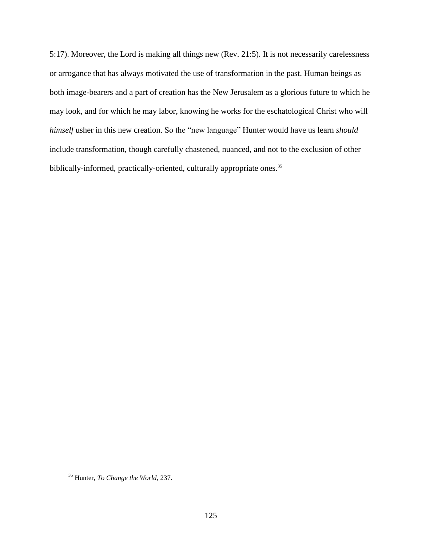5:17). Moreover, the Lord is making all things new (Rev. 21:5). It is not necessarily carelessness or arrogance that has always motivated the use of transformation in the past. Human beings as both image-bearers and a part of creation has the New Jerusalem as a glorious future to which he may look, and for which he may labor, knowing he works for the eschatological Christ who will *himself* usher in this new creation. So the "new language" Hunter would have us learn *should* include transformation, though carefully chastened, nuanced, and not to the exclusion of other biblically-informed, practically-oriented, culturally appropriate ones.<sup>35</sup>

<sup>35</sup> Hunter, *To Change the World*, 237.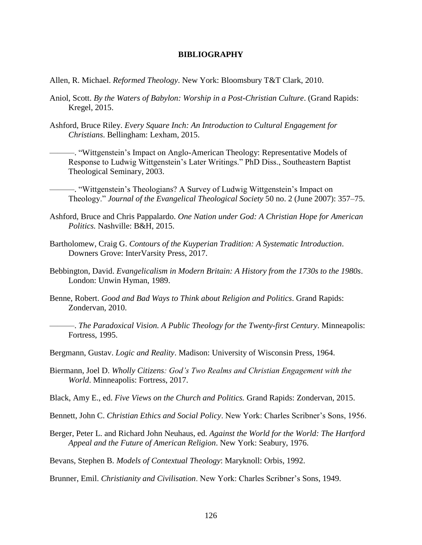## **BIBLIOGRAPHY**

- Allen, R. Michael. *Reformed Theology*. New York: Bloomsbury T&T Clark, 2010.
- Aniol, Scott. *By the Waters of Babylon: Worship in a Post-Christian Culture*. (Grand Rapids: Kregel, 2015.
- Ashford, Bruce Riley. *Every Square Inch: An Introduction to Cultural Engagement for Christians*. Bellingham: Lexham, 2015.

———. "Wittgenstein's Impact on Anglo-American Theology: Representative Models of Response to Ludwig Wittgenstein's Later Writings." PhD Diss., Southeastern Baptist Theological Seminary, 2003.

———. "Wittgenstein's Theologians? A Survey of Ludwig Wittgenstein's Impact on Theology." *Journal of the Evangelical Theological Society* 50 no. 2 (June 2007): 357–75.

- Ashford, Bruce and Chris Pappalardo. *One Nation under God: A Christian Hope for American Politics.* Nashville: B&H, 2015.
- Bartholomew, Craig G. *Contours of the Kuyperian Tradition: A Systematic Introduction*. Downers Grove: InterVarsity Press, 2017.
- Bebbington, David. *Evangelicalism in Modern Britain: A History from the 1730s to the 1980s*. London: Unwin Hyman, 1989.
- Benne, Robert. *Good and Bad Ways to Think about Religion and Politics*. Grand Rapids: Zondervan, 2010.
	- ———. *The Paradoxical Vision. A Public Theology for the Twenty-first Century*. Minneapolis: Fortress, 1995.
- Bergmann, Gustav. *Logic and Reality*. Madison: University of Wisconsin Press, 1964.
- Biermann, Joel D. *Wholly Citizens: God's Two Realms and Christian Engagement with the World*. Minneapolis: Fortress, 2017.
- Black, Amy E., ed. *Five Views on the Church and Politics.* Grand Rapids: Zondervan, 2015.
- Bennett, John C. *Christian Ethics and Social Policy*. New York: Charles Scribner's Sons, 1956.
- Berger, Peter L. and Richard John Neuhaus, ed. *Against the World for the World: The Hartford Appeal and the Future of American Religion*. New York: Seabury, 1976.

Bevans, Stephen B. *Models of Contextual Theology*: Maryknoll: Orbis, 1992.

Brunner, Emil. *Christianity and Civilisation*. New York: Charles Scribner's Sons, 1949.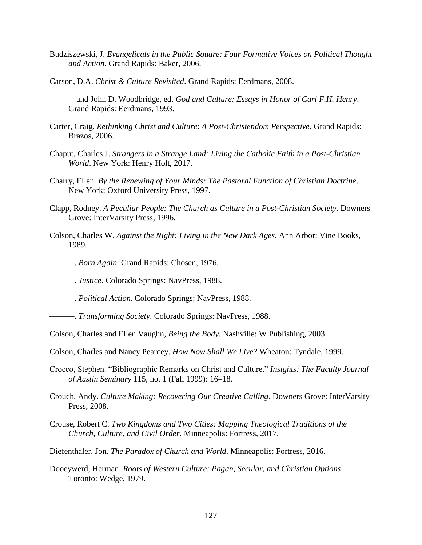- Budziszewski, J. *Evangelicals in the Public Square: Four Formative Voices on Political Thought and Action*. Grand Rapids: Baker, 2006.
- Carson, D.A. *Christ & Culture Revisited*. Grand Rapids: Eerdmans, 2008.
	- ——— and John D. Woodbridge, ed. *God and Culture: Essays in Honor of Carl F.H. Henry*. Grand Rapids: Eerdmans, 1993.
- Carter, Craig. *Rethinking Christ and Culture*: *A Post-Christendom Perspective*. Grand Rapids: Brazos, 2006.
- Chaput, Charles J. *Strangers in a Strange Land: Living the Catholic Faith in a Post-Christian World*. New York: Henry Holt, 2017.
- Charry, Ellen. *By the Renewing of Your Minds: The Pastoral Function of Christian Doctrine*. New York: Oxford University Press, 1997.
- Clapp, Rodney. *A Peculiar People: The Church as Culture in a Post-Christian Society*. Downers Grove: InterVarsity Press, 1996.
- Colson, Charles W. *Against the Night: Living in the New Dark Ages.* Ann Arbor: Vine Books, 1989.
- ———. *Born Again*. Grand Rapids: Chosen, 1976.
- ———. *Justice*. Colorado Springs: NavPress, 1988.
- ———. *Political Action*. Colorado Springs: NavPress, 1988.
- ———. *Transforming Society*. Colorado Springs: NavPress, 1988.
- Colson, Charles and Ellen Vaughn, *Being the Body*. Nashville: W Publishing, 2003.
- Colson, Charles and Nancy Pearcey. *How Now Shall We Live?* Wheaton: Tyndale, 1999.
- Crocco, Stephen. "Bibliographic Remarks on Christ and Culture." *Insights: The Faculty Journal of Austin Seminary* 115, no. 1 (Fall 1999): 16–18.
- Crouch, Andy. *Culture Making: Recovering Our Creative Calling*. Downers Grove: InterVarsity Press, 2008.
- Crouse, Robert C. *Two Kingdoms and Two Cities: Mapping Theological Traditions of the Church, Culture, and Civil Order*. Minneapolis: Fortress, 2017.
- Diefenthaler, Jon. *The Paradox of Church and World*. Minneapolis: Fortress, 2016.
- Dooeywerd, Herman. *Roots of Western Culture: Pagan, Secular, and Christian Options*. Toronto: Wedge, 1979.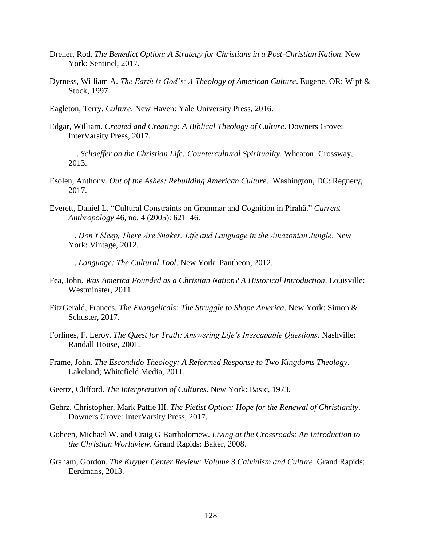- Dreher, Rod. *The Benedict Option: A Strategy for Christians in a Post-Christian Nation*. New York: Sentinel, 2017.
- Dyrness, William A. *The Earth is God's: A Theology of American Culture*. Eugene, OR: Wipf & Stock, 1997.
- Eagleton, Terry. *Culture*. New Haven: Yale University Press, 2016.
- Edgar, William. *Created and Creating: A Biblical Theology of Culture*. Downers Grove: InterVarsity Press, 2017.
- ———. *Schaeffer on the Christian Life: Countercultural Spirituality*. Wheaton: Crossway, 2013.
- Esolen, Anthony. *Out of the Ashes: Rebuilding American Culture*. Washington, DC: Regnery, 2017.
- Everett, Daniel L. "Cultural Constraints on Grammar and Cognition in Pirahã." *Current Anthropology* 46, no. 4 (2005): 621–46.
	- ———. *Don't Sleep, There Are Snakes: Life and Language in the Amazonian Jungle*. New York: Vintage, 2012.
- ———. *Language: The Cultural Tool*. New York: Pantheon, 2012.
- Fea, John. *Was America Founded as a Christian Nation? A Historical Introduction*. Louisville: Westminster, 2011.
- FitzGerald, Frances. *The Evangelicals: The Struggle to Shape America*. New York: Simon & Schuster, 2017.
- Forlines, F. Leroy. *The Quest for Truth: Answering Life's Inescapable Questions*. Nashville: Randall House, 2001.
- Frame, John. *The Escondido Theology: A Reformed Response to Two Kingdoms Theology.*  Lakeland; Whitefield Media, 2011.
- Geertz, Clifford. *The Interpretation of Cultures*. New York: Basic, 1973.
- Gehrz, Christopher, Mark Pattie III. *The Pietist Option: Hope for the Renewal of Christianity*. Downers Grove: InterVarsity Press, 2017.
- Goheen, Michael W. and Craig G Bartholomew. *Living at the Crossroads: An Introduction to the Christian Worldview*. Grand Rapids: Baker, 2008.
- Graham, Gordon. *The Kuyper Center Review: Volume 3 Calvinism and Culture*. Grand Rapids: Eerdmans, 2013.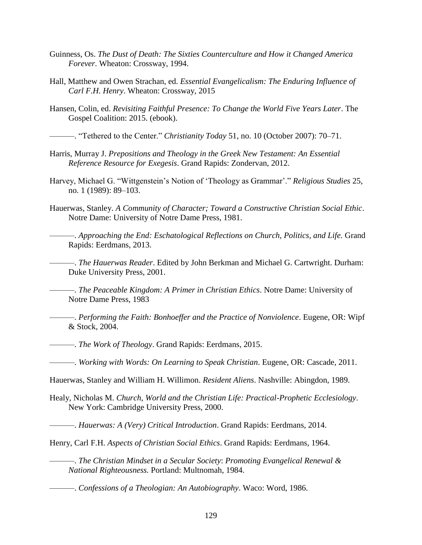- Guinness, Os. *The Dust of Death: The Sixties Counterculture and How it Changed America Forever*. Wheaton: Crossway, 1994.
- Hall, Matthew and Owen Strachan, ed. *Essential Evangelicalism: The Enduring Influence of Carl F.H. Henry*. Wheaton: Crossway, 2015
- Hansen, Colin, ed. *Revisiting Faithful Presence: To Change the World Five Years Later*. The Gospel Coalition: 2015. (ebook).
- ———. "Tethered to the Center." *Christianity Today* 51, no. 10 (October 2007): 70–71.
- Harris, Murray J. *Prepositions and Theology in the Greek New Testament: An Essential Reference Resource for Exegesis*. Grand Rapids: Zondervan, 2012.
- Harvey, Michael G. "Wittgenstein's Notion of 'Theology as Grammar'." *Religious Studies* 25, no. 1 (1989): 89–103.
- Hauerwas, Stanley. *A Community of Character; Toward a Constructive Christian Social Ethic*. Notre Dame: University of Notre Dame Press, 1981.
	- ———. *Approaching the End: Eschatological Reflections on Church, Politics, and Life.* Grand Rapids: Eerdmans, 2013.
	- ———. *The Hauerwas Reader*. Edited by John Berkman and Michael G. Cartwright. Durham: Duke University Press, 2001.

———. *The Peaceable Kingdom: A Primer in Christian Ethics*. Notre Dame: University of Notre Dame Press, 1983

- ———. *Performing the Faith: Bonhoeffer and the Practice of Nonviolence*. Eugene, OR: Wipf & Stock, 2004.
- ———. *The Work of Theology*. Grand Rapids: Eerdmans, 2015.
- ———. *Working with Words: On Learning to Speak Christian*. Eugene, OR: Cascade, 2011.
- Hauerwas, Stanley and William H. Willimon. *Resident Aliens*. Nashville: Abingdon, 1989.
- Healy, Nicholas M. *Church, World and the Christian Life: Practical-Prophetic Ecclesiology*. New York: Cambridge University Press, 2000.
- ———. *Hauerwas: A (Very) Critical Introduction*. Grand Rapids: Eerdmans, 2014.
- Henry, Carl F.H. *Aspects of Christian Social Ethics*. Grand Rapids: Eerdmans, 1964.
	- ———. *The Christian Mindset in a Secular Society*: *Promoting Evangelical Renewal & National Righteousness.* Portland: Multnomah, 1984.
- ———. *Confessions of a Theologian: An Autobiography*. Waco: Word, 1986.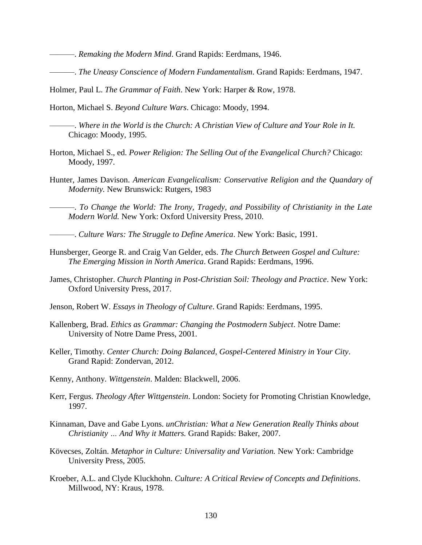———. *Remaking the Modern Mind*. Grand Rapids: Eerdmans, 1946.

———. *The Uneasy Conscience of Modern Fundamentalism*. Grand Rapids: Eerdmans, 1947.

Holmer, Paul L. *The Grammar of Faith*. New York: Harper & Row, 1978.

Horton, Michael S. *Beyond Culture Wars*. Chicago: Moody, 1994.

———. *Where in the World is the Church: A Christian View of Culture and Your Role in It.* Chicago: Moody, 1995.

- Horton, Michael S., ed. *Power Religion: The Selling Out of the Evangelical Church?* Chicago: Moody, 1997.
- Hunter, James Davison. *American Evangelicalism: Conservative Religion and the Quandary of Modernity.* New Brunswick: Rutgers, 1983

———. *To Change the World: The Irony, Tragedy, and Possibility of Christianity in the Late Modern World.* New York: Oxford University Press, 2010.

- ———. *Culture Wars: The Struggle to Define America*. New York: Basic, 1991.
- Hunsberger, George R. and Craig Van Gelder, eds. *The Church Between Gospel and Culture: The Emerging Mission in North America*. Grand Rapids: Eerdmans, 1996.
- James, Christopher. *Church Planting in Post-Christian Soil: Theology and Practice*. New York: Oxford University Press, 2017.
- Jenson, Robert W. *Essays in Theology of Culture*. Grand Rapids: Eerdmans, 1995.
- Kallenberg, Brad. *Ethics as Grammar: Changing the Postmodern Subject*. Notre Dame: University of Notre Dame Press, 2001.
- Keller, Timothy. *Center Church: Doing Balanced, Gospel-Centered Ministry in Your City*. Grand Rapid: Zondervan, 2012.
- Kenny, Anthony. *Wittgenstein*. Malden: Blackwell, 2006.
- Kerr, Fergus. *Theology After Wittgenstein*. London: Society for Promoting Christian Knowledge, 1997.
- Kinnaman, Dave and Gabe Lyons. *unChristian: What a New Generation Really Thinks about Christianity … And Why it Matters.* Grand Rapids: Baker, 2007.
- Kövecses, Zoltán. *Metaphor in Culture: Universality and Variation.* New York: Cambridge University Press, 2005.
- Kroeber, A.L. and Clyde Kluckhohn. *Culture: A Critical Review of Concepts and Definitions*. Millwood, NY: Kraus, 1978.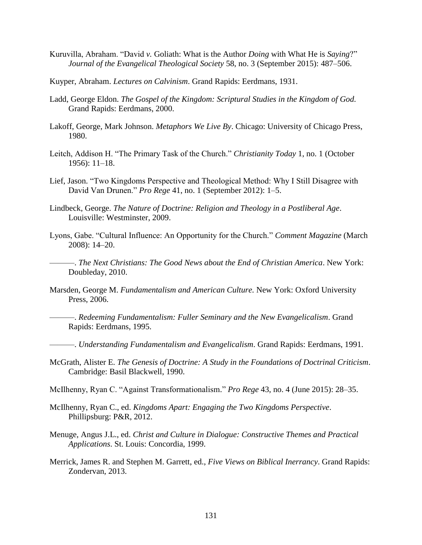- Kuruvilla, Abraham. "David *v.* Goliath: What is the Author *Doing* with What He is *Saying*?" *Journal of the Evangelical Theological Society* 58, no. 3 (September 2015): 487–506.
- Kuyper, Abraham. *Lectures on Calvinism*. Grand Rapids: Eerdmans, 1931.
- Ladd, George Eldon. *The Gospel of the Kingdom: Scriptural Studies in the Kingdom of God.* Grand Rapids: Eerdmans, 2000.
- Lakoff, George, Mark Johnson. *Metaphors We Live By*. Chicago: University of Chicago Press, 1980.
- Leitch, Addison H. "The Primary Task of the Church." *Christianity Today* 1, no. 1 (October 1956): 11–18.
- Lief, Jason. "Two Kingdoms Perspective and Theological Method: Why I Still Disagree with David Van Drunen." *Pro Rege* 41, no. 1 (September 2012): 1–5.
- Lindbeck, George. *The Nature of Doctrine: Religion and Theology in a Postliberal Age*. Louisville: Westminster, 2009.
- Lyons, Gabe. "Cultural Influence: An Opportunity for the Church." *Comment Magazine* (March 2008): 14–20.
- ———. *The Next Christians: The Good News about the End of Christian America*. New York: Doubleday, 2010.
- Marsden, George M. *Fundamentalism and American Culture.* New York: Oxford University Press, 2006.
	- ———. *Redeeming Fundamentalism: Fuller Seminary and the New Evangelicalism*. Grand Rapids: Eerdmans, 1995.
- ———. *Understanding Fundamentalism and Evangelicalism*. Grand Rapids: Eerdmans, 1991.
- McGrath, Alister E. *The Genesis of Doctrine: A Study in the Foundations of Doctrinal Criticism*. Cambridge: Basil Blackwell, 1990.
- McIlhenny, Ryan C. "Against Transformationalism." *Pro Rege* 43, no. 4 (June 2015): 28–35.
- McIlhenny, Ryan C., ed. *Kingdoms Apart: Engaging the Two Kingdoms Perspective*. Phillipsburg: P&R, 2012.
- Menuge, Angus J.L., ed. *Christ and Culture in Dialogue: Constructive Themes and Practical Applications*. St. Louis: Concordia, 1999.
- Merrick, James R. and Stephen M. Garrett, ed., *Five Views on Biblical Inerrancy*. Grand Rapids: Zondervan, 2013.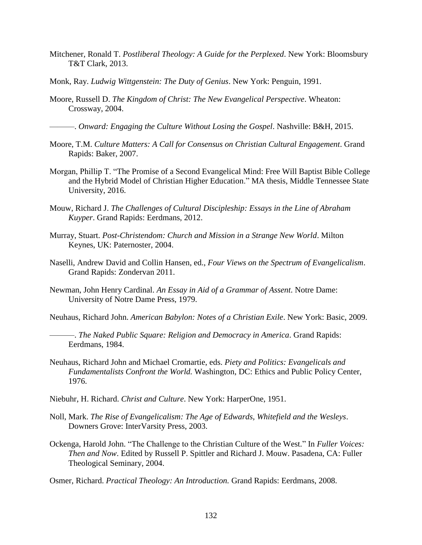- Mitchener, Ronald T. *Postliberal Theology: A Guide for the Perplexed*. New York: Bloomsbury T&T Clark, 2013.
- Monk, Ray. *Ludwig Wittgenstein: The Duty of Genius*. New York: Penguin, 1991.
- Moore, Russell D. *The Kingdom of Christ: The New Evangelical Perspective*. Wheaton: Crossway, 2004.

———. *Onward: Engaging the Culture Without Losing the Gospel*. Nashville: B&H, 2015.

- Moore, T.M. *Culture Matters: A Call for Consensus on Christian Cultural Engagement*. Grand Rapids: Baker, 2007.
- Morgan, Phillip T. "The Promise of a Second Evangelical Mind: Free Will Baptist Bible College and the Hybrid Model of Christian Higher Education." MA thesis, Middle Tennessee State University, 2016.
- Mouw, Richard J. *The Challenges of Cultural Discipleship: Essays in the Line of Abraham Kuyper*. Grand Rapids: Eerdmans, 2012.
- Murray, Stuart. *Post-Christendom: Church and Mission in a Strange New World*. Milton Keynes, UK: Paternoster, 2004.
- Naselli, Andrew David and Collin Hansen, ed., *Four Views on the Spectrum of Evangelicalism*. Grand Rapids: Zondervan 2011.
- Newman, John Henry Cardinal. *An Essay in Aid of a Grammar of Assent*. Notre Dame: University of Notre Dame Press, 1979.

Neuhaus, Richard John. *American Babylon: Notes of a Christian Exile*. New York: Basic, 2009.

———. *The Naked Public Square: Religion and Democracy in America*. Grand Rapids: Eerdmans, 1984.

- Neuhaus, Richard John and Michael Cromartie, eds. *Piety and Politics: Evangelicals and Fundamentalists Confront the World.* Washington, DC: Ethics and Public Policy Center, 1976.
- Niebuhr, H. Richard. *Christ and Culture*. New York: HarperOne, 1951.
- Noll, Mark. *The Rise of Evangelicalism: The Age of Edwards, Whitefield and the Wesleys*. Downers Grove: InterVarsity Press, 2003.
- Ockenga, Harold John. "The Challenge to the Christian Culture of the West." In *Fuller Voices: Then and Now*. Edited by Russell P. Spittler and Richard J. Mouw. Pasadena, CA: Fuller Theological Seminary, 2004.
- Osmer, Richard. *Practical Theology: An Introduction.* Grand Rapids: Eerdmans, 2008.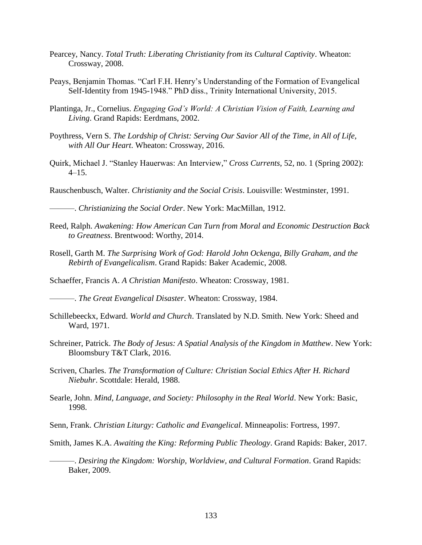- Pearcey, Nancy. *Total Truth: Liberating Christianity from its Cultural Captivity*. Wheaton: Crossway, 2008.
- Peays, Benjamin Thomas. "Carl F.H. Henry's Understanding of the Formation of Evangelical Self-Identity from 1945-1948." PhD diss., Trinity International University, 2015.
- Plantinga, Jr., Cornelius. *Engaging God's World: A Christian Vision of Faith, Learning and Living*. Grand Rapids: Eerdmans, 2002.
- Poythress, Vern S. *The Lordship of Christ: Serving Our Savior All of the Time, in All of Life, with All Our Heart*. Wheaton: Crossway, 2016.
- Quirk, Michael J. "Stanley Hauerwas: An Interview," *Cross Currents*, 52, no. 1 (Spring 2002):  $4-15$ .
- Rauschenbusch, Walter. *Christianity and the Social Crisis*. Louisville: Westminster, 1991.

———. *Christianizing the Social Order*. New York: MacMillan, 1912.

- Reed, Ralph. *Awakening: How American Can Turn from Moral and Economic Destruction Back to Greatness*. Brentwood: Worthy, 2014.
- Rosell, Garth M. *The Surprising Work of God: Harold John Ockenga, Billy Graham, and the Rebirth of Evangelicalism*. Grand Rapids: Baker Academic, 2008.

Schaeffer, Francis A. *A Christian Manifesto*. Wheaton: Crossway, 1981.

———. *The Great Evangelical Disaster*. Wheaton: Crossway, 1984.

- Schillebeeckx, Edward. *World and Church*. Translated by N.D. Smith. New York: Sheed and Ward, 1971.
- Schreiner, Patrick. *The Body of Jesus: A Spatial Analysis of the Kingdom in Matthew*. New York: Bloomsbury T&T Clark, 2016.
- Scriven, Charles. *The Transformation of Culture: Christian Social Ethics After H. Richard Niebuhr*. Scottdale: Herald, 1988.
- Searle, John. *Mind, Language, and Society: Philosophy in the Real World*. New York: Basic, 1998.

Senn, Frank. *Christian Liturgy: Catholic and Evangelical*. Minneapolis: Fortress, 1997.

Smith, James K.A. *Awaiting the King: Reforming Public Theology*. Grand Rapids: Baker, 2017.

———. *Desiring the Kingdom: Worship, Worldview, and Cultural Formation*. Grand Rapids: Baker, 2009.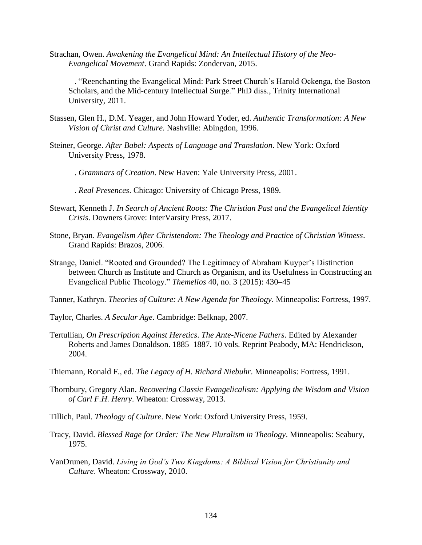- Strachan, Owen. *Awakening the Evangelical Mind: An Intellectual History of the Neo-Evangelical Movement*. Grand Rapids: Zondervan, 2015.
- ———. "Reenchanting the Evangelical Mind: Park Street Church's Harold Ockenga, the Boston Scholars, and the Mid-century Intellectual Surge." PhD diss., Trinity International University, 2011.
- Stassen, Glen H., D.M. Yeager, and John Howard Yoder, ed. *Authentic Transformation: A New Vision of Christ and Culture*. Nashville: Abingdon, 1996.
- Steiner, George. *After Babel: Aspects of Language and Translation*. New York: Oxford University Press, 1978.
- ———. *Grammars of Creation*. New Haven: Yale University Press, 2001.
- ———. *Real Presences*. Chicago: University of Chicago Press, 1989.
- Stewart, Kenneth J. *In Search of Ancient Roots: The Christian Past and the Evangelical Identity Crisis*. Downers Grove: InterVarsity Press, 2017.
- Stone, Bryan. *Evangelism After Christendom: The Theology and Practice of Christian Witness*. Grand Rapids: Brazos, 2006.
- Strange, Daniel. "Rooted and Grounded? The Legitimacy of Abraham Kuyper's Distinction between Church as Institute and Church as Organism, and its Usefulness in Constructing an Evangelical Public Theology." *Themelios* 40, no. 3 (2015): 430–45
- Tanner, Kathryn. *Theories of Culture: A New Agenda for Theology*. Minneapolis: Fortress, 1997.
- Taylor, Charles. *A Secular Age*. Cambridge: Belknap, 2007.
- Tertullian, *On Prescription Against Heretics*. *The Ante-Nicene Fathers*. Edited by Alexander Roberts and James Donaldson. 1885–1887. 10 vols. Reprint Peabody, MA: Hendrickson, 2004.
- Thiemann, Ronald F., ed. *The Legacy of H. Richard Niebuhr*. Minneapolis: Fortress, 1991.
- Thornbury, Gregory Alan. *Recovering Classic Evangelicalism: Applying the Wisdom and Vision of Carl F.H. Henry*. Wheaton: Crossway, 2013.
- Tillich, Paul. *Theology of Culture*. New York: Oxford University Press, 1959.
- Tracy, David. *Blessed Rage for Order: The New Pluralism in Theology*. Minneapolis: Seabury, 1975.
- VanDrunen, David. *Living in God's Two Kingdoms: A Biblical Vision for Christianity and Culture*. Wheaton: Crossway, 2010.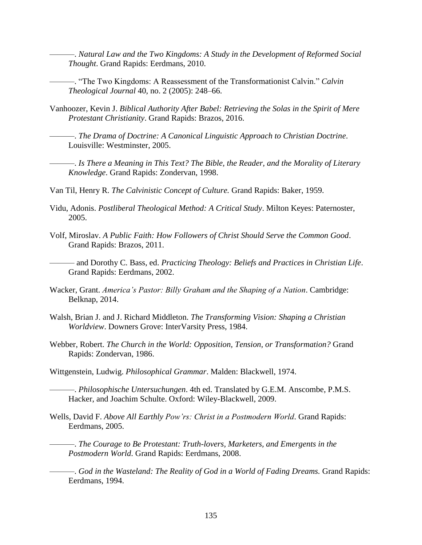———. *Natural Law and the Two Kingdoms: A Study in the Development of Reformed Social Thought*. Grand Rapids: Eerdmans, 2010.

- ———. "The Two Kingdoms: A Reassessment of the Transformationist Calvin." *Calvin Theological Journal* 40, no. 2 (2005): 248–66.
- Vanhoozer, Kevin J. *Biblical Authority After Babel: Retrieving the Solas in the Spirit of Mere Protestant Christianity*. Grand Rapids: Brazos, 2016.
- ———. *The Drama of Doctrine: A Canonical Linguistic Approach to Christian Doctrine*. Louisville: Westminster, 2005.

———. *Is There a Meaning in This Text? The Bible, the Reader, and the Morality of Literary Knowledge*. Grand Rapids: Zondervan, 1998.

- Van Til, Henry R. *The Calvinistic Concept of Culture.* Grand Rapids: Baker, 1959.
- Vidu, Adonis. *Postliberal Theological Method: A Critical Study*. Milton Keyes: Paternoster, 2005.
- Volf, Miroslav. *A Public Faith: How Followers of Christ Should Serve the Common Good*. Grand Rapids: Brazos, 2011.
- ——— and Dorothy C. Bass, ed. *Practicing Theology: Beliefs and Practices in Christian Life*. Grand Rapids: Eerdmans, 2002.
- Wacker, Grant. *America's Pastor: Billy Graham and the Shaping of a Nation*. Cambridge: Belknap, 2014.
- Walsh, Brian J. and J. Richard Middleton. *The Transforming Vision: Shaping a Christian Worldview*. Downers Grove: InterVarsity Press, 1984.
- Webber, Robert. *The Church in the World: Opposition, Tension, or Transformation?* Grand Rapids: Zondervan, 1986.
- Wittgenstein, Ludwig. *Philosophical Grammar*. Malden: Blackwell, 1974.

———. *Philosophische Untersuchungen*. 4th ed. Translated by G.E.M. Anscombe, P.M.S. Hacker, and Joachim Schulte. Oxford: Wiley-Blackwell, 2009.

- Wells, David F. *Above All Earthly Pow'rs: Christ in a Postmodern World*. Grand Rapids: Eerdmans, 2005.
	- ———. *The Courage to Be Protestant: Truth-lovers, Marketers, and Emergents in the Postmodern World*. Grand Rapids: Eerdmans, 2008.
- ———. *God in the Wasteland: The Reality of God in a World of Fading Dreams.* Grand Rapids: Eerdmans, 1994.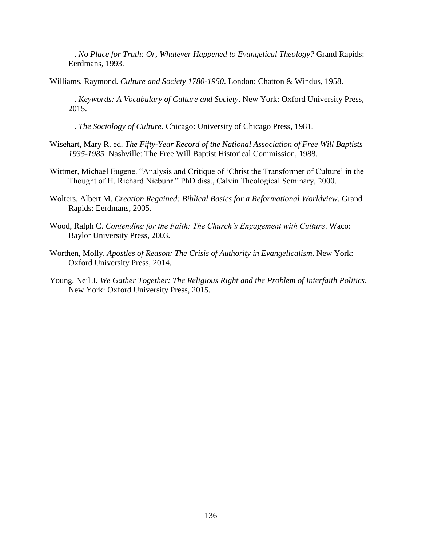———. *No Place for Truth: Or, Whatever Happened to Evangelical Theology?* Grand Rapids: Eerdmans, 1993.

- Williams, Raymond. *Culture and Society 1780-1950*. London: Chatton & Windus, 1958.
- ———. *Keywords: A Vocabulary of Culture and Society*. New York: Oxford University Press, 2015.
- ———. *The Sociology of Culture*. Chicago: University of Chicago Press, 1981.
- Wisehart, Mary R. ed. *The Fifty-Year Record of the National Association of Free Will Baptists 1935-1985.* Nashville: The Free Will Baptist Historical Commission, 1988.
- Wittmer, Michael Eugene. "Analysis and Critique of 'Christ the Transformer of Culture' in the Thought of H. Richard Niebuhr." PhD diss., Calvin Theological Seminary, 2000.
- Wolters, Albert M. *Creation Regained: Biblical Basics for a Reformational Worldview*. Grand Rapids: Eerdmans, 2005.
- Wood, Ralph C. *Contending for the Faith: The Church's Engagement with Culture*. Waco: Baylor University Press, 2003.
- Worthen, Molly. *Apostles of Reason: The Crisis of Authority in Evangelicalism*. New York: Oxford University Press, 2014.
- Young, Neil J. *We Gather Together: The Religious Right and the Problem of Interfaith Politics*. New York: Oxford University Press, 2015.